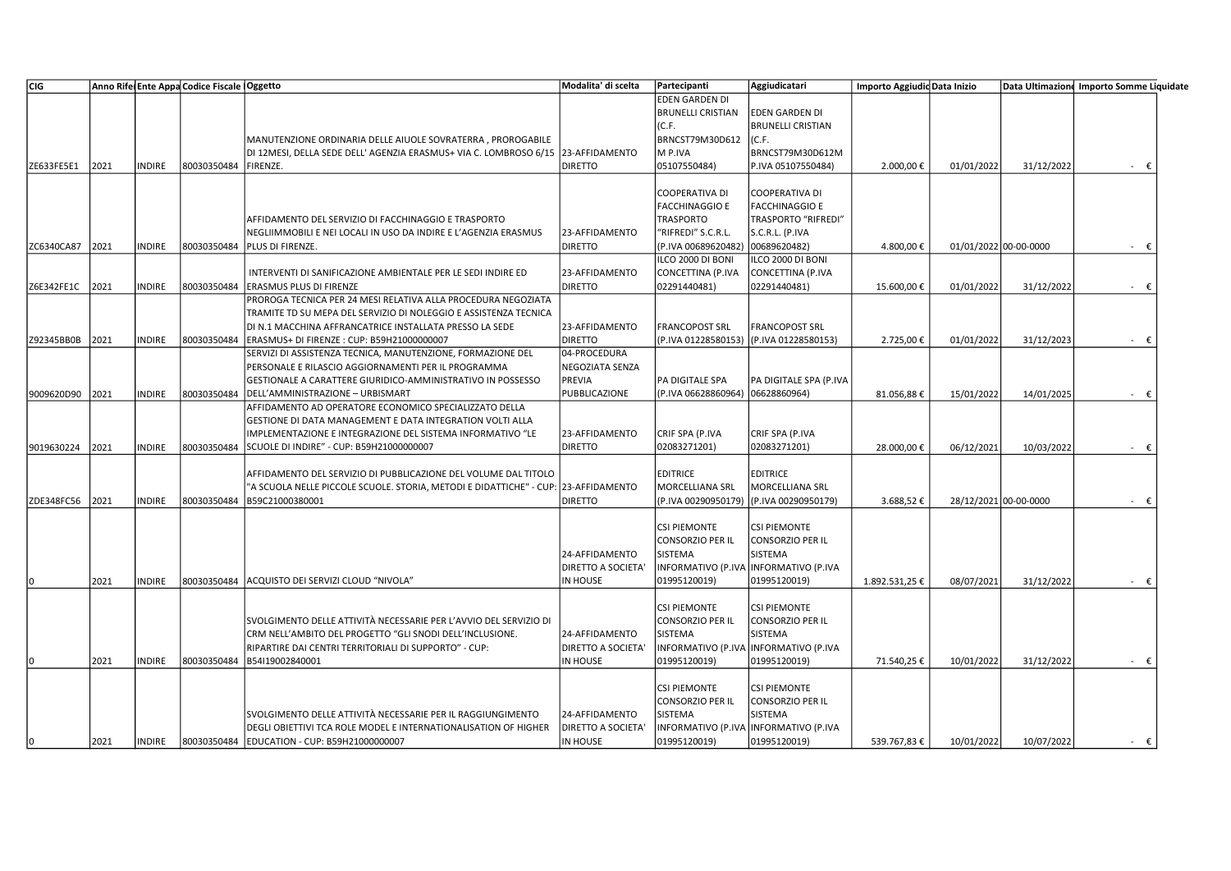| CIG        |      |               | Anno Rife Ente Appa Codice Fiscale   Oggetto |                                                                     | Modalita' di scelta | Partecipanti             | Aggiudicatari                                       | Importo Aggiudic Data Inizio |            |                       | Data Ultimazione Importo Somme Liquidate |
|------------|------|---------------|----------------------------------------------|---------------------------------------------------------------------|---------------------|--------------------------|-----------------------------------------------------|------------------------------|------------|-----------------------|------------------------------------------|
|            |      |               |                                              |                                                                     |                     | <b>EDEN GARDEN DI</b>    |                                                     |                              |            |                       |                                          |
|            |      |               |                                              |                                                                     |                     | <b>BRUNELLI CRISTIAN</b> | <b>EDEN GARDEN DI</b>                               |                              |            |                       |                                          |
|            |      |               |                                              |                                                                     |                     | (C.F.                    | <b>BRUNELLI CRISTIAN</b>                            |                              |            |                       |                                          |
|            |      |               |                                              | MANUTENZIONE ORDINARIA DELLE AIUOLE SOVRATERRA, PROROGABILE         |                     | BRNCST79M30D612          | (C.F.                                               |                              |            |                       |                                          |
|            |      |               |                                              | DI 12MESI, DELLA SEDE DELL' AGENZIA ERASMUS+ VIA C. LOMBROSO 6/15   | 23-AFFIDAMENTO      | M P.IVA                  | BRNCST79M30D612M                                    |                              |            |                       |                                          |
| ZE633FE5E1 | 2021 | <b>INDIRE</b> | 80030350484                                  | FIRENZE.                                                            | <b>DIRETTO</b>      | 05107550484)             | P.IVA 05107550484)                                  | 2.000,00€                    | 01/01/2022 | 31/12/2022            | - €                                      |
|            |      |               |                                              |                                                                     |                     |                          |                                                     |                              |            |                       |                                          |
|            |      |               |                                              |                                                                     |                     | <b>COOPERATIVA DI</b>    | <b>COOPERATIVA DI</b>                               |                              |            |                       |                                          |
|            |      |               |                                              |                                                                     |                     | <b>FACCHINAGGIO E</b>    |                                                     |                              |            |                       |                                          |
|            |      |               |                                              |                                                                     |                     | <b>TRASPORTO</b>         | <b>FACCHINAGGIO E</b><br><b>TRASPORTO "RIFREDI"</b> |                              |            |                       |                                          |
|            |      |               |                                              | AFFIDAMENTO DEL SERVIZIO DI FACCHINAGGIO E TRASPORTO                |                     |                          |                                                     |                              |            |                       |                                          |
|            |      |               |                                              | NEGLIIMMOBILI E NEI LOCALI IN USO DA INDIRE E L'AGENZIA ERASMUS     | 23-AFFIDAMENTO      | "RIFREDI" S.C.R.L.       | S.C.R.L. (P.IVA                                     |                              |            |                       |                                          |
| ZC6340CA87 | 2021 | <b>INDIRE</b> | 80030350484                                  | PLUS DI FIRENZE.                                                    | <b>DIRETTO</b>      | (P.IVA 00689620482)      | 00689620482)                                        | 4.800,00€                    |            | 01/01/2022 00-00-0000 | - €                                      |
|            |      |               |                                              |                                                                     |                     | ILCO 2000 DI BONI        | ILCO 2000 DI BONI                                   |                              |            |                       |                                          |
|            |      |               |                                              | INTERVENTI DI SANIFICAZIONE AMBIENTALE PER LE SEDI INDIRE ED        | 23-AFFIDAMENTO      | CONCETTINA (P.IVA        | CONCETTINA (P.IVA                                   |                              |            |                       |                                          |
| Z6E342FE1C | 2021 | <b>INDIRE</b> | 80030350484                                  | ERASMUS PLUS DI FIRENZE                                             | <b>DIRETTO</b>      | 02291440481)             | 02291440481)                                        | 15.600,00€                   | 01/01/2022 | 31/12/2022            | $ \epsilon$                              |
|            |      |               |                                              | PROROGA TECNICA PER 24 MESI RELATIVA ALLA PROCEDURA NEGOZIATA       |                     |                          |                                                     |                              |            |                       |                                          |
|            |      |               |                                              | TRAMITE TD SU MEPA DEL SERVIZIO DI NOLEGGIO E ASSISTENZA TECNICA    |                     |                          |                                                     |                              |            |                       |                                          |
|            |      |               |                                              | DI N.1 MACCHINA AFFRANCATRICE INSTALLATA PRESSO LA SEDE             | 23-AFFIDAMENTO      | <b>FRANCOPOST SRL</b>    | <b>FRANCOPOST SRL</b>                               |                              |            |                       |                                          |
| Z92345BB0B | 2021 | <b>INDIRE</b> | 80030350484                                  | ERASMUS+ DI FIRENZE : CUP: B59H21000000007                          | <b>DIRETTO</b>      | (P.IVA 01228580153)      | (P.IVA 01228580153)                                 | 2.725,00€                    | 01/01/2022 | 31/12/2023            | $ \epsilon$                              |
|            |      |               |                                              | SERVIZI DI ASSISTENZA TECNICA, MANUTENZIONE, FORMAZIONE DEL         | 04-PROCEDURA        |                          |                                                     |                              |            |                       |                                          |
|            |      |               |                                              | PERSONALE E RILASCIO AGGIORNAMENTI PER IL PROGRAMMA                 | NEGOZIATA SENZA     |                          |                                                     |                              |            |                       |                                          |
|            |      |               |                                              | GESTIONALE A CARATTERE GIURIDICO-AMMINISTRATIVO IN POSSESSO         | PREVIA              | PA DIGITALE SPA          | PA DIGITALE SPA (P.IVA                              |                              |            |                       |                                          |
| 9009620D90 | 2021 | <b>INDIRE</b> | 80030350484                                  | DELL'AMMINISTRAZIONE - URBISMART                                    | PUBBLICAZIONE       | (P.IVA 06628860964)      | 06628860964)                                        | 81.056,88€                   | 15/01/2022 | 14/01/2025            | - €                                      |
|            |      |               |                                              | AFFIDAMENTO AD OPERATORE ECONOMICO SPECIALIZZATO DELLA              |                     |                          |                                                     |                              |            |                       |                                          |
|            |      |               |                                              | GESTIONE DI DATA MANAGEMENT E DATA INTEGRATION VOLTI ALLA           |                     |                          |                                                     |                              |            |                       |                                          |
|            |      |               |                                              | IMPLEMENTAZIONE E INTEGRAZIONE DEL SISTEMA INFORMATIVO "LE          | 23-AFFIDAMENTO      | CRIF SPA (P.IVA          | CRIF SPA (P.IVA                                     |                              |            |                       |                                          |
|            |      |               |                                              |                                                                     |                     |                          |                                                     |                              |            |                       |                                          |
| 9019630224 | 2021 | <b>INDIRE</b> | 80030350484                                  | SCUOLE DI INDIRE" - CUP: B59H21000000007                            | <b>DIRETTO</b>      | 02083271201)             | 02083271201)                                        | 28.000,00€                   | 06/12/2021 | 10/03/2022            | - €                                      |
|            |      |               |                                              |                                                                     |                     |                          |                                                     |                              |            |                       |                                          |
|            |      |               |                                              | AFFIDAMENTO DEL SERVIZIO DI PUBBLICAZIONE DEL VOLUME DAL TITOLO     |                     | <b>EDITRICE</b>          | <b>EDITRICE</b>                                     |                              |            |                       |                                          |
|            |      |               |                                              | "A SCUOLA NELLE PICCOLE SCUOLE. STORIA, METODI E DIDATTICHE" - CUP: | 23-AFFIDAMENTO      | MORCELLIANA SRL          | <b>MORCELLIANA SRL</b>                              |                              |            |                       |                                          |
| ZDE348FC56 | 2021 | <b>INDIRE</b> | 80030350484                                  | B59C21000380001                                                     | <b>DIRETTO</b>      | (P.IVA 00290950179)      | (P.IVA 00290950179)                                 | 3.688,52€                    |            | 28/12/2021 00-00-0000 | $ \epsilon$                              |
|            |      |               |                                              |                                                                     |                     |                          |                                                     |                              |            |                       |                                          |
|            |      |               |                                              |                                                                     |                     | <b>CSI PIEMONTE</b>      | <b>CSI PIEMONTE</b>                                 |                              |            |                       |                                          |
|            |      |               |                                              |                                                                     |                     | <b>CONSORZIO PER IL</b>  | <b>CONSORZIO PER IL</b>                             |                              |            |                       |                                          |
|            |      |               |                                              |                                                                     | 24-AFFIDAMENTO      | SISTEMA                  | SISTEMA                                             |                              |            |                       |                                          |
|            |      |               |                                              |                                                                     | DIRETTO A SOCIETA'  |                          | NFORMATIVO (P.IVA INFORMATIVO (P.IVA                |                              |            |                       |                                          |
| 10         | 2021 | <b>INDIRE</b> | 80030350484                                  | ACQUISTO DEI SERVIZI CLOUD "NIVOLA"                                 | IN HOUSE            | 01995120019)             | 01995120019)                                        | 1.892.531,25€                | 08/07/2021 | 31/12/2022            |                                          |
|            |      |               |                                              |                                                                     |                     |                          |                                                     |                              |            |                       |                                          |
|            |      |               |                                              |                                                                     |                     | <b>CSI PIEMONTE</b>      | <b>CSI PIEMONTE</b>                                 |                              |            |                       |                                          |
|            |      |               |                                              | SVOLGIMENTO DELLE ATTIVITÀ NECESSARIE PER L'AVVIO DEL SERVIZIO DI   |                     | <b>CONSORZIO PER IL</b>  | <b>CONSORZIO PER IL</b>                             |                              |            |                       |                                          |
|            |      |               |                                              | CRM NELL'AMBITO DEL PROGETTO "GLI SNODI DELL'INCLUSIONE.            | 24-AFFIDAMENTO      | SISTEMA                  | SISTEMA                                             |                              |            |                       |                                          |
|            |      |               |                                              | RIPARTIRE DAI CENTRI TERRITORIALI DI SUPPORTO" - CUP:               | DIRETTO A SOCIETA'  |                          | NFORMATIVO (P.IVA INFORMATIVO (P.IVA                |                              |            |                       |                                          |
|            | 2021 | <b>INDIRE</b> | 80030350484                                  | B54I19002840001                                                     | IN HOUSE            | 01995120019)             | 01995120019)                                        | 71.540,25€                   | 10/01/2022 | 31/12/2022            | - €                                      |
| 10         |      |               |                                              |                                                                     |                     |                          |                                                     |                              |            |                       |                                          |
|            |      |               |                                              |                                                                     |                     |                          |                                                     |                              |            |                       |                                          |
|            |      |               |                                              |                                                                     |                     | <b>CSI PIEMONTE</b>      | <b>CSI PIEMONTE</b>                                 |                              |            |                       |                                          |
|            |      |               |                                              |                                                                     |                     | <b>CONSORZIO PER IL</b>  | <b>CONSORZIO PER IL</b>                             |                              |            |                       |                                          |
|            |      |               |                                              | SVOLGIMENTO DELLE ATTIVITÀ NECESSARIE PER IL RAGGIUNGIMENTO         | 24-AFFIDAMENTO      | SISTEMA                  | SISTEMA                                             |                              |            |                       |                                          |
|            |      |               |                                              | DEGLI OBIETTIVI TCA ROLE MODEL E INTERNATIONALISATION OF HIGHER     | DIRETTO A SOCIETA'  |                          | INFORMATIVO (P.IVA  INFORMATIVO (P.IVA              |                              |            |                       |                                          |
| l0         | 2021 | <b>INDIRE</b> |                                              | 80030350484 EDUCATION - CUP: B59H21000000007                        | IN HOUSE            | 01995120019)             | 01995120019)                                        | 539.767,83€                  | 10/01/2022 | 10/07/2022            | $ \epsilon$                              |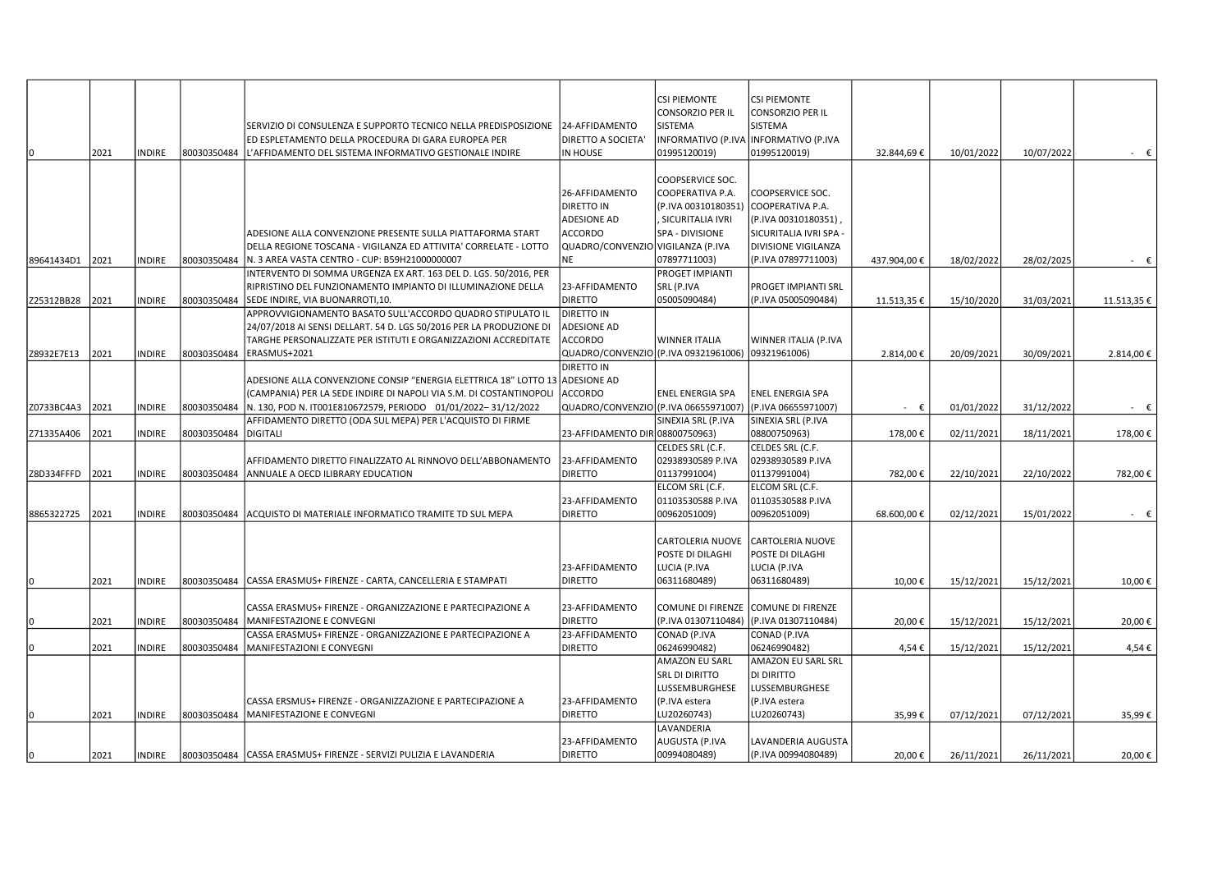|            |      |               |                      |                                                                                                                                     |                                         | <b>CSI PIEMONTE</b><br><b>CONSORZIO PER IL</b> | <b>CSI PIEMONTE</b><br><b>CONSORZIO PER IL</b> |             |            |            |                |
|------------|------|---------------|----------------------|-------------------------------------------------------------------------------------------------------------------------------------|-----------------------------------------|------------------------------------------------|------------------------------------------------|-------------|------------|------------|----------------|
|            |      |               |                      | SERVIZIO DI CONSULENZA E SUPPORTO TECNICO NELLA PREDISPOSIZIONE                                                                     | 24-AFFIDAMENTO                          | <b>SISTEMA</b>                                 | SISTEMA                                        |             |            |            |                |
|            |      |               |                      | ED ESPLETAMENTO DELLA PROCEDURA DI GARA EUROPEA PER                                                                                 | <b>DIRETTO A SOCIETA'</b>               |                                                | INFORMATIVO (P.IVA INFORMATIVO (P.IVA          |             |            |            |                |
| I٥         | 2021 | <b>INDIRE</b> | 80030350484          | L'AFFIDAMENTO DEL SISTEMA INFORMATIVO GESTIONALE INDIRE                                                                             | IN HOUSE                                | 01995120019)                                   | 01995120019)                                   | 32.844,69€  | 10/01/2022 | 10/07/2022 | $ \epsilon$    |
|            |      |               |                      |                                                                                                                                     |                                         |                                                |                                                |             |            |            |                |
|            |      |               |                      |                                                                                                                                     |                                         | <b>COOPSERVICE SOC.</b>                        |                                                |             |            |            |                |
|            |      |               |                      |                                                                                                                                     | 26-AFFIDAMENTO                          | COOPERATIVA P.A.                               | COOPSERVICE SOC.                               |             |            |            |                |
|            |      |               |                      |                                                                                                                                     | <b>DIRETTO IN</b><br><b>ADESIONE AD</b> | (P.IVA 00310180351)                            | COOPERATIVA P.A.                               |             |            |            |                |
|            |      |               |                      | ADESIONE ALLA CONVENZIONE PRESENTE SULLA PIATTAFORMA START                                                                          | ACCORDO                                 | , SICURITALIA IVRI<br>SPA - DIVISIONE          | (P.IVA 00310180351)<br>SICURITALIA IVRI SPA -  |             |            |            |                |
|            |      |               |                      | DELLA REGIONE TOSCANA - VIGILANZA ED ATTIVITA' CORRELATE - LOTTO                                                                    | QUADRO/CONVENZIO VIGILANZA (P.IVA       |                                                | DIVISIONE VIGILANZA                            |             |            |            |                |
| 89641434D1 | 2021 | <b>INDIRE</b> | 80030350484          | N. 3 AREA VASTA CENTRO - CUP: B59H21000000007                                                                                       | NE                                      | 07897711003)                                   | (P.IVA 07897711003)                            | 437.904,00€ | 18/02/2022 | 28/02/2025 | $ \epsilon$    |
|            |      |               |                      | INTERVENTO DI SOMMA URGENZA EX ART. 163 DEL D. LGS. 50/2016, PER                                                                    |                                         | <b>PROGET IMPIANTI</b>                         |                                                |             |            |            |                |
|            |      |               |                      | RIPRISTINO DEL FUNZIONAMENTO IMPIANTO DI ILLUMINAZIONE DELLA                                                                        | 23-AFFIDAMENTO                          | SRL (P.IVA                                     | <b>PROGET IMPIANTI SRL</b>                     |             |            |            |                |
| Z25312BB28 | 2021 | <b>INDIRE</b> | 80030350484          | SEDE INDIRE, VIA BUONARROTI,10.                                                                                                     | <b>DIRETTO</b>                          | 05005090484)                                   | (P.IVA 05005090484)                            | 11.513,35€  | 15/10/2020 | 31/03/2021 | 11.513,35€     |
|            |      |               |                      | APPROVVIGIONAMENTO BASATO SULL'ACCORDO QUADRO STIPULATO IL                                                                          | DIRETTO IN                              |                                                |                                                |             |            |            |                |
|            |      |               |                      | 24/07/2018 AI SENSI DELLART. 54 D. LGS 50/2016 PER LA PRODUZIONE DI                                                                 | <b>ADESIONE AD</b>                      |                                                |                                                |             |            |            |                |
|            |      |               |                      | TARGHE PERSONALIZZATE PER ISTITUTI E ORGANIZZAZIONI ACCREDITATE                                                                     | <b>ACCORDO</b>                          | <b>WINNER ITALIA</b>                           | WINNER ITALIA (P.IVA                           |             |            |            |                |
| Z8932E7E13 | 2021 | <b>INDIRE</b> | 80030350484          | ERASMUS+2021                                                                                                                        | QUADRO/CONVENZIO (P.IVA 09321961006)    |                                                | 09321961006)                                   | 2.814,00€   | 20/09/2021 | 30/09/2021 | 2.814,00 €     |
|            |      |               |                      |                                                                                                                                     | <b>DIRETTO IN</b>                       |                                                |                                                |             |            |            |                |
|            |      |               |                      | ADESIONE ALLA CONVENZIONE CONSIP "ENERGIA ELETTRICA 18" LOTTO 13 ADESIONE AD                                                        | <b>ACCORDO</b>                          | <b>ENEL ENERGIA SPA</b>                        | <b>ENEL ENERGIA SPA</b>                        |             |            |            |                |
| Z0733BC4A3 | 2021 | <b>INDIRE</b> | 80030350484          | (CAMPANIA) PER LA SEDE INDIRE DI NAPOLI VIA S.M. DI COSTANTINOPOLI<br>N. 130, POD N. IT001E810672579, PERIODO 01/01/2022-31/12/2022 | QUADRO/CONVENZIO (P.IVA 06655971007)    |                                                | (P.IVA 06655971007)                            | $ \epsilon$ | 01/01/2022 | 31/12/2022 | $ \epsilon$    |
|            |      |               |                      | AFFIDAMENTO DIRETTO (ODA SUL MEPA) PER L'ACQUISTO DI FIRME                                                                          |                                         | SINEXIA SRL (P.IVA                             | SINEXIA SRL (P.IVA                             |             |            |            |                |
| Z71335A406 | 2021 | <b>INDIRE</b> | 80030350484 DIGITALI |                                                                                                                                     | 23-AFFIDAMENTO DIR 08800750963)         |                                                | 08800750963)                                   | 178,00€     | 02/11/2021 | 18/11/2021 | 178,00€        |
|            |      |               |                      |                                                                                                                                     |                                         | CELDES SRL (C.F.                               | CELDES SRL (C.F.                               |             |            |            |                |
|            |      |               |                      | AFFIDAMENTO DIRETTO FINALIZZATO AL RINNOVO DELL'ABBONAMENTO                                                                         | 23-AFFIDAMENTO                          | 02938930589 P.IVA                              | 02938930589 P.IVA                              |             |            |            |                |
| Z8D334FFFD | 2021 | <b>INDIRE</b> | 80030350484          | ANNUALE A OECD ILIBRARY EDUCATION                                                                                                   | <b>DIRETTO</b>                          | 01137991004)                                   | 01137991004)                                   | 782,00€     | 22/10/2021 | 22/10/2022 | 782,00€        |
|            |      |               |                      |                                                                                                                                     |                                         | ELCOM SRL (C.F.                                | ELCOM SRL (C.F.                                |             |            |            |                |
|            |      |               |                      |                                                                                                                                     | 23-AFFIDAMENTO                          | 01103530588 P.IVA                              | 01103530588 P.IVA                              |             |            |            |                |
| 8865322725 | 2021 | <b>INDIRE</b> |                      | 80030350484 ACQUISTO DI MATERIALE INFORMATICO TRAMITE TD SUL MEPA                                                                   | <b>DIRETTO</b>                          | 00962051009)                                   | 00962051009)                                   | 68.600,00€  | 02/12/2021 | 15/01/2022 | $ \varepsilon$ |
|            |      |               |                      |                                                                                                                                     |                                         |                                                |                                                |             |            |            |                |
|            |      |               |                      |                                                                                                                                     |                                         | <b>CARTOLERIA NUOVE</b><br>POSTE DI DILAGHI    | <b>CARTOLERIA NUOVE</b><br>POSTE DI DILAGHI    |             |            |            |                |
|            |      |               |                      |                                                                                                                                     | 23-AFFIDAMENTO                          | LUCIA (P.IVA                                   | LUCIA (P.IVA                                   |             |            |            |                |
| lo.        | 2021 | <b>INDIRE</b> |                      | 80030350484   CASSA ERASMUS+ FIRENZE - CARTA, CANCELLERIA E STAMPATI                                                                | <b>DIRETTO</b>                          | 06311680489)                                   | 06311680489)                                   | 10,00€      | 15/12/2021 | 15/12/2021 | 10,00€         |
|            |      |               |                      |                                                                                                                                     |                                         |                                                |                                                |             |            |            |                |
|            |      |               |                      | CASSA ERASMUS+ FIRENZE - ORGANIZZAZIONE E PARTECIPAZIONE A                                                                          | 23-AFFIDAMENTO                          |                                                | COMUNE DI FIRENZE COMUNE DI FIRENZE            |             |            |            |                |
| ١n         | 2021 | <b>INDIRE</b> | 80030350484          | MANIFESTAZIONE E CONVEGNI                                                                                                           | <b>DIRETTO</b>                          | (P.IVA 01307110484)                            | (P.IVA 01307110484)                            | 20,00€      | 15/12/2021 | 15/12/2021 | 20,00€         |
|            |      |               |                      | CASSA ERASMUS+ FIRENZE - ORGANIZZAZIONE E PARTECIPAZIONE A                                                                          | 23-AFFIDAMENTO                          | CONAD (P.IVA                                   | CONAD (P.IVA                                   |             |            |            |                |
|            | 2021 | <b>INDIRE</b> | 80030350484          | <b>MANIFESTAZIONI E CONVEGNI</b>                                                                                                    | <b>DIRETTO</b>                          | 06246990482)                                   | 06246990482)                                   | 4,54€       | 15/12/2021 | 15/12/2021 | 4,54€          |
|            |      |               |                      |                                                                                                                                     |                                         | <b>AMAZON EU SARL</b>                          | AMAZON EU SARL SRL                             |             |            |            |                |
|            |      |               |                      |                                                                                                                                     |                                         | <b>SRL DI DIRITTO</b>                          | DI DIRITTO                                     |             |            |            |                |
|            |      |               |                      |                                                                                                                                     |                                         | <b>LUSSEMBURGHESE</b>                          | LUSSEMBURGHESE                                 |             |            |            |                |
|            |      |               |                      | CASSA ERSMUS+ FIRENZE - ORGANIZZAZIONE E PARTECIPAZIONE A                                                                           | 23-AFFIDAMENTO                          | (P.IVA estera                                  | (P.IVA estera                                  |             |            |            |                |
|            | 2021 | <b>INDIRE</b> |                      | 80030350484   MANIFESTAZIONE E CONVEGNI                                                                                             | <b>DIRETTO</b>                          | LU20260743)<br>LAVANDERIA                      | LU20260743)                                    | 35,99€      | 07/12/2021 | 07/12/2021 | 35,99€         |
|            |      |               |                      |                                                                                                                                     | 23-AFFIDAMENTO                          | AUGUSTA (P.IVA                                 | LAVANDERIA AUGUSTA                             |             |            |            |                |
| lo.        | 2021 | <b>INDIRE</b> |                      | 80030350484   CASSA ERASMUS+ FIRENZE - SERVIZI PULIZIA E LAVANDERIA                                                                 | <b>DIRETTO</b>                          | 00994080489)                                   | (P.IVA 00994080489)                            | 20,00€      | 26/11/2021 | 26/11/2021 | 20,00€         |
|            |      |               |                      |                                                                                                                                     |                                         |                                                |                                                |             |            |            |                |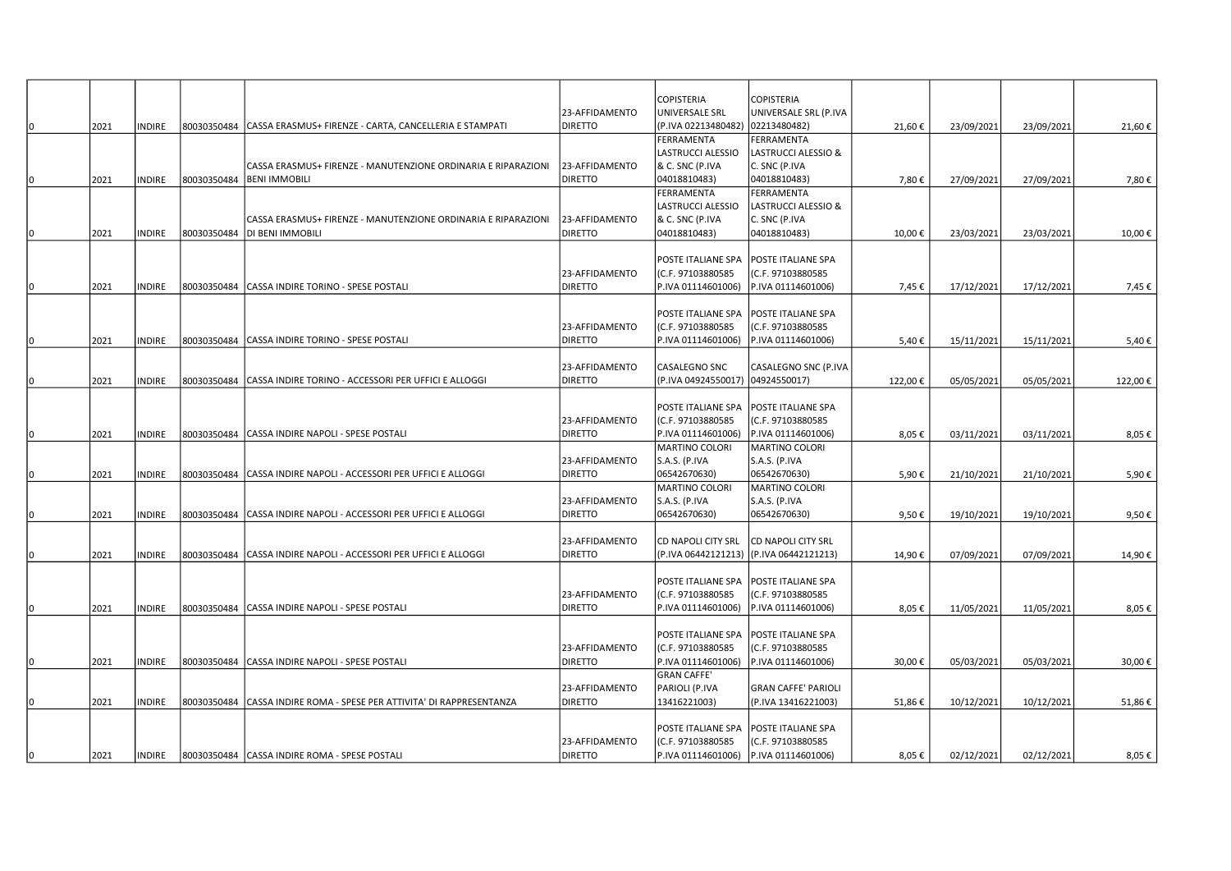|     |      |               |                                                                        |                | <b>COPISTERIA</b>   | <b>COPISTERIA</b>          |         |            |            |         |
|-----|------|---------------|------------------------------------------------------------------------|----------------|---------------------|----------------------------|---------|------------|------------|---------|
|     |      |               |                                                                        | 23-AFFIDAMENTO | UNIVERSALE SRL      | UNIVERSALE SRL (P.IVA      |         |            |            |         |
|     | 2021 | <b>NDIRE</b>  | 80030350484 CASSA ERASMUS+ FIRENZE - CARTA, CANCELLERIA E STAMPATI     | <b>DIRETTO</b> | (P.IVA 02213480482) | 02213480482)               | 21,60€  | 23/09/2021 | 23/09/2021 | 21,60€  |
|     |      |               |                                                                        |                | <b>FERRAMENTA</b>   | <b>FERRAMENTA</b>          |         |            |            |         |
|     |      |               |                                                                        |                | LASTRUCCI ALESSIO   | LASTRUCCI ALESSIO &        |         |            |            |         |
|     |      |               | CASSA ERASMUS+ FIRENZE - MANUTENZIONE ORDINARIA E RIPARAZIONI          | 23-AFFIDAMENTO | & C. SNC (P.IVA     | C. SNC (P.IVA              |         |            |            |         |
| ١O  | 2021 | <b>NDIRE</b>  | 80030350484  BENI IMMOBILI                                             | <b>DIRETTO</b> | 04018810483)        | 04018810483)               | 7,80€   | 27/09/2021 | 27/09/2021 | 7,80€   |
|     |      |               |                                                                        |                | FERRAMENTA          | FERRAMENTA                 |         |            |            |         |
|     |      |               |                                                                        |                | LASTRUCCI ALESSIO   | LASTRUCCI ALESSIO &        |         |            |            |         |
|     |      |               | CASSA ERASMUS+ FIRENZE - MANUTENZIONE ORDINARIA E RIPARAZIONI          | 23-AFFIDAMENTO | & C. SNC (P.IVA     | C. SNC (P.IVA              |         |            |            |         |
|     | 2021 | <b>NDIRE</b>  | 80030350484   DI BENI IMMOBILI                                         | <b>DIRETTO</b> | 04018810483)        | 04018810483)               | 10,00€  | 23/03/2021 | 23/03/2021 | 10,00€  |
|     |      |               |                                                                        |                |                     |                            |         |            |            |         |
|     |      |               |                                                                        |                | POSTE ITALIANE SPA  | POSTE ITALIANE SPA         |         |            |            |         |
|     |      |               |                                                                        | 23-AFFIDAMENTO | (C.F. 97103880585   | (C.F. 97103880585          |         |            |            |         |
|     | 2021 | INDIRE        | 80030350484 CASSA INDIRE TORINO - SPESE POSTALI                        | <b>DIRETTO</b> | P.IVA 01114601006)  | P.IVA 01114601006)         | 7,45€   | 17/12/2021 | 17/12/2021 | 7,45 €  |
|     |      |               |                                                                        |                |                     |                            |         |            |            |         |
|     |      |               |                                                                        |                | POSTE ITALIANE SPA  | POSTE ITALIANE SPA         |         |            |            |         |
|     |      |               |                                                                        | 23-AFFIDAMENTO | (C.F. 97103880585   | (C.F. 97103880585          |         |            |            |         |
| 10. | 2021 | INDIRE        | 80030350484 CASSA INDIRE TORINO - SPESE POSTALI                        | <b>DIRETTO</b> | P.IVA 01114601006)  | P.IVA 01114601006)         | 5,40€   | 15/11/2021 | 15/11/2021 | 5,40€   |
|     |      |               |                                                                        |                |                     |                            |         |            |            |         |
|     |      |               |                                                                        | 23-AFFIDAMENTO | CASALEGNO SNC       | CASALEGNO SNC (P.IVA       |         |            |            |         |
|     | 2021 | <b>NDIRE</b>  | 80030350484 CASSA INDIRE TORINO - ACCESSORI PER UFFICI E ALLOGGI       | <b>DIRETTO</b> | (P.IVA 04924550017) | 04924550017)               | 122,00€ | 05/05/2021 | 05/05/2021 | 122,00€ |
|     |      |               |                                                                        |                |                     |                            |         |            |            |         |
|     |      |               |                                                                        |                | POSTE ITALIANE SPA  | POSTE ITALIANE SPA         |         |            |            |         |
|     |      |               |                                                                        | 23-AFFIDAMENTO | (C.F. 97103880585   | (C.F. 97103880585          |         |            |            |         |
| ıω  | 2021 | INDIRE        | 80030350484 CASSA INDIRE NAPOLI - SPESE POSTALI                        | <b>DIRETTO</b> | P.IVA 01114601006)  | P.IVA 01114601006)         | 8,05€   | 03/11/2021 | 03/11/2021 | 8,05€   |
|     |      |               |                                                                        |                | MARTINO COLORI      | MARTINO COLORI             |         |            |            |         |
|     |      |               |                                                                        | 23-AFFIDAMENTO | S.A.S. (P.IVA       | S.A.S. (P.IVA              |         |            |            |         |
| ın  | 2021 | <b>NDIRE</b>  | 80030350484 CASSA INDIRE NAPOLI - ACCESSORI PER UFFICI E ALLOGGI       | <b>DIRETTO</b> | 06542670630)        | 06542670630)               | 5,90€   | 21/10/2021 | 21/10/2021 | 5,90€   |
|     |      |               |                                                                        |                | MARTINO COLORI      | MARTINO COLORI             |         |            |            |         |
|     |      |               |                                                                        | 23-AFFIDAMENTO | S.A.S. (P.IVA       | S.A.S. (P.IVA              |         |            |            |         |
| 10  | 2021 | <b>NDIRE</b>  | 80030350484 CASSA INDIRE NAPOLI - ACCESSORI PER UFFICI E ALLOGGI       | <b>DIRETTO</b> | 06542670630)        | 06542670630)               | 9,50€   | 19/10/2021 | 19/10/2021 | 9,50€   |
|     |      |               |                                                                        |                |                     |                            |         |            |            |         |
|     |      |               |                                                                        | 23-AFFIDAMENTO | CD NAPOLI CITY SRL  | <b>CD NAPOLI CITY SRL</b>  |         |            |            |         |
|     | 2021 | INDIRE        | 80030350484 CASSA INDIRE NAPOLI - ACCESSORI PER UFFICI E ALLOGGI       | <b>DIRETTO</b> | (P.IVA 06442121213) | (P.IVA 06442121213)        | 14,90€  | 07/09/2021 | 07/09/2021 | 14,90€  |
|     |      |               |                                                                        |                |                     |                            |         |            |            |         |
|     |      |               |                                                                        |                | POSTE ITALIANE SPA  | POSTE ITALIANE SPA         |         |            |            |         |
|     |      |               |                                                                        | 23-AFFIDAMENTO | (C.F. 97103880585   | (C.F. 97103880585          |         |            |            |         |
| m   | 2021 | <b>NDIRE</b>  | 80030350484 CASSA INDIRE NAPOLI - SPESE POSTALI                        | <b>DIRETTO</b> | P.IVA 01114601006)  | P.IVA 01114601006)         | 8.05€   | 11/05/2021 | 11/05/2021 | 8,05€   |
|     |      |               |                                                                        |                |                     |                            |         |            |            |         |
|     |      |               |                                                                        |                | POSTE ITALIANE SPA  | POSTE ITALIANE SPA         |         |            |            |         |
|     |      |               |                                                                        | 23-AFFIDAMENTO | (C.F. 97103880585   | (C.F. 97103880585          |         |            |            |         |
| 10  | 2021 | NDIRE         | 80030350484 CASSA INDIRE NAPOLI - SPESE POSTALI                        | <b>DIRETTO</b> | P.IVA 01114601006)  | P.IVA 01114601006)         | 30,00€  | 05/03/2021 | 05/03/2021 | 30,00€  |
|     |      |               |                                                                        |                | <b>GRAN CAFFE'</b>  |                            |         |            |            |         |
|     |      |               |                                                                        | 23-AFFIDAMENTO | PARIOLI (P.IVA      | <b>GRAN CAFFE' PARIOLI</b> |         |            |            |         |
|     | 2021 | <b>INDIRE</b> | 80030350484  CASSA INDIRE ROMA - SPESE PER ATTIVITA' DI RAPPRESENTANZA | <b>DIRETTO</b> | 13416221003)        | (P.IVA 13416221003)        | 51,86€  | 10/12/2021 | 10/12/2021 | 51,86€  |
|     |      |               |                                                                        |                |                     |                            |         |            |            |         |
|     |      |               |                                                                        |                | POSTE ITALIANE SPA  | POSTE ITALIANE SPA         |         |            |            |         |
|     |      |               |                                                                        | 23-AFFIDAMENTO | (C.F. 97103880585   | (C.F. 97103880585          |         |            |            |         |
| 10  | 2021 | INDIRE        | 80030350484 CASSA INDIRE ROMA - SPESE POSTALI                          | <b>DIRETTO</b> | P.IVA 01114601006)  | P.IVA 01114601006)         | 8,05€   | 02/12/2021 | 02/12/2021 | 8,05€   |
|     |      |               |                                                                        |                |                     |                            |         |            |            |         |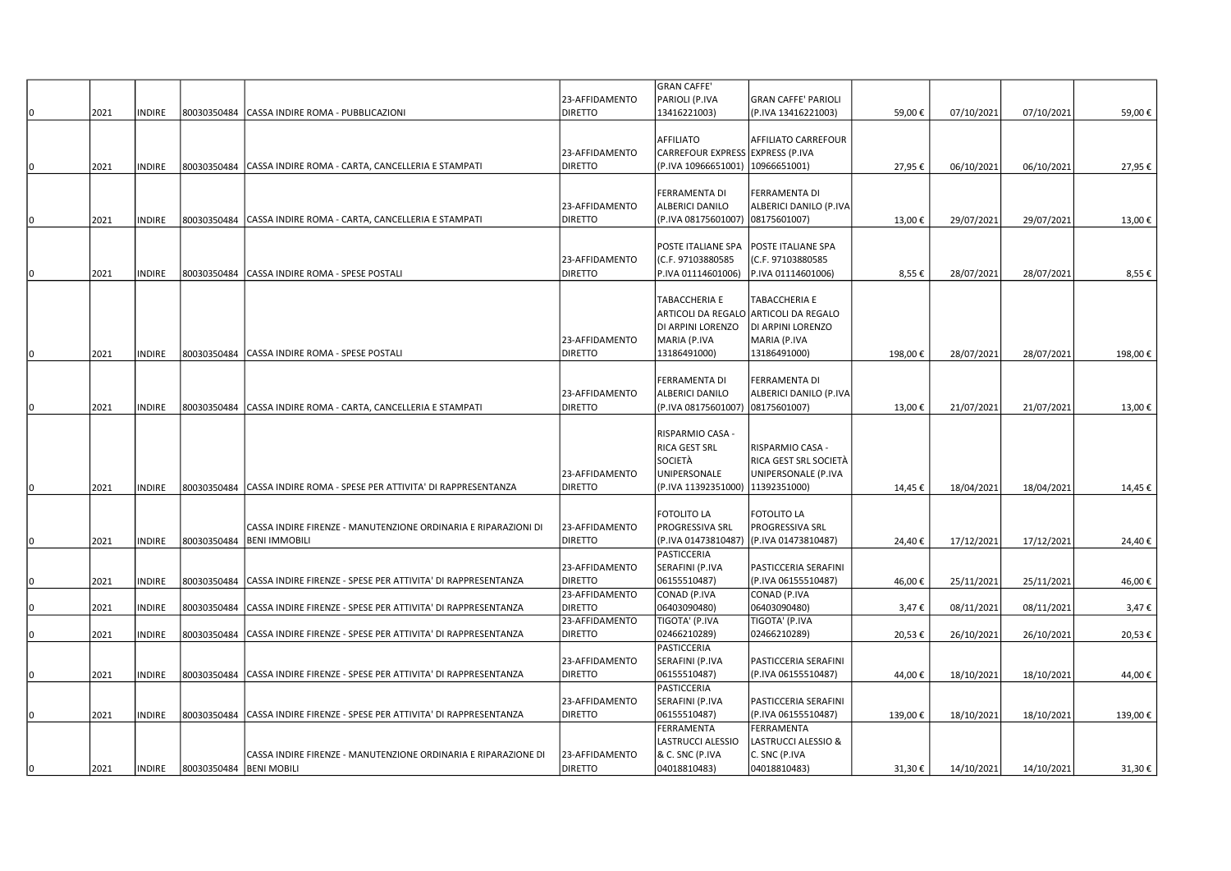|     |      |               |                         |                                                                |                | GRAN CAFFE'                      |                                       |         |            |            |         |
|-----|------|---------------|-------------------------|----------------------------------------------------------------|----------------|----------------------------------|---------------------------------------|---------|------------|------------|---------|
|     |      |               |                         |                                                                | 23-AFFIDAMENTO | PARIOLI (P.IVA                   | <b>GRAN CAFFE' PARIOLI</b>            |         |            |            |         |
|     | 2021 | INDIRE        | 80030350484             | CASSA INDIRE ROMA - PUBBLICAZIONI                              | <b>DIRETTO</b> | 13416221003)                     | (P.IVA 13416221003)                   | 59,00€  | 07/10/2021 | 07/10/2021 | 59,00€  |
|     |      |               |                         |                                                                |                |                                  |                                       |         |            |            |         |
|     |      |               |                         |                                                                |                | <b>AFFILIATO</b>                 | AFFILIATO CARREFOUR                   |         |            |            |         |
|     |      |               |                         |                                                                | 23-AFFIDAMENTO | CARREFOUR EXPRESS EXPRESS (P.IVA |                                       |         |            |            |         |
| 10  | 2021 | <b>INDIRE</b> | 80030350484             | CASSA INDIRE ROMA - CARTA, CANCELLERIA E STAMPATI              | <b>DIRETTO</b> | (P.IVA 10966651001)              | 10966651001)                          | 27,95€  | 06/10/2021 | 06/10/2021 | 27,95€  |
|     |      |               |                         |                                                                |                |                                  |                                       |         |            |            |         |
|     |      |               |                         |                                                                |                | <b>FERRAMENTA DI</b>             | FERRAMENTA DI                         |         |            |            |         |
|     |      |               |                         |                                                                | 23-AFFIDAMENTO | <b>ALBERICI DANILO</b>           | ALBERICI DANILO (P.IVA                |         |            |            |         |
| ١O  | 2021 | <b>INDIRE</b> | 80030350484             | CASSA INDIRE ROMA - CARTA, CANCELLERIA E STAMPATI              | <b>DIRETTO</b> | (P.IVA 08175601007)              | 08175601007)                          | 13,00€  | 29/07/2021 | 29/07/2021 | 13,00€  |
|     |      |               |                         |                                                                |                |                                  |                                       |         |            |            |         |
|     |      |               |                         |                                                                |                | POSTE ITALIANE SPA               | POSTE ITALIANE SPA                    |         |            |            |         |
|     |      |               |                         |                                                                | 23-AFFIDAMENTO | (C.F. 97103880585                | (C.F. 97103880585                     |         |            |            |         |
| 10  | 2021 | <b>INDIRE</b> | 80030350484             | CASSA INDIRE ROMA - SPESE POSTALI                              | <b>DIRETTO</b> | P.IVA 01114601006)               | P.IVA 01114601006)                    | 8,55€   | 28/07/2021 | 28/07/2021 | 8,55€   |
|     |      |               |                         |                                                                |                |                                  |                                       |         |            |            |         |
|     |      |               |                         |                                                                |                | <b>TABACCHERIA E</b>             | TABACCHERIA E                         |         |            |            |         |
|     |      |               |                         |                                                                |                |                                  |                                       |         |            |            |         |
|     |      |               |                         |                                                                |                |                                  | ARTICOLI DA REGALO ARTICOLI DA REGALO |         |            |            |         |
|     |      |               |                         |                                                                |                | DI ARPINI LORENZO                | DI ARPINI LORENZO                     |         |            |            |         |
|     |      |               |                         |                                                                | 23-AFFIDAMENTO | MARIA (P.IVA                     | MARIA (P.IVA                          |         |            |            |         |
| I٥  | 2021 | <b>INDIRE</b> | 80030350484             | CASSA INDIRE ROMA - SPESE POSTALI                              | <b>DIRETTO</b> | 13186491000)                     | 13186491000)                          | 198,00€ | 28/07/2021 | 28/07/2021 | 198,00€ |
|     |      |               |                         |                                                                |                |                                  |                                       |         |            |            |         |
|     |      |               |                         |                                                                |                | <b>FERRAMENTA DI</b>             | FERRAMENTA DI                         |         |            |            |         |
|     |      |               |                         |                                                                | 23-AFFIDAMENTO | <b>ALBERICI DANILO</b>           | ALBERICI DANILO (P.IVA                |         |            |            |         |
| 10. | 2021 | <b>INDIRE</b> | 80030350484             | CASSA INDIRE ROMA - CARTA, CANCELLERIA E STAMPATI              | <b>DIRETTO</b> | (P.IVA 08175601007)              | 08175601007)                          | 13,00€  | 21/07/2021 | 21/07/2021 | 13,00€  |
|     |      |               |                         |                                                                |                |                                  |                                       |         |            |            |         |
|     |      |               |                         |                                                                |                | RISPARMIO CASA -                 |                                       |         |            |            |         |
|     |      |               |                         |                                                                |                | RICA GEST SRL                    | RISPARMIO CASA -                      |         |            |            |         |
|     |      |               |                         |                                                                |                | <b>SOCIETÀ</b>                   | RICA GEST SRL SOCIETÀ                 |         |            |            |         |
|     |      |               |                         |                                                                | 23-AFFIDAMENTO | <b>UNIPERSONALE</b>              | UNIPERSONALE (P.IVA                   |         |            |            |         |
| 10  | 2021 | <b>INDIRE</b> | 80030350484             | CASSA INDIRE ROMA - SPESE PER ATTIVITA' DI RAPPRESENTANZA      | <b>DIRETTO</b> | (P.IVA 11392351000)              | 11392351000)                          | 14,45€  | 18/04/2021 | 18/04/2021 | 14,45€  |
|     |      |               |                         |                                                                |                |                                  |                                       |         |            |            |         |
|     |      |               |                         |                                                                |                | <b>FOTOLITO LA</b>               | <b>FOTOLITO LA</b>                    |         |            |            |         |
|     |      |               |                         | CASSA INDIRE FIRENZE - MANUTENZIONE ORDINARIA E RIPARAZIONI DI | 23-AFFIDAMENTO | <b>PROGRESSIVA SRL</b>           | PROGRESSIVA SRL                       |         |            |            |         |
| 10  | 2021 | <b>INDIRE</b> | 80030350484             | <b>BENI IMMOBILI</b>                                           | <b>DIRETTO</b> | (P.IVA 01473810487)              | (P.IVA 01473810487)                   | 24,40€  | 17/12/2021 | 17/12/2021 | 24,40€  |
|     |      |               |                         |                                                                |                | PASTICCERIA                      |                                       |         |            |            |         |
|     |      |               |                         |                                                                | 23-AFFIDAMENTO | SERAFINI (P.IVA                  | PASTICCERIA SERAFINI                  |         |            |            |         |
| 0   | 2021 | INDIRE        | 80030350484             | CASSA INDIRE FIRENZE - SPESE PER ATTIVITA' DI RAPPRESENTANZA   | <b>DIRETTO</b> | 06155510487)                     | (P.IVA 06155510487)                   | 46,00€  | 25/11/2021 | 25/11/2021 | 46,00€  |
|     |      |               |                         |                                                                | 23-AFFIDAMENTO | CONAD (P.IVA                     | CONAD (P.IVA                          |         |            |            |         |
|     | 2021 | <b>INDIRE</b> | 80030350484             | CASSA INDIRE FIRENZE - SPESE PER ATTIVITA' DI RAPPRESENTANZA   | <b>DIRETTO</b> | 06403090480)                     | 06403090480)                          | 3,47€   | 08/11/2021 | 08/11/2021 | 3,47€   |
|     |      |               |                         |                                                                | 23-AFFIDAMENTO | TIGOTA' (P.IVA                   | TIGOTA' (P.IVA                        |         |            |            |         |
| ١O  | 2021 | <b>INDIRE</b> | 80030350484             | CASSA INDIRE FIRENZE - SPESE PER ATTIVITA' DI RAPPRESENTANZA   | <b>DIRETTO</b> | 02466210289)                     | 02466210289)                          | 20,53€  | 26/10/2021 | 26/10/2021 | 20,53€  |
|     |      |               |                         |                                                                |                | PASTICCERIA                      |                                       |         |            |            |         |
|     |      |               |                         |                                                                | 23-AFFIDAMENTO | SERAFINI (P.IVA                  | PASTICCERIA SERAFINI                  |         |            |            |         |
| l0  | 2021 | <b>INDIRE</b> | 80030350484             | CASSA INDIRE FIRENZE - SPESE PER ATTIVITA' DI RAPPRESENTANZA   | <b>DIRETTO</b> | 06155510487)                     | (P.IVA 06155510487)                   | 44,00€  | 18/10/2021 | 18/10/2021 | 44,00€  |
|     |      |               |                         |                                                                |                | PASTICCERIA                      |                                       |         |            |            |         |
|     |      |               |                         |                                                                | 23-AFFIDAMENTO | SERAFINI (P.IVA                  | PASTICCERIA SERAFINI                  |         |            |            |         |
| ١O  |      | <b>INDIRE</b> | 80030350484             |                                                                | <b>DIRETTO</b> | 06155510487)                     | (P.IVA 06155510487)                   |         |            |            |         |
|     | 2021 |               |                         | CASSA INDIRE FIRENZE - SPESE PER ATTIVITA' DI RAPPRESENTANZA   |                |                                  |                                       | 139,00€ | 18/10/2021 | 18/10/2021 | 139,00€ |
|     |      |               |                         |                                                                |                | FERRAMENTA                       | FERRAMENTA                            |         |            |            |         |
|     |      |               |                         |                                                                |                | LASTRUCCI ALESSIO                | LASTRUCCI ALESSIO &                   |         |            |            |         |
|     |      |               |                         | CASSA INDIRE FIRENZE - MANUTENZIONE ORDINARIA E RIPARAZIONE DI | 23-AFFIDAMENTO | 8 C. SNC (P.IVA                  | C. SNC (P.IVA                         |         |            |            |         |
| I٥  | 2021 | <b>INDIRE</b> | 80030350484 BENI MOBILI |                                                                | <b>DIRETTO</b> | 04018810483)                     | 04018810483)                          | 31,30€  | 14/10/2021 | 14/10/2021 | 31,30€  |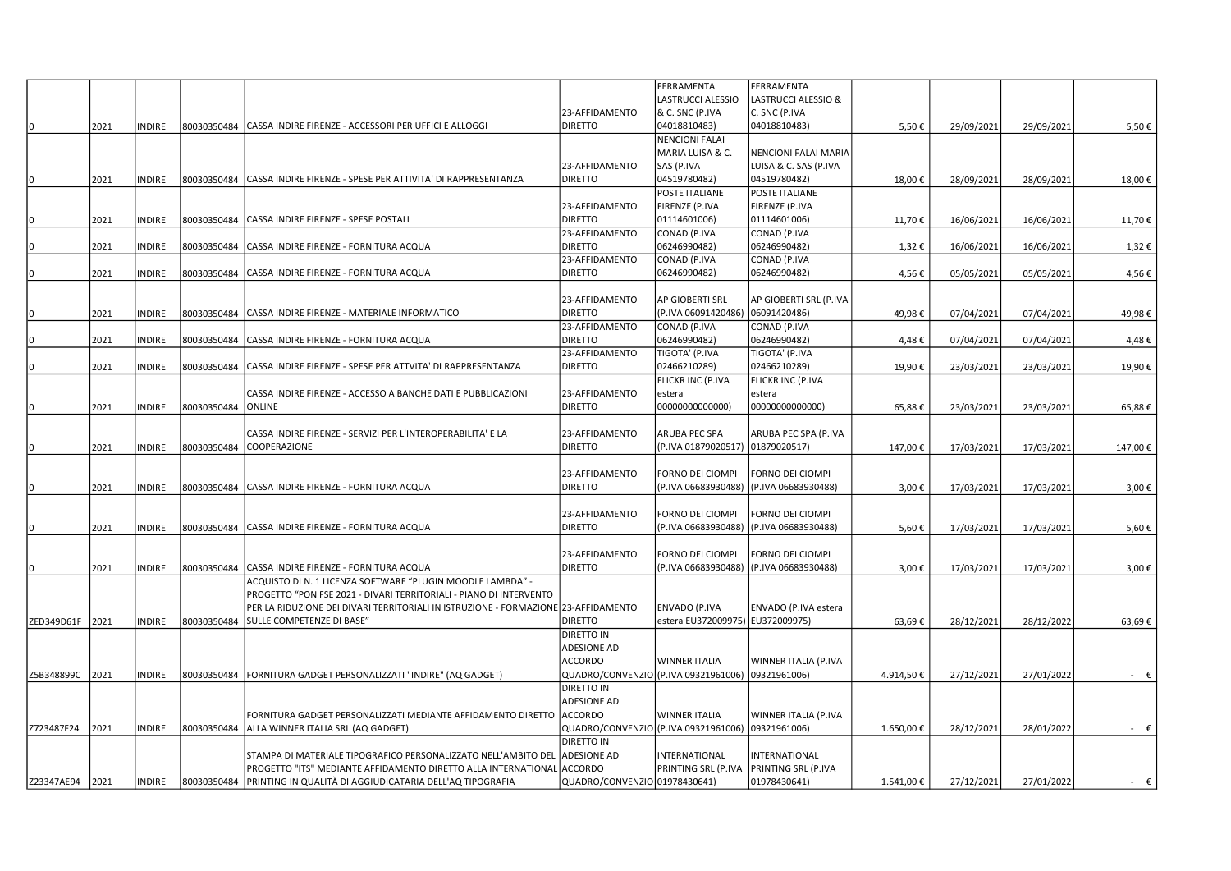|            |      |               |             |                                                                                    |                               | FERRAMENTA                                        | FERRAMENTA               |           |            |            |             |
|------------|------|---------------|-------------|------------------------------------------------------------------------------------|-------------------------------|---------------------------------------------------|--------------------------|-----------|------------|------------|-------------|
|            |      |               |             |                                                                                    |                               | LASTRUCCI ALESSIO                                 | LASTRUCCI ALESSIO &      |           |            |            |             |
|            |      |               |             |                                                                                    | 23-AFFIDAMENTO                | <b>&amp; C. SNC (P.IVA</b>                        | C. SNC (P.IVA            |           |            |            |             |
| $\Omega$   | 2021 | INDIRE        | 80030350484 | CASSA INDIRE FIRENZE - ACCESSORI PER UFFICI E ALLOGGI                              | <b>DIRETTO</b>                | 04018810483)                                      | 04018810483)             | 5,50€     | 29/09/2021 | 29/09/2021 | 5,50€       |
|            |      |               |             |                                                                                    |                               | <b>NENCIONI FALAI</b>                             |                          |           |            |            |             |
|            |      |               |             |                                                                                    |                               |                                                   |                          |           |            |            |             |
|            |      |               |             |                                                                                    |                               | MARIA LUISA & C.                                  | NENCIONI FALAI MARIA     |           |            |            |             |
|            |      |               |             |                                                                                    | 23-AFFIDAMENTO                | SAS (P.IVA                                        | LUISA & C. SAS (P.IVA    |           |            |            |             |
|            | 2021 | <b>INDIRE</b> |             | 80030350484 CASSA INDIRE FIRENZE - SPESE PER ATTIVITA' DI RAPPRESENTANZA           | <b>DIRETTO</b>                | 04519780482)                                      | 04519780482)             | 18,00€    | 28/09/2021 | 28/09/2021 | 18,00€      |
|            |      |               |             |                                                                                    |                               | <b>POSTE ITALIANE</b>                             | POSTE ITALIANE           |           |            |            |             |
|            |      |               |             |                                                                                    | 23-AFFIDAMENTO                | FIRENZE (P.IVA                                    | FIRENZE (P.IVA           |           |            |            |             |
|            | 2021 | INDIRE        |             | 80030350484 CASSA INDIRE FIRENZE - SPESE POSTALI                                   | <b>DIRETTO</b>                | 01114601006)                                      | 01114601006)             | 11,70€    | 16/06/2021 | 16/06/2021 | 11,70€      |
|            |      |               |             |                                                                                    | 23-AFFIDAMENTO                | CONAD (P.IVA                                      | CONAD (P.IVA             |           |            |            |             |
|            | 2021 | <b>INDIRE</b> | 80030350484 | CASSA INDIRE FIRENZE - FORNITURA ACQUA                                             | <b>DIRETTO</b>                | 06246990482)                                      | 06246990482)             | 1,32€     | 16/06/2021 | 16/06/2021 | 1,32€       |
|            |      |               |             |                                                                                    | 23-AFFIDAMENTO                | CONAD (P.IVA                                      | CONAD (P.IVA             |           |            |            |             |
|            |      |               |             |                                                                                    |                               |                                                   |                          |           |            |            |             |
| n          | 2021 | <b>INDIRE</b> | 80030350484 | CASSA INDIRE FIRENZE - FORNITURA ACQUA                                             | <b>DIRETTO</b>                | 06246990482)                                      | 06246990482)             | 4,56€     | 05/05/2021 | 05/05/2021 | 4,56€       |
|            |      |               |             |                                                                                    |                               |                                                   |                          |           |            |            |             |
|            |      |               |             |                                                                                    | 23-AFFIDAMENTO                | AP GIOBERTI SRL                                   | AP GIOBERTI SRL (P.IVA   |           |            |            |             |
|            | 2021 | INDIRE        |             | 80030350484 CASSA INDIRE FIRENZE - MATERIALE INFORMATICO                           | <b>DIRETTO</b>                | (P.IVA 06091420486)                               | 06091420486)             | 49,98€    | 07/04/2021 | 07/04/2021 | 49,98€      |
|            |      |               |             |                                                                                    | 23-AFFIDAMENTO                | CONAD (P.IVA                                      | CONAD (P.IVA             |           |            |            |             |
|            | 2021 | INDIRE        | 80030350484 | CASSA INDIRE FIRENZE - FORNITURA ACQUA                                             | <b>DIRETTO</b>                | 06246990482)                                      | 06246990482)             | 4,48€     | 07/04/2021 | 07/04/2021 | 4,48€       |
|            |      |               |             |                                                                                    | 23-AFFIDAMENTO                | TIGOTA' (P.IVA                                    | TIGOTA' (P.IVA           |           |            |            |             |
|            | 2021 | <b>INDIRE</b> | 80030350484 | CASSA INDIRE FIRENZE - SPESE PER ATTVITA' DI RAPPRESENTANZA                        | <b>DIRETTO</b>                | 02466210289)                                      | 02466210289)             | 19,90€    | 23/03/2021 | 23/03/2021 | 19,90€      |
|            |      |               |             |                                                                                    |                               |                                                   |                          |           |            |            |             |
|            |      |               |             |                                                                                    |                               | FLICKR INC (P.IVA                                 | <b>FLICKR INC (P.IVA</b> |           |            |            |             |
|            |      |               |             | CASSA INDIRE FIRENZE - ACCESSO A BANCHE DATI E PUBBLICAZIONI                       | 23-AFFIDAMENTO                | estera                                            | estera                   |           |            |            |             |
|            | 2021 | <b>INDIRE</b> | 80030350484 | <b>ONLINE</b>                                                                      | <b>DIRETTO</b>                | 00000000000000)                                   | 0000000000000)           | 65,88€    | 23/03/2021 | 23/03/2021 | 65,88€      |
|            |      |               |             |                                                                                    |                               |                                                   |                          |           |            |            |             |
|            |      |               |             | CASSA INDIRE FIRENZE - SERVIZI PER L'INTEROPERABILITA' E LA                        | 23-AFFIDAMENTO                | ARUBA PEC SPA                                     | ARUBA PEC SPA (P.IVA     |           |            |            |             |
|            | 2021 | INDIRE        | 80030350484 | COOPERAZIONE                                                                       | <b>DIRETTO</b>                | (P.IVA 01879020517) 01879020517)                  |                          | 147,00€   | 17/03/2021 | 17/03/2021 | 147,00€     |
|            |      |               |             |                                                                                    |                               |                                                   |                          |           |            |            |             |
|            |      |               |             |                                                                                    | 23-AFFIDAMENTO                | FORNO DEI CIOMPI                                  | <b>FORNO DEI CIOMPI</b>  |           |            |            |             |
|            | 2021 | INDIRE        |             | 80030350484 CASSA INDIRE FIRENZE - FORNITURA ACQUA                                 | <b>DIRETTO</b>                | (P.IVA 06683930488)                               | (P.IVA 06683930488)      | 3,00€     | 17/03/2021 | 17/03/2021 | 3,00€       |
|            |      |               |             |                                                                                    |                               |                                                   |                          |           |            |            |             |
|            |      |               |             |                                                                                    |                               |                                                   |                          |           |            |            |             |
|            |      |               |             |                                                                                    | 23-AFFIDAMENTO                | FORNO DEI CIOMPI                                  | <b>FORNO DEI CIOMPI</b>  |           |            |            |             |
|            | 2021 | INDIRE        |             | 80030350484 CASSA INDIRE FIRENZE - FORNITURA ACQUA                                 | <b>DIRETTO</b>                | (P.IVA 06683930488)                               | (P.IVA 06683930488)      | 5,60€     | 17/03/2021 | 17/03/2021 | 5,60€       |
|            |      |               |             |                                                                                    |                               |                                                   |                          |           |            |            |             |
|            |      |               |             |                                                                                    | 23-AFFIDAMENTO                | FORNO DEI CIOMPI                                  | FORNO DEI CIOMPI         |           |            |            |             |
|            | 2021 | INDIRE        | 80030350484 | CASSA INDIRE FIRENZE - FORNITURA ACQUA                                             | <b>DIRETTO</b>                | (P.IVA 06683930488)                               | (P.IVA 06683930488)      | 3,00€     | 17/03/2021 | 17/03/2021 | 3,00€       |
|            |      |               |             | ACQUISTO DI N. 1 LICENZA SOFTWARE "PLUGIN MOODLE LAMBDA" -                         |                               |                                                   |                          |           |            |            |             |
|            |      |               |             | PROGETTO "PON FSE 2021 - DIVARI TERRITORIALI - PIANO DI INTERVENTO                 |                               |                                                   |                          |           |            |            |             |
|            |      |               |             | PER LA RIDUZIONE DEI DIVARI TERRITORIALI IN ISTRUZIONE - FORMAZIONE 23-AFFIDAMENTO |                               | <b>ENVADO (P.IVA</b>                              | ENVADO (P.IVA estera     |           |            |            |             |
|            |      |               |             |                                                                                    |                               |                                                   |                          |           |            |            |             |
| ZED349D61F | 2021 | INDIRE        | 80030350484 | SULLE COMPETENZE DI BASE"                                                          | <b>DIRETTO</b>                | estera EU372009975) EU372009975)                  |                          | 63,69€    | 28/12/2021 | 28/12/2022 | 63,69€      |
|            |      |               |             |                                                                                    | DIRETTO IN                    |                                                   |                          |           |            |            |             |
|            |      |               |             |                                                                                    | <b>ADESIONE AD</b>            |                                                   |                          |           |            |            |             |
|            |      |               |             |                                                                                    | <b>ACCORDO</b>                | <b>WINNER ITALIA</b>                              | WINNER ITALIA (P.IVA     |           |            |            |             |
| Z5B348899C | 2021 | INDIRE        |             | 80030350484 FORNITURA GADGET PERSONALIZZATI "INDIRE" (AQ GADGET)                   |                               | QUADRO/CONVENZIO (P.IVA 09321961006) 09321961006) |                          | 4.914,50€ | 27/12/2021 | 27/01/2022 | $ \epsilon$ |
|            |      |               |             |                                                                                    | <b>DIRETTO IN</b>             |                                                   |                          |           |            |            |             |
|            |      |               |             |                                                                                    | <b>ADESIONE AD</b>            |                                                   |                          |           |            |            |             |
|            |      |               |             | FORNITURA GADGET PERSONALIZZATI MEDIANTE AFFIDAMENTO DIRETTO                       | ACCORDO                       | <b>WINNER ITALIA</b>                              | WINNER ITALIA (P.IVA     |           |            |            |             |
|            | 2021 | INDIRE        |             | ALLA WINNER ITALIA SRL (AQ GADGET)                                                 |                               | QUADRO/CONVENZIO (P.IVA 09321961006) 09321961006) |                          |           |            |            |             |
| Z723487F24 |      |               | 80030350484 |                                                                                    |                               |                                                   |                          | 1.650,00€ | 28/12/2021 | 28/01/2022 | - €         |
|            |      |               |             |                                                                                    | <b>DIRETTO IN</b>             |                                                   |                          |           |            |            |             |
|            |      |               |             | STAMPA DI MATERIALE TIPOGRAFICO PERSONALIZZATO NELL'AMBITO DEI                     | <b>ADESIONE AD</b>            | INTERNATIONAL                                     | <b>INTERNATIONAL</b>     |           |            |            |             |
|            |      |               |             | PROGETTO "ITS" MEDIANTE AFFIDAMENTO DIRETTO ALLA INTERNATIONAL                     | ACCORDO                       | PRINTING SRL (P.IVA                               | PRINTING SRL (P.IVA      |           |            |            |             |
| Z23347AE94 | 2021 | INDIRE        | 80030350484 | PRINTING IN QUALITÀ DI AGGIUDICATARIA DELL'AQ TIPOGRAFIA                           | QUADRO/CONVENZIO 01978430641) |                                                   | 01978430641)             | 1.541,00€ | 27/12/2021 | 27/01/2022 | $ \epsilon$ |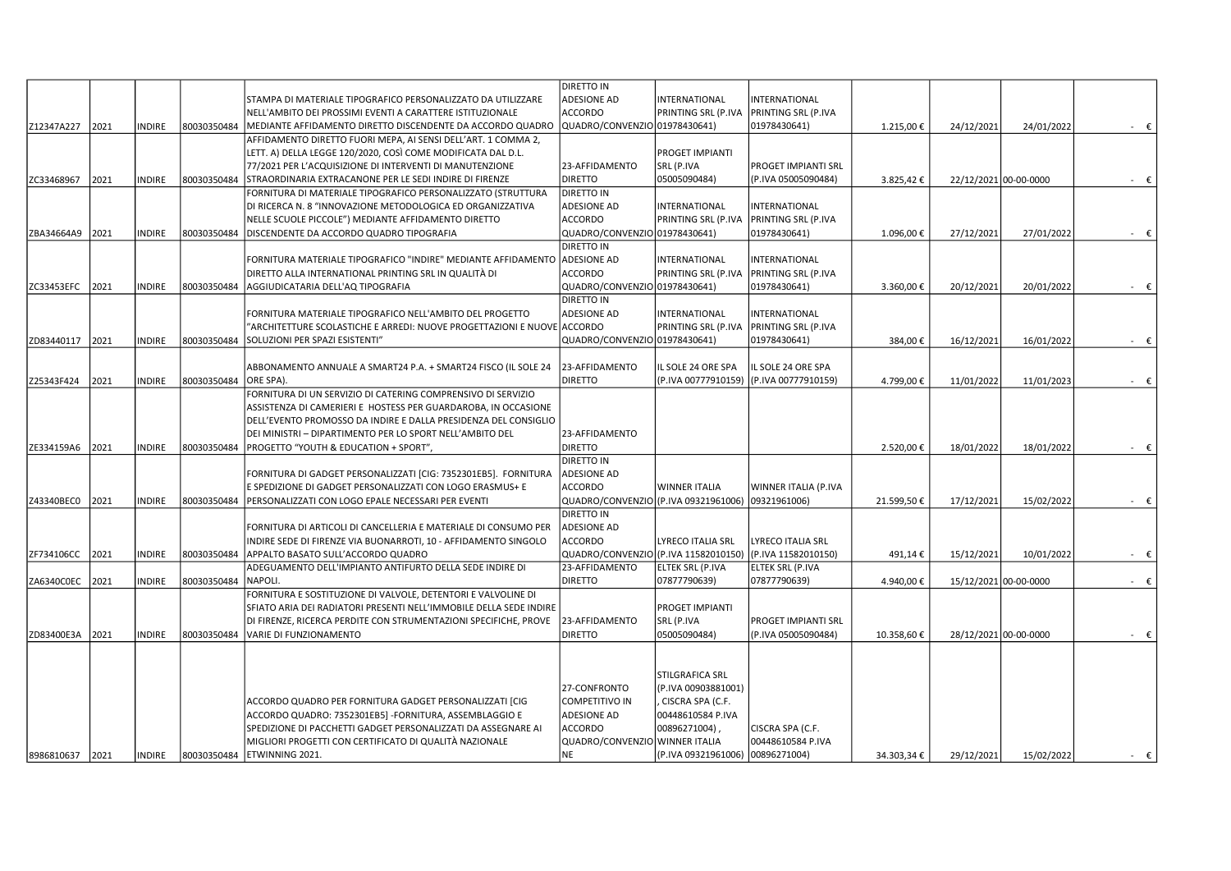|                 |      |               |             |                                                                         | <b>DIRETTO IN</b>                    |                                  |                                         |             |            |                       |                |
|-----------------|------|---------------|-------------|-------------------------------------------------------------------------|--------------------------------------|----------------------------------|-----------------------------------------|-------------|------------|-----------------------|----------------|
|                 |      |               |             | STAMPA DI MATERIALE TIPOGRAFICO PERSONALIZZATO DA UTILIZZARE            | <b>ADESIONE AD</b>                   | INTERNATIONAL                    | INTERNATIONAL                           |             |            |                       |                |
|                 |      |               |             | NELL'AMBITO DEI PROSSIMI EVENTI A CARATTERE ISTITUZIONALE               | <b>ACCORDO</b>                       | PRINTING SRL (P.IVA              | <b>PRINTING SRL (P.IVA</b>              |             |            |                       |                |
|                 |      | <b>INDIRE</b> |             |                                                                         | QUADRO/CONVENZIO 01978430641)        |                                  | 01978430641)                            |             |            |                       |                |
| Z12347A227      | 2021 |               | 80030350484 | MEDIANTE AFFIDAMENTO DIRETTO DISCENDENTE DA ACCORDO QUADRO              |                                      |                                  |                                         | 1.215,00€   | 24/12/2021 | 24/01/2022            | $ \varepsilon$ |
|                 |      |               |             | AFFIDAMENTO DIRETTO FUORI MEPA, AI SENSI DELL'ART. 1 COMMA 2,           |                                      |                                  |                                         |             |            |                       |                |
|                 |      |               |             | LETT. A) DELLA LEGGE 120/2020, COSÌ COME MODIFICATA DAL D.L.            |                                      | PROGET IMPIANTI                  |                                         |             |            |                       |                |
|                 |      |               |             | 77/2021 PER L'ACQUISIZIONE DI INTERVENTI DI MANUTENZIONE                | 23-AFFIDAMENTO                       | SRL (P.IVA                       | <b>PROGET IMPIANTI SRL</b>              |             |            |                       |                |
| ZC33468967      | 2021 | <b>INDIRE</b> | 80030350484 | STRAORDINARIA EXTRACANONE PER LE SEDI INDIRE DI FIRENZE                 | <b>DIRETTO</b>                       | 05005090484)                     | (P.IVA 05005090484)                     | 3.825,42€   |            | 22/12/2021 00-00-0000 | $ \epsilon$    |
|                 |      |               |             | FORNITURA DI MATERIALE TIPOGRAFICO PERSONALIZZATO (STRUTTURA            | <b>DIRETTO IN</b>                    |                                  |                                         |             |            |                       |                |
|                 |      |               |             | DI RICERCA N. 8 "INNOVAZIONE METODOLOGICA ED ORGANIZZATIVA              | <b>ADESIONE AD</b>                   | INTERNATIONAL                    | INTERNATIONAL                           |             |            |                       |                |
|                 |      |               |             | NELLE SCUOLE PICCOLE") MEDIANTE AFFIDAMENTO DIRETTO                     | <b>ACCORDO</b>                       | PRINTING SRL (P.IVA              | <b>PRINTING SRL (P.IVA</b>              |             |            |                       |                |
| ZBA34664A9      | 2021 | <b>INDIRE</b> | 80030350484 | DISCENDENTE DA ACCORDO QUADRO TIPOGRAFIA                                | QUADRO/CONVENZIO 01978430641)        |                                  | 01978430641)                            | 1.096,00€   | 27/12/2021 | 27/01/2022            | $ \varepsilon$ |
|                 |      |               |             |                                                                         | <b>DIRETTO IN</b>                    |                                  |                                         |             |            |                       |                |
|                 |      |               |             | FORNITURA MATERIALE TIPOGRAFICO "INDIRE" MEDIANTE AFFIDAMENTO           | <b>ADESIONE AD</b>                   | INTERNATIONAL                    | INTERNATIONAL                           |             |            |                       |                |
|                 |      |               |             | DIRETTO ALLA INTERNATIONAL PRINTING SRL IN QUALITÀ DI                   | <b>ACCORDO</b>                       | <b>PRINTING SRL (P.IVA</b>       | PRINTING SRL (P.IVA                     |             |            |                       |                |
| ZC33453EFC      | 2021 | <b>INDIRE</b> | 80030350484 | AGGIUDICATARIA DELL'AQ TIPOGRAFIA                                       | QUADRO/CONVENZIO 01978430641)        |                                  | 01978430641)                            | 3.360,00€   | 20/12/2021 | 20/01/2022            | $ \varepsilon$ |
|                 |      |               |             |                                                                         | <b>DIRETTO IN</b>                    |                                  |                                         |             |            |                       |                |
|                 |      |               |             | FORNITURA MATERIALE TIPOGRAFICO NELL'AMBITO DEL PROGETTO                | <b>ADESIONE AD</b>                   | INTERNATIONAL                    | INTERNATIONAL                           |             |            |                       |                |
|                 |      |               |             | ARCHITETTURE SCOLASTICHE E ARREDI: NUOVE PROGETTAZIONI E NUOVE ACCORDO' |                                      | PRINTING SRL (P.IVA              | <b>PRINTING SRL (P.IVA</b>              |             |            |                       |                |
|                 |      |               |             |                                                                         |                                      |                                  |                                         |             |            |                       |                |
| ZD83440117      | 2021 | INDIRE        | 80030350484 | SOLUZIONI PER SPAZI ESISTENTI"                                          | QUADRO/CONVENZIO 01978430641)        |                                  | 01978430641)                            | 384,00€     | 16/12/2021 | 16/01/2022            | - €            |
|                 |      |               |             |                                                                         |                                      |                                  |                                         |             |            |                       |                |
|                 |      |               |             | ABBONAMENTO ANNUALE A SMART24 P.A. + SMART24 FISCO (IL SOLE 24          | 23-AFFIDAMENTO                       | IL SOLE 24 ORE SPA               | IL SOLE 24 ORE SPA                      |             |            |                       |                |
| Z25343F424      | 2021 | <b>INDIRE</b> | 80030350484 | ORE SPA).                                                               | <b>DIRETTO</b>                       |                                  | (P.IVA 00777910159) (P.IVA 00777910159) | 4.799,00€   | 11/01/2022 | 11/01/2023            | $ \epsilon$    |
|                 |      |               |             | FORNITURA DI UN SERVIZIO DI CATERING COMPRENSIVO DI SERVIZIO            |                                      |                                  |                                         |             |            |                       |                |
|                 |      |               |             | ASSISTENZA DI CAMERIERI E HOSTESS PER GUARDAROBA, IN OCCASIONE          |                                      |                                  |                                         |             |            |                       |                |
|                 |      |               |             | DELL'EVENTO PROMOSSO DA INDIRE E DALLA PRESIDENZA DEL CONSIGLIO         |                                      |                                  |                                         |             |            |                       |                |
|                 |      |               |             | DEI MINISTRI – DIPARTIMENTO PER LO SPORT NELL'AMBITO DEL                | 23-AFFIDAMENTO                       |                                  |                                         |             |            |                       |                |
| ZE334159A6      | 2021 | <b>INDIRE</b> | 80030350484 | PROGETTO "YOUTH & EDUCATION + SPORT",                                   | <b>DIRETTO</b>                       |                                  |                                         | 2.520,00€   | 18/01/2022 | 18/01/2022            | $ \epsilon$    |
|                 |      |               |             |                                                                         | <b>DIRETTO IN</b>                    |                                  |                                         |             |            |                       |                |
|                 |      |               |             | FORNITURA DI GADGET PERSONALIZZATI [CIG: 7352301EB5]. FORNITURA         | <b>ADESIONE AD</b>                   |                                  |                                         |             |            |                       |                |
|                 |      |               |             | E SPEDIZIONE DI GADGET PERSONALIZZATI CON LOGO ERASMUS+ E               | <b>ACCORDO</b>                       | WINNER ITALIA                    | WINNER ITALIA (P.IVA                    |             |            |                       |                |
| Z43340BEC0      | 2021 | <b>INDIRE</b> | 80030350484 | PERSONALIZZATI CON LOGO EPALE NECESSARI PER EVENTI                      | QUADRO/CONVENZIO (P.IVA 09321961006) |                                  | 09321961006)                            | 21.599,50€  | 17/12/2021 | 15/02/2022            | - €            |
|                 |      |               |             |                                                                         | <b>DIRETTO IN</b>                    |                                  |                                         |             |            |                       |                |
|                 |      |               |             | FORNITURA DI ARTICOLI DI CANCELLERIA E MATERIALE DI CONSUMO PER         | <b>ADESIONE AD</b>                   |                                  |                                         |             |            |                       |                |
|                 |      |               |             | INDIRE SEDE DI FIRENZE VIA BUONARROTI, 10 - AFFIDAMENTO SINGOLO         | <b>ACCORDO</b>                       | LYRECO ITALIA SRL                | <b>LYRECO ITALIA SRL</b>                |             |            |                       |                |
| ZF734106CC      | 2021 | <b>INDIRE</b> | 80030350484 | APPALTO BASATO SULL'ACCORDO QUADRO                                      | QUADRO/CONVENZIO (P.IVA 11582010150) |                                  | (P.IVA 11582010150)                     | 491,14€     | 15/12/2021 | 10/01/2022            | $ \varepsilon$ |
|                 |      |               |             | ADEGUAMENTO DELL'IMPIANTO ANTIFURTO DELLA SEDE INDIRE DI                | 23-AFFIDAMENTO                       | ELTEK SRL (P.IVA                 | <b>ELTEK SRL (P.IVA</b>                 |             |            |                       |                |
| ZA6340C0EC      | 2021 | <b>INDIRE</b> | 80030350484 | NAPOLI.                                                                 | <b>DIRETTO</b>                       | 07877790639)                     | 07877790639)                            | 4.940,00€   |            | 15/12/2021 00-00-0000 | $ \epsilon$    |
|                 |      |               |             | FORNITURA E SOSTITUZIONE DI VALVOLE, DETENTORI E VALVOLINE DI           |                                      |                                  |                                         |             |            |                       |                |
|                 |      |               |             | SFIATO ARIA DEI RADIATORI PRESENTI NELL'IMMOBILE DELLA SEDE INDIRE      |                                      | PROGET IMPIANTI                  |                                         |             |            |                       |                |
|                 |      |               |             |                                                                         |                                      |                                  |                                         |             |            |                       |                |
|                 |      |               |             | DI FIRENZE, RICERCA PERDITE CON STRUMENTAZIONI SPECIFICHE, PROVE        | 23-AFFIDAMENTO                       | SRL (P.IVA                       | PROGET IMPIANTI SRL                     |             |            |                       |                |
| ZD83400E3A      | 2021 | <b>INDIRE</b> | 80030350484 | VARIE DI FUNZIONAMENTO                                                  | <b>DIRETTO</b>                       | 05005090484)                     | (P.IVA 05005090484)                     | 10.358,60€  |            | 28/12/2021 00-00-0000 | - €            |
|                 |      |               |             |                                                                         |                                      |                                  |                                         |             |            |                       |                |
|                 |      |               |             |                                                                         |                                      |                                  |                                         |             |            |                       |                |
|                 |      |               |             |                                                                         |                                      | <b>STILGRAFICA SRL</b>           |                                         |             |            |                       |                |
|                 |      |               |             |                                                                         | 27-CONFRONTO                         | (P.IVA 00903881001)              |                                         |             |            |                       |                |
|                 |      |               |             | ACCORDO QUADRO PER FORNITURA GADGET PERSONALIZZATI [CIG                 | <b>COMPETITIVO IN</b>                | CISCRA SPA (C.F.                 |                                         |             |            |                       |                |
|                 |      |               |             | ACCORDO QUADRO: 7352301EB5] - FORNITURA, ASSEMBLAGGIO E                 | <b>ADESIONE AD</b>                   | 00448610584 P.IVA                |                                         |             |            |                       |                |
|                 |      |               |             | SPEDIZIONE DI PACCHETTI GADGET PERSONALIZZATI DA ASSEGNARE AI           | <b>ACCORDO</b>                       | 00896271004),                    | CISCRA SPA (C.F.                        |             |            |                       |                |
|                 |      |               |             | MIGLIORI PROGETTI CON CERTIFICATO DI QUALITÀ NAZIONALE                  | QUADRO/CONVENZIO WINNER ITALIA       |                                  | 00448610584 P.IVA                       |             |            |                       |                |
| 8986810637 2021 |      | INDIRE        | 80030350484 | <b>ETWINNING 2021.</b>                                                  | <b>NE</b>                            | (P.IVA 09321961006) 00896271004) |                                         | 34.303,34 € | 29/12/2021 | 15/02/2022            | - €            |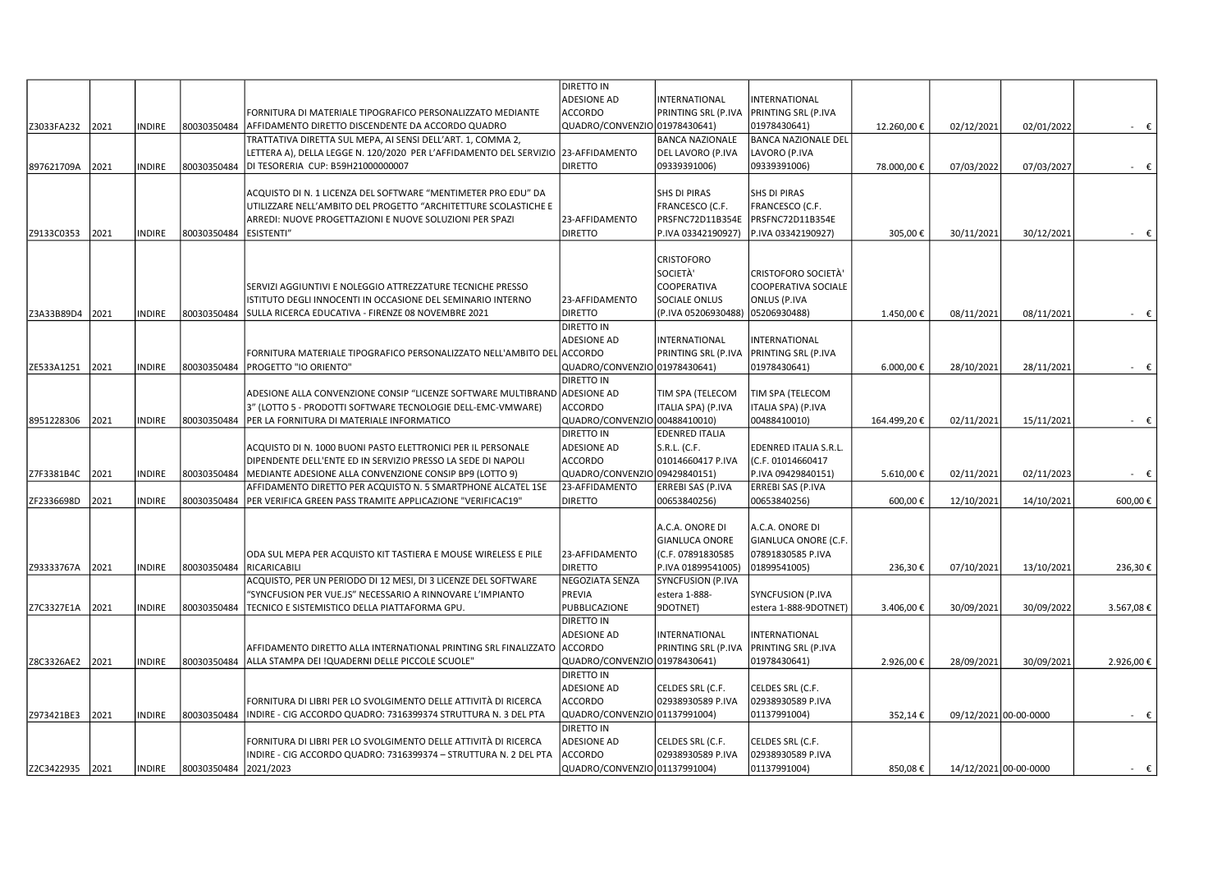|                 |      |               |             |                                                                                                                                     | <b>DIRETTO IN</b>                                  |                                       |                                       |             |                       |                       |             |
|-----------------|------|---------------|-------------|-------------------------------------------------------------------------------------------------------------------------------------|----------------------------------------------------|---------------------------------------|---------------------------------------|-------------|-----------------------|-----------------------|-------------|
|                 |      |               |             |                                                                                                                                     | <b>ADESIONE AD</b>                                 | INTERNATIONAL                         | INTERNATIONAL                         |             |                       |                       |             |
|                 |      |               |             | FORNITURA DI MATERIALE TIPOGRAFICO PERSONALIZZATO MEDIANTE                                                                          | <b>ACCORDO</b>                                     | PRINTING SRL (P.IVA                   | PRINTING SRL (P.IVA                   |             |                       |                       |             |
| Z3033FA232      | 2021 | NDIRE         | 80030350484 | AFFIDAMENTO DIRETTO DISCENDENTE DA ACCORDO QUADRO                                                                                   | QUADRO/CONVENZIO 01978430641)                      |                                       | 01978430641)                          | 12.260,00€  | 02/12/2021            | 02/01/2022            | - €         |
|                 |      |               |             | TRATTATIVA DIRETTA SUL MEPA, AI SENSI DELL'ART. 1, COMMA 2,                                                                         |                                                    | <b>BANCA NAZIONALE</b>                | <b>BANCA NAZIONALE DEL</b>            |             |                       |                       |             |
|                 |      |               |             | LETTERA A), DELLA LEGGE N. 120/2020 PER L'AFFIDAMENTO DEL SERVIZIO  23-AFFIDAMENTO                                                  |                                                    | DEL LAVORO (P.IVA                     | LAVORO (P.IVA                         |             |                       |                       |             |
| 897621709A      | 2021 | <b>NDIRE</b>  | 80030350484 | DI TESORERIA CUP: B59H21000000007                                                                                                   | <b>DIRETTO</b>                                     | 09339391006)                          | 09339391006)                          | 78.000,00€  | 07/03/2022            | 07/03/2027            | - €         |
|                 |      |               |             |                                                                                                                                     |                                                    |                                       |                                       |             |                       |                       |             |
|                 |      |               |             | ACQUISTO DI N. 1 LICENZA DEL SOFTWARE "MENTIMETER PRO EDU" DA                                                                       |                                                    | SHS DI PIRAS                          | SHS DI PIRAS                          |             |                       |                       |             |
|                 |      |               |             | UTILIZZARE NELL'AMBITO DEL PROGETTO "ARCHITETTURE SCOLASTICHE E                                                                     |                                                    | FRANCESCO (C.F.                       | FRANCESCO (C.F.                       |             |                       |                       |             |
|                 |      |               |             | ARREDI: NUOVE PROGETTAZIONI E NUOVE SOLUZIONI PER SPAZI                                                                             | 23-AFFIDAMENTO                                     | PRSFNC72D11B354E                      | PRSFNC72D11B354E                      |             |                       |                       |             |
| Z9133C0353      | 2021 | <b>NDIRE</b>  | 80030350484 | <b>ESISTENTI"</b>                                                                                                                   | <b>DIRETTO</b>                                     | P.IVA 03342190927)                    | P.IVA 03342190927)                    | 305,00€     | 30/11/2021            | 30/12/2021            | $ \epsilon$ |
|                 |      |               |             |                                                                                                                                     |                                                    |                                       |                                       |             |                       |                       |             |
|                 |      |               |             |                                                                                                                                     |                                                    | CRISTOFORO                            |                                       |             |                       |                       |             |
|                 |      |               |             |                                                                                                                                     |                                                    | SOCIETÀ'                              | <b>CRISTOFORO SOCIETÀ'</b>            |             |                       |                       |             |
|                 |      |               |             | SERVIZI AGGIUNTIVI E NOLEGGIO ATTREZZATURE TECNICHE PRESSO                                                                          |                                                    | COOPERATIVA                           | COOPERATIVA SOCIALE                   |             |                       |                       |             |
|                 |      |               |             | ISTITUTO DEGLI INNOCENTI IN OCCASIONE DEL SEMINARIO INTERNO                                                                         | 23-AFFIDAMENTO                                     | SOCIALE ONLUS                         | <b>ONLUS (P.IVA</b>                   |             |                       |                       |             |
| Z3A33B89D4      | 2021 | INDIRE        | 80030350484 | SULLA RICERCA EDUCATIVA - FIRENZE 08 NOVEMBRE 2021                                                                                  | <b>DIRETTO</b>                                     | (P.IVA 05206930488) 05206930488)      |                                       | 1.450,00€   | 08/11/2021            | 08/11/2021            | $ \epsilon$ |
|                 |      |               |             |                                                                                                                                     | <b>DIRETTO IN</b>                                  |                                       |                                       |             |                       |                       |             |
|                 |      |               |             |                                                                                                                                     | <b>ADESIONE AD</b>                                 | INTERNATIONAL                         | INTERNATIONAL                         |             |                       |                       |             |
|                 |      |               |             | FORNITURA MATERIALE TIPOGRAFICO PERSONALIZZATO NELL'AMBITO DEL ACCORDO                                                              |                                                    | PRINTING SRL (P.IVA                   | PRINTING SRL (P.IVA                   |             |                       |                       |             |
| ZE533A1251      | 2021 | INDIRE        | 80030350484 | PROGETTO "IO ORIENTO"                                                                                                               | QUADRO/CONVENZIO 01978430641)                      |                                       | 01978430641)                          | 6.000,00€   | 28/10/2021            | 28/11/2021            | $ \epsilon$ |
|                 |      |               |             |                                                                                                                                     | <b>DIRETTO IN</b>                                  |                                       |                                       |             |                       |                       |             |
|                 |      |               |             | ADESIONE ALLA CONVENZIONE CONSIP "LICENZE SOFTWARE MULTIBRAND  ADESIONE AD                                                          |                                                    | TIM SPA (TELECOM                      | TIM SPA (TELECOM                      |             |                       |                       |             |
|                 |      |               |             | 3" (LOTTO 5 - PRODOTTI SOFTWARE TECNOLOGIE DELL-EMC-VMWARE)                                                                         | <b>ACCORDO</b>                                     | ITALIA SPA) (P.IVA                    | ITALIA SPA) (P.IVA                    |             |                       |                       |             |
| 8951228306      | 2021 | NDIRE         | 80030350484 | PER LA FORNITURA DI MATERIALE INFORMATICO                                                                                           | QUADRO/CONVENZIO 00488410010)                      |                                       | 00488410010)                          | 164.499,20€ | 02/11/2021            | 15/11/2021            | $ \epsilon$ |
|                 |      |               |             |                                                                                                                                     | <b>DIRETTO IN</b>                                  | EDENRED ITALIA                        |                                       |             |                       |                       |             |
|                 |      |               |             | ACQUISTO DI N. 1000 BUONI PASTO ELETTRONICI PER IL PERSONALE                                                                        | <b>ADESIONE AD</b>                                 | S.R.L. (C.F.                          | EDENRED ITALIA S.R.L.                 |             |                       |                       |             |
|                 |      |               |             | DIPENDENTE DELL'ENTE ED IN SERVIZIO PRESSO LA SEDE DI NAPOLI                                                                        | <b>ACCORDO</b>                                     | 01014660417 P.IVA                     | (C.F. 01014660417                     |             |                       |                       |             |
| Z7F3381B4C      | 2021 | <b>NDIRE</b>  | 80030350484 | MEDIANTE ADESIONE ALLA CONVENZIONE CONSIP BP9 (LOTTO 9)                                                                             | QUADRO/CONVENZIO                                   | 09429840151)                          | P.IVA 09429840151)                    | 5.610,00€   | 02/11/2021            | 02/11/2023            | - €         |
|                 |      |               |             | AFFIDAMENTO DIRETTO PER ACQUISTO N. 5 SMARTPHONE ALCATEL 1SE                                                                        | 23-AFFIDAMENTO                                     | ERREBI SAS (P.IVA                     | ERREBI SAS (P.IVA                     |             |                       |                       |             |
| ZF2336698D      | 2021 | <b>NDIRE</b>  | 80030350484 | PER VERIFICA GREEN PASS TRAMITE APPLICAZIONE "VERIFICAC19"                                                                          | <b>DIRETTO</b>                                     | 00653840256)                          | 00653840256)                          | 600,00€     | 12/10/2021            | 14/10/2021            | 600,00€     |
|                 |      |               |             |                                                                                                                                     |                                                    |                                       |                                       |             |                       |                       |             |
|                 |      |               |             |                                                                                                                                     |                                                    | A.C.A. ONORE DI                       | A.C.A. ONORE DI                       |             |                       |                       |             |
|                 |      |               |             |                                                                                                                                     |                                                    | <b>GIANLUCA ONORE</b>                 | GIANLUCA ONORE (C.F.                  |             |                       |                       |             |
|                 |      |               |             | ODA SUL MEPA PER ACQUISTO KIT TASTIERA E MOUSE WIRELESS E PILE                                                                      | 23-AFFIDAMENTO                                     | (C.F. 07891830585                     | 07891830585 P.IVA                     |             |                       |                       |             |
| Z93333767A      | 2021 | <b>INDIRE</b> | 80030350484 | RICARICABILI                                                                                                                        | <b>DIRETTO</b>                                     | P.IVA 01899541005                     | 01899541005)                          | 236,30€     | 07/10/2021            | 13/10/2021            | 236,30€     |
|                 |      |               |             | ACQUISTO, PER UN PERIODO DI 12 MESI, DI 3 LICENZE DEL SOFTWARE                                                                      | NEGOZIATA SENZA                                    | <b>SYNCFUSION (P.IVA</b>              |                                       |             |                       |                       |             |
|                 |      |               |             | 'SYNCFUSION PER VUE.JS" NECESSARIO A RINNOVARE L'IMPIANTO                                                                           | PREVIA                                             | estera 1-888-                         | SYNCFUSION (P.IVA                     |             |                       |                       |             |
| Z7C3327E1A      | 2021 | INDIRE        | 80030350484 | TECNICO E SISTEMISTICO DELLA PIATTAFORMA GPU                                                                                        | PUBBLICAZIONE                                      | 9DOTNET)                              | estera 1-888-9DOTNET)                 | 3.406,00€   | 30/09/2021            | 30/09/2022            | 3.567,08€   |
|                 |      |               |             |                                                                                                                                     | <b>DIRETTO IN</b>                                  |                                       |                                       |             |                       |                       |             |
|                 |      |               |             |                                                                                                                                     | <b>ADESIONE AD</b>                                 | INTERNATIONAL                         | INTERNATIONAL                         |             |                       |                       |             |
|                 |      |               |             | AFFIDAMENTO DIRETTO ALLA INTERNATIONAL PRINTING SRL FINALIZZATO  ACCORDO                                                            |                                                    | PRINTING SRL (P.IVA                   | <b>PRINTING SRL (P.IVA</b>            |             |                       |                       |             |
| Z8C3326AE2      | 2021 | <b>INDIRE</b> | 80030350484 | ALLA STAMPA DEI !QUADERNI DELLE PICCOLE SCUOLE"                                                                                     | QUADRO/CONVENZIO 01978430641)                      |                                       | 01978430641)                          | 2.926,00€   | 28/09/2021            | 30/09/2021            | 2.926,00€   |
|                 |      |               |             |                                                                                                                                     | <b>DIRETTO IN</b>                                  |                                       |                                       |             |                       |                       |             |
|                 |      |               |             |                                                                                                                                     | <b>ADESIONE AD</b>                                 | CELDES SRL (C.F.                      | CELDES SRL (C.F.                      |             |                       |                       |             |
|                 | 2021 |               |             | FORNITURA DI LIBRI PER LO SVOLGIMENTO DELLE ATTIVITÀ DI RICERCA                                                                     | <b>ACCORDO</b>                                     | 02938930589 P.IVA                     | 02938930589 P.IVA                     |             |                       |                       |             |
| Z973421BE3      |      | <b>NDIRE</b>  | 80030350484 | INDIRE - CIG ACCORDO QUADRO: 7316399374 STRUTTURA N. 3 DEL PTA                                                                      | QUADRO/CONVENZIO 01137991004)<br><b>DIRETTO IN</b> |                                       | 01137991004)                          | 352,14€     |                       | 09/12/2021 00-00-0000 | $ \epsilon$ |
|                 |      |               |             |                                                                                                                                     |                                                    |                                       |                                       |             |                       |                       |             |
|                 |      |               |             | FORNITURA DI LIBRI PER LO SVOLGIMENTO DELLE ATTIVITÀ DI RICERCA<br>INDIRE - CIG ACCORDO QUADRO: 7316399374 - STRUTTURA N. 2 DEL PTA | <b>ADESIONE AD</b><br><b>ACCORDO</b>               | CELDES SRL (C.F.<br>02938930589 P.IVA | CELDES SRL (C.F.<br>02938930589 P.IVA |             |                       |                       |             |
|                 |      |               | 80030350484 | 2021/2023                                                                                                                           | QUADRO/CONVENZIO 01137991004)                      |                                       | 01137991004)                          |             |                       |                       |             |
| Z2C3422935 2021 |      | INDIRE        |             |                                                                                                                                     |                                                    |                                       |                                       | 850,08€     | 14/12/2021 00-00-0000 |                       | - €         |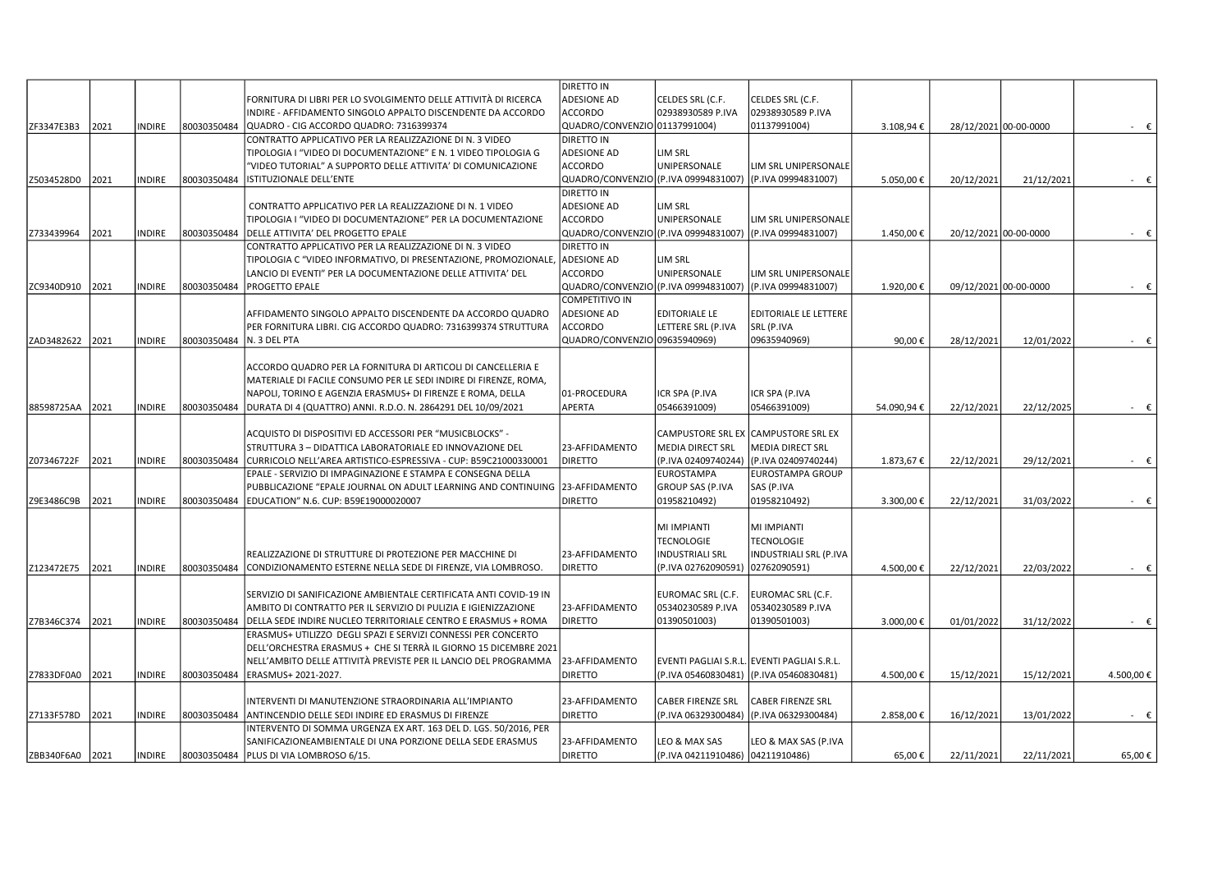|            |      |               |             |                                                                   | DIRETTO IN                           |                                  |                                             |            |            |                       |                |
|------------|------|---------------|-------------|-------------------------------------------------------------------|--------------------------------------|----------------------------------|---------------------------------------------|------------|------------|-----------------------|----------------|
|            |      |               |             | FORNITURA DI LIBRI PER LO SVOLGIMENTO DELLE ATTIVITÀ DI RICERCA   | <b>ADESIONE AD</b>                   | CELDES SRL (C.F.                 | CELDES SRL (C.F.                            |            |            |                       |                |
|            |      |               |             | INDIRE - AFFIDAMENTO SINGOLO APPALTO DISCENDENTE DA ACCORDO       | <b>ACCORDO</b>                       | 02938930589 P.IVA                | 02938930589 P.IVA                           |            |            |                       |                |
| ZF3347E3B3 | 2021 | <b>NDIRE</b>  | 80030350484 | QUADRO - CIG ACCORDO QUADRO: 7316399374                           | QUADRO/CONVENZIO 01137991004)        |                                  | 01137991004)                                | 3.108,94€  |            | 28/12/2021 00-00-0000 | $-\epsilon$    |
|            |      |               |             | CONTRATTO APPLICATIVO PER LA REALIZZAZIONE DI N. 3 VIDEO          | DIRETTO IN                           |                                  |                                             |            |            |                       |                |
|            |      |               |             | TIPOLOGIA I "VIDEO DI DOCUMENTAZIONE" E N. 1 VIDEO TIPOLOGIA G    | <b>ADESIONE AD</b>                   | LIM SRL                          |                                             |            |            |                       |                |
|            |      |               |             | "VIDEO TUTORIAL" A SUPPORTO DELLE ATTIVITA' DI COMUNICAZIONE      | <b>ACCORDO</b>                       | UNIPERSONALE                     | LIM SRL UNIPERSONALE                        |            |            |                       |                |
|            | 2021 | INDIRE        | 80030350484 | ISTITUZIONALE DELL'ENTE                                           | QUADRO/CONVENZIO (P.IVA 09994831007) |                                  | (P.IVA 09994831007)                         |            |            | 21/12/2021            |                |
| Z5034528D0 |      |               |             |                                                                   |                                      |                                  |                                             | 5.050,00€  | 20/12/2021 |                       | - €            |
|            |      |               |             |                                                                   | <b>DIRETTO IN</b>                    |                                  |                                             |            |            |                       |                |
|            |      |               |             | CONTRATTO APPLICATIVO PER LA REALIZZAZIONE DI N. 1 VIDEO          | <b>ADESIONE AD</b>                   | LIM SRL                          |                                             |            |            |                       |                |
|            |      |               |             | TIPOLOGIA I "VIDEO DI DOCUMENTAZIONE" PER LA DOCUMENTAZIONE       | <b>ACCORDO</b>                       | UNIPERSONALE                     | LIM SRL UNIPERSONALE                        |            |            |                       |                |
| Z733439964 | 2021 | INDIRE        | 80030350484 | DELLE ATTIVITA' DEL PROGETTO EPALE                                | QUADRO/CONVENZIO (P.IVA 09994831007) |                                  | (P.IVA 09994831007)                         | 1.450,00€  |            | 20/12/2021 00-00-0000 | $-\epsilon$    |
|            |      |               |             | CONTRATTO APPLICATIVO PER LA REALIZZAZIONE DI N. 3 VIDEO          | DIRETTO IN                           |                                  |                                             |            |            |                       |                |
|            |      |               |             | TIPOLOGIA C "VIDEO INFORMATIVO, DI PRESENTAZIONE, PROMOZIONALE,   | <b>ADESIONE AD</b>                   | LIM SRL                          |                                             |            |            |                       |                |
|            |      |               |             | LANCIO DI EVENTI" PER LA DOCUMENTAZIONE DELLE ATTIVITA' DEL       | <b>ACCORDO</b>                       | UNIPERSONALE                     | LIM SRL UNIPERSONALE                        |            |            |                       |                |
| ZC9340D910 | 2021 | <b>NDIRE</b>  | 80030350484 | <b>PROGETTO EPALE</b>                                             | QUADRO/CONVENZIO (P.IVA 09994831007) |                                  | (P.IVA 09994831007)                         | 1.920,00€  |            | 09/12/2021 00-00-0000 | - €            |
|            |      |               |             |                                                                   | <b>COMPETITIVO IN</b>                |                                  |                                             |            |            |                       |                |
|            |      |               |             | AFFIDAMENTO SINGOLO APPALTO DISCENDENTE DA ACCORDO QUADRO         | <b>ADESIONE AD</b>                   | <b>EDITORIALE LE</b>             | <b>EDITORIALE LE LETTERE</b>                |            |            |                       |                |
|            |      |               |             | PER FORNITURA LIBRI. CIG ACCORDO QUADRO: 7316399374 STRUTTURA     | <b>ACCORDO</b>                       | LETTERE SRL (P.IVA               | SRL (P.IVA                                  |            |            |                       |                |
| ZAD3482622 | 2021 | INDIRE        | 80030350484 | N. 3 DEL PTA                                                      | QUADRO/CONVENZIO 09635940969)        |                                  | 09635940969)                                | 90,00€     | 28/12/2021 | 12/01/2022            | $ \varepsilon$ |
|            |      |               |             |                                                                   |                                      |                                  |                                             |            |            |                       |                |
|            |      |               |             | ACCORDO QUADRO PER LA FORNITURA DI ARTICOLI DI CANCELLERIA E      |                                      |                                  |                                             |            |            |                       |                |
|            |      |               |             | MATERIALE DI FACILE CONSUMO PER LE SEDI INDIRE DI FIRENZE, ROMA,  |                                      |                                  |                                             |            |            |                       |                |
|            |      |               |             | NAPOLI, TORINO E AGENZIA ERASMUS+ DI FIRENZE E ROMA, DELLA        | 01-PROCEDURA                         | ICR SPA (P.IVA                   | ICR SPA (P.IVA                              |            |            |                       |                |
| 88598725AA | 2021 | <b>INDIRE</b> | 80030350484 | DURATA DI 4 (QUATTRO) ANNI. R.D.O. N. 2864291 DEL 10/09/2021      | APERTA                               | 05466391009)                     | 05466391009)                                | 54.090,94€ | 22/12/2021 | 22/12/2025            | - €            |
|            |      |               |             |                                                                   |                                      |                                  |                                             |            |            |                       |                |
|            |      |               |             |                                                                   |                                      |                                  |                                             |            |            |                       |                |
|            |      |               |             | ACQUISTO DI DISPOSITIVI ED ACCESSORI PER "MUSICBLOCKS" -          |                                      |                                  | CAMPUSTORE SRL EX CAMPUSTORE SRL EX         |            |            |                       |                |
|            |      |               |             | STRUTTURA 3 - DIDATTICA LABORATORIALE ED INNOVAZIONE DEL          | 23-AFFIDAMENTO                       | <b>MEDIA DIRECT SRL</b>          | <b>MEDIA DIRECT SRL</b>                     |            |            |                       |                |
| Z07346722F | 2021 | <b>INDIRE</b> | 80030350484 | CURRICOLO NELL'AREA ARTISTICO-ESPRESSIVA - CUP: B59C21000330001   | <b>DIRETTO</b>                       | (P.IVA 02409740244)              | (P.IVA 02409740244)                         | 1.873,67€  | 22/12/2021 | 29/12/2021            | $ \varepsilon$ |
|            |      |               |             | EPALE - SERVIZIO DI IMPAGINAZIONE E STAMPA E CONSEGNA DELLA       |                                      | <b>EUROSTAMPA</b>                | EUROSTAMPA GROUP                            |            |            |                       |                |
|            |      |               |             | PUBBLICAZIONE "EPALE JOURNAL ON ADULT LEARNING AND CONTINUING     | 23-AFFIDAMENTO                       | <b>GROUP SAS (P.IVA</b>          | SAS (P.IVA                                  |            |            |                       |                |
| Z9E3486C9B | 2021 | <b>NDIRE</b>  | 80030350484 | EDUCATION" N.6. CUP: B59E19000020007                              | <b>DIRETTO</b>                       | 01958210492)                     | 01958210492)                                | 3.300,00€  | 22/12/2021 | 31/03/2022            | $ \epsilon$    |
|            |      |               |             |                                                                   |                                      |                                  |                                             |            |            |                       |                |
|            |      |               |             |                                                                   |                                      | MI IMPIANTI                      | MI IMPIANTI                                 |            |            |                       |                |
|            |      |               |             |                                                                   |                                      | <b>TECNOLOGIE</b>                | <b>TECNOLOGIE</b>                           |            |            |                       |                |
|            |      |               |             | REALIZZAZIONE DI STRUTTURE DI PROTEZIONE PER MACCHINE DI          | 23-AFFIDAMENTO                       | <b>INDUSTRIALI SRL</b>           | INDUSTRIALI SRL (P.IVA                      |            |            |                       |                |
| Z123472E75 | 2021 | INDIRE        | 80030350484 | CONDIZIONAMENTO ESTERNE NELLA SEDE DI FIRENZE, VIA LOMBROSO.      | <b>DIRETTO</b>                       | (P.IVA 02762090591)              | 02762090591)                                | 4.500,00€  | 22/12/2021 | 22/03/2022            | $ \varepsilon$ |
|            |      |               |             |                                                                   |                                      |                                  |                                             |            |            |                       |                |
|            |      |               |             | SERVIZIO DI SANIFICAZIONE AMBIENTALE CERTIFICATA ANTI COVID-19 IN |                                      | EUROMAC SRL (C.F.                | EUROMAC SRL (C.F.                           |            |            |                       |                |
|            |      |               |             | AMBITO DI CONTRATTO PER IL SERVIZIO DI PULIZIA E IGIENIZZAZIONE   | 23-AFFIDAMENTO                       | 05340230589 P.IVA                | 05340230589 P.IVA                           |            |            |                       |                |
| Z7B346C374 | 2021 | <b>NDIRE</b>  | 80030350484 | DELLA SEDE INDIRE NUCLEO TERRITORIALE CENTRO E ERASMUS + ROMA     | <b>DIRETTO</b>                       | 01390501003)                     | 01390501003)                                | 3.000,00€  | 01/01/2022 | 31/12/2022            | $ \varepsilon$ |
|            |      |               |             | ERASMUS+ UTILIZZO DEGLI SPAZI E SERVIZI CONNESSI PER CONCERTO     |                                      |                                  |                                             |            |            |                       |                |
|            |      |               |             | DELL'ORCHESTRA ERASMUS + CHE SI TERRÀ IL GIORNO 15 DICEMBRE 2021  |                                      |                                  |                                             |            |            |                       |                |
|            |      |               |             | NELL'AMBITO DELLE ATTIVITÀ PREVISTE PER IL LANCIO DEL PROGRAMMA   | 23-AFFIDAMENTO                       |                                  | EVENTI PAGLIAI S.R.L. EVENTI PAGLIAI S.R.L. |            |            |                       |                |
| Z7833DF0A0 | 2021 | <b>NDIRE</b>  | 80030350484 | ERASMUS+ 2021-2027.                                               | <b>DIRETTO</b>                       | (P.IVA 05460830481)              | (P.IVA 05460830481)                         | 4.500,00€  | 15/12/2021 | 15/12/2021            | 4.500,00 €     |
|            |      |               |             |                                                                   |                                      |                                  |                                             |            |            |                       |                |
|            |      |               |             | INTERVENTI DI MANUTENZIONE STRAORDINARIA ALL'IMPIANTO             | 23-AFFIDAMENTO                       | <b>CABER FIRENZE SRL</b>         | CABER FIRENZE SRL                           |            |            |                       |                |
|            |      |               |             |                                                                   | <b>DIRETTO</b>                       | (P.IVA 06329300484)              | (P.IVA 06329300484)                         |            |            |                       |                |
| Z7133F578D | 2021 | INDIRE        | 80030350484 | ANTINCENDIO DELLE SEDI INDIRE ED ERASMUS DI FIRENZE               |                                      |                                  |                                             | 2.858,00€  | 16/12/2021 | 13/01/2022            | $-\epsilon$    |
|            |      |               |             | INTERVENTO DI SOMMA URGENZA EX ART. 163 DEL D. LGS. 50/2016, PER  |                                      |                                  |                                             |            |            |                       |                |
|            |      |               |             | SANIFICAZIONEAMBIENTALE DI UNA PORZIONE DELLA SEDE ERASMUS        | 23-AFFIDAMENTO                       | LEO & MAX SAS                    | LEO & MAX SAS (P.IVA                        |            |            |                       |                |
| ZBB340F6A0 | 2021 | <b>INDIRE</b> | 80030350484 | PLUS DI VIA LOMBROSO 6/15.                                        | <b>DIRETTO</b>                       | (P.IVA 04211910486) 04211910486) |                                             | 65,00€     | 22/11/2021 | 22/11/2021            | $65,00 \in$    |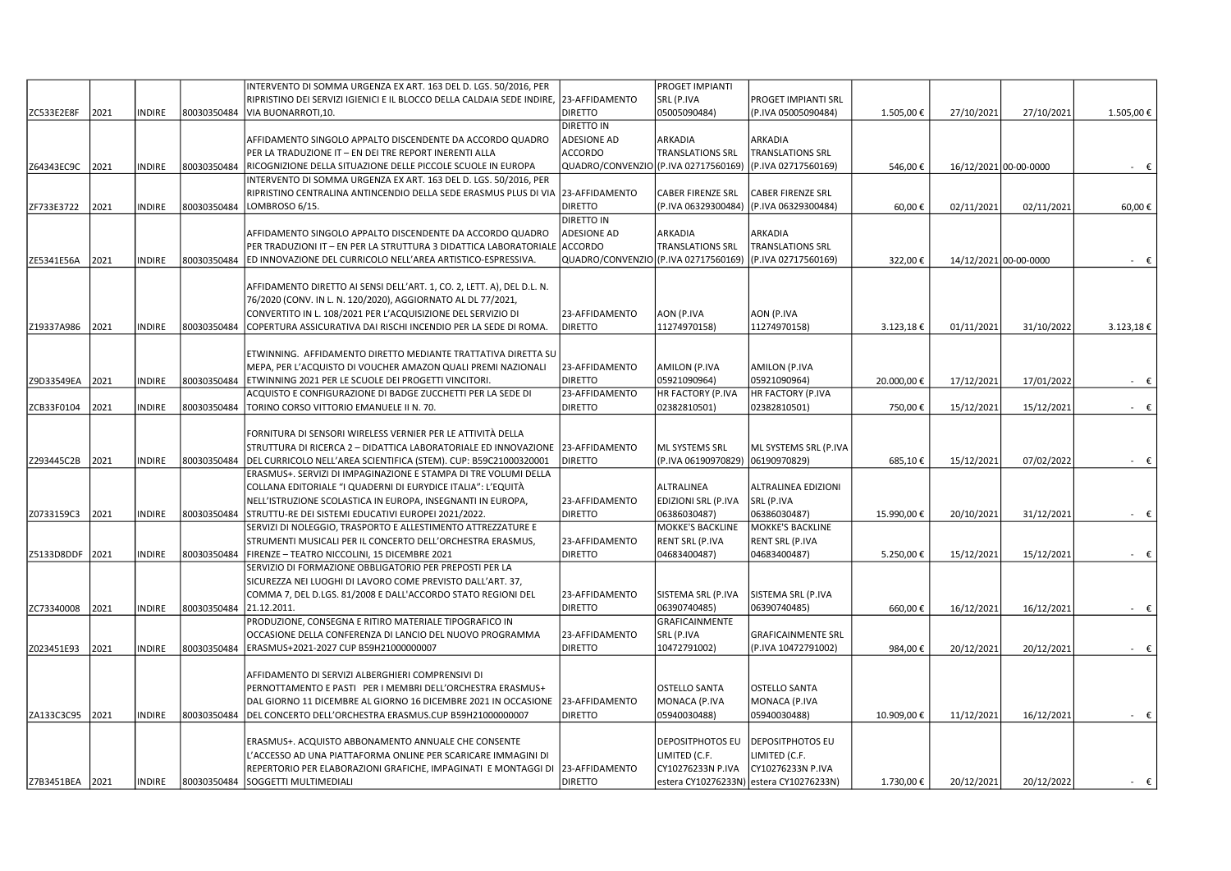|                 |      |               |             | INTERVENTO DI SOMMA URGENZA EX ART. 163 DEL D. LGS. 50/2016, PER                      |                                      | PROGET IMPIANTI         |                                         |            |                       |            |                |
|-----------------|------|---------------|-------------|---------------------------------------------------------------------------------------|--------------------------------------|-------------------------|-----------------------------------------|------------|-----------------------|------------|----------------|
|                 |      |               |             | RIPRISTINO DEI SERVIZI IGIENICI E IL BLOCCO DELLA CALDAIA SEDE INDIRE, 23-AFFIDAMENTO |                                      | SRL (P.IVA              | PROGET IMPIANTI SRL                     |            |                       |            |                |
| ZC533E2E8F      | 2021 | <b>INDIRE</b> | 80030350484 | VIA BUONARROTI.10.                                                                    | <b>DIRETTO</b>                       | 05005090484)            | (P.IVA 05005090484)                     | 1.505,00€  | 27/10/2021            | 27/10/2021 | 1.505,00€      |
|                 |      |               |             |                                                                                       | <b>DIRETTO IN</b>                    |                         |                                         |            |                       |            |                |
|                 |      |               |             | AFFIDAMENTO SINGOLO APPALTO DISCENDENTE DA ACCORDO QUADRO                             | <b>ADESIONE AD</b>                   | ARKADIA                 | ARKADIA                                 |            |                       |            |                |
|                 |      |               |             | PER LA TRADUZIONE IT – EN DEI TRE REPORT INERENTI ALLA                                | <b>ACCORDO</b>                       | TRANSLATIONS SRL        | <b>TRANSLATIONS SRL</b>                 |            |                       |            |                |
| Z64343EC9C      | 2021 | INDIRE        | 80030350484 | RICOGNIZIONE DELLA SITUAZIONE DELLE PICCOLE SCUOLE IN EUROPA                          | QUADRO/CONVENZIO                     | (P.IVA 02717560169)     | (P.IVA 02717560169)                     | 546,00€    | 16/12/2021 00-00-0000 |            | - €            |
|                 |      |               |             | INTERVENTO DI SOMMA URGENZA EX ART. 163 DEL D. LGS. 50/2016, PER                      |                                      |                         |                                         |            |                       |            |                |
|                 |      |               |             | RIPRISTINO CENTRALINA ANTINCENDIO DELLA SEDE ERASMUS PLUS DI VIA                      | 23-AFFIDAMENTO                       | CABER FIRENZE SRL       | <b>CABER FIRENZE SRL</b>                |            |                       |            |                |
| ZF733E3722      | 2021 | <b>INDIRE</b> | 80030350484 | LOMBROSO 6/15.                                                                        | DIRETTO                              |                         |                                         | 60,00€     | 02/11/2021            | 02/11/2021 | 60,00€         |
|                 |      |               |             |                                                                                       |                                      | (P.IVA 06329300484)     | (P.IVA 06329300484)                     |            |                       |            |                |
|                 |      |               |             |                                                                                       | <b>DIRETTO IN</b>                    |                         |                                         |            |                       |            |                |
|                 |      |               |             | AFFIDAMENTO SINGOLO APPALTO DISCENDENTE DA ACCORDO QUADRO                             | <b>ADESIONE AD</b>                   | ARKADIA                 | ARKADIA                                 |            |                       |            |                |
|                 |      |               |             | PER TRADUZIONI IT - EN PER LA STRUTTURA 3 DIDATTICA LABORATORIALE                     | ACCORDO                              | <b>TRANSLATIONS SRL</b> | <b>TRANSLATIONS SRL</b>                 |            |                       |            |                |
| ZE5341E56A      | 2021 | INDIRE        | 80030350484 | ED INNOVAZIONE DEL CURRICOLO NELL'AREA ARTISTICO-ESPRESSIVA.                          | QUADRO/CONVENZIO (P.IVA 02717560169) |                         | (P.IVA 02717560169)                     | 322,00€    | 14/12/2021 00-00-0000 |            | $ \epsilon$    |
|                 |      |               |             |                                                                                       |                                      |                         |                                         |            |                       |            |                |
|                 |      |               |             | AFFIDAMENTO DIRETTO AI SENSI DELL'ART. 1, CO. 2, LETT. A), DEL D.L. N.                |                                      |                         |                                         |            |                       |            |                |
|                 |      |               |             | 76/2020 (CONV. IN L. N. 120/2020), AGGIORNATO AL DL 77/2021,                          |                                      |                         |                                         |            |                       |            |                |
|                 |      |               |             | CONVERTITO IN L. 108/2021 PER L'ACQUISIZIONE DEL SERVIZIO DI                          | 23-AFFIDAMENTO                       | AON (P.IVA              | AON (P.IVA                              |            |                       |            |                |
| Z19337A986      | 2021 | INDIRE        | 80030350484 | COPERTURA ASSICURATIVA DAI RISCHI INCENDIO PER LA SEDE DI ROMA.                       | <b>DIRETTO</b>                       | 11274970158)            | 11274970158)                            | 3.123,18€  | 01/11/2021            | 31/10/2022 | 3.123,18€      |
|                 |      |               |             |                                                                                       |                                      |                         |                                         |            |                       |            |                |
|                 |      |               |             | ETWINNING. AFFIDAMENTO DIRETTO MEDIANTE TRATTATIVA DIRETTA SU                         |                                      |                         |                                         |            |                       |            |                |
|                 |      |               |             | MEPA, PER L'ACQUISTO DI VOUCHER AMAZON QUALI PREMI NAZIONALI                          | 23-AFFIDAMENTO                       | AMILON (P.IVA           | AMILON (P.IVA                           |            |                       |            |                |
| Z9D33549EA      | 2021 | <b>INDIRE</b> | 80030350484 | ETWINNING 2021 PER LE SCUOLE DEI PROGETTI VINCITORI.                                  | <b>DIRETTO</b>                       | 05921090964)            | 05921090964)                            | 20.000,00€ | 17/12/2021            | 17/01/2022 | $ \epsilon$    |
|                 |      |               |             | ACQUISTO E CONFIGURAZIONE DI BADGE ZUCCHETTI PER LA SEDE DI                           | 23-AFFIDAMENTO                       | HR FACTORY (P.IVA       | HR FACTORY (P.IVA                       |            |                       |            |                |
| ZCB33F0104      | 2021 | <b>INDIRE</b> | 80030350484 | TORINO CORSO VITTORIO EMANUELE II N. 70.                                              | <b>DIRETTO</b>                       | 02382810501)            | 02382810501)                            | 750,00€    | 15/12/2021            | 15/12/2021 | $ \epsilon$    |
|                 |      |               |             |                                                                                       |                                      |                         |                                         |            |                       |            |                |
|                 |      |               |             |                                                                                       |                                      |                         |                                         |            |                       |            |                |
|                 |      |               |             | FORNITURA DI SENSORI WIRELESS VERNIER PER LE ATTIVITÀ DELLA                           |                                      |                         |                                         |            |                       |            |                |
|                 |      |               |             | STRUTTURA DI RICERCA 2 - DIDATTICA LABORATORIALE ED INNOVAZIONE                       | 23-AFFIDAMENTO                       | ML SYSTEMS SRL          | ML SYSTEMS SRL (P.IVA                   |            |                       |            |                |
| Z293445C2B      | 2021 | <b>INDIRE</b> | 80030350484 | DEL CURRICOLO NELL'AREA SCIENTIFICA (STEM). CUP: B59C21000320001                      | <b>DIRETTO</b>                       | (P.IVA 06190970829)     | 06190970829)                            | 685,10€    | 15/12/2021            | 07/02/2022 | $ \epsilon$    |
|                 |      |               |             | ERASMUS+. SERVIZI DI IMPAGINAZIONE E STAMPA DI TRE VOLUMI DELLA                       |                                      |                         |                                         |            |                       |            |                |
|                 |      |               |             | COLLANA EDITORIALE "I QUADERNI DI EURYDICE ITALIA": L'EQUITÀ                          |                                      | ALTRALINEA              | ALTRALINEA EDIZIONI                     |            |                       |            |                |
|                 |      |               |             | NELL'ISTRUZIONE SCOLASTICA IN EUROPA, INSEGNANTI IN EUROPA,                           | 23-AFFIDAMENTO                       | EDIZIONI SRL (P.IVA     | SRL (P.IVA                              |            |                       |            |                |
| Z0733159C3      | 2021 | INDIRE        | 80030350484 | STRUTTU-RE DEI SISTEMI EDUCATIVI EUROPEI 2021/2022.                                   | <b>DIRETTO</b>                       | 06386030487)            | 06386030487)                            | 15.990,00€ | 20/10/2021            | 31/12/2021 | $ \varepsilon$ |
|                 |      |               |             | SERVIZI DI NOLEGGIO, TRASPORTO E ALLESTIMENTO ATTREZZATURE E                          |                                      | MOKKE'S BACKLINE        | <b>MOKKE'S BACKLINE</b>                 |            |                       |            |                |
|                 |      |               |             | STRUMENTI MUSICALI PER IL CONCERTO DELL'ORCHESTRA ERASMUS,                            | 23-AFFIDAMENTO                       | RENT SRL (P.IVA         | RENT SRL (P.IVA                         |            |                       |            |                |
| Z5133D8DDF      | 2021 | INDIRE        | 80030350484 | FIRENZE - TEATRO NICCOLINI, 15 DICEMBRE 2021                                          | <b>DIRETTO</b>                       | 04683400487)            | 04683400487)                            | 5.250,00€  | 15/12/2021            | 15/12/2021 | $ \epsilon$    |
|                 |      |               |             | SERVIZIO DI FORMAZIONE OBBLIGATORIO PER PREPOSTI PER LA                               |                                      |                         |                                         |            |                       |            |                |
|                 |      |               |             | SICUREZZA NEI LUOGHI DI LAVORO COME PREVISTO DALL'ART. 37,                            |                                      |                         |                                         |            |                       |            |                |
|                 |      |               |             | COMMA 7, DEL D.LGS. 81/2008 E DALL'ACCORDO STATO REGIONI DEL                          | 23-AFFIDAMENTO                       | SISTEMA SRL (P.IVA      | SISTEMA SRL (P.IVA                      |            |                       |            |                |
| ZC73340008      | 2021 | <b>INDIRE</b> | 80030350484 | 21.12.2011.                                                                           | DIRETTO                              | 06390740485)            | 06390740485)                            | 660,00€    | 16/12/2021            | 16/12/2021 | $ \varepsilon$ |
|                 |      |               |             | PRODUZIONE, CONSEGNA E RITIRO MATERIALE TIPOGRAFICO IN                                |                                      | GRAFICAINMENTE          |                                         |            |                       |            |                |
|                 |      |               |             | OCCASIONE DELLA CONFERENZA DI LANCIO DEL NUOVO PROGRAMMA                              | 23-AFFIDAMENTO                       | SRL (P.IVA              | <b>GRAFICAINMENTE SRL</b>               |            |                       |            |                |
| Z023451E93      | 2021 | <b>INDIRE</b> | 80030350484 | ERASMUS+2021-2027 CUP B59H21000000007                                                 | <b>DIRETTO</b>                       | 10472791002)            | (P.IVA 10472791002)                     | 984,00€    | 20/12/2021            | 20/12/2021 | $ \epsilon$    |
|                 |      |               |             |                                                                                       |                                      |                         |                                         |            |                       |            |                |
|                 |      |               |             |                                                                                       |                                      |                         |                                         |            |                       |            |                |
|                 |      |               |             | AFFIDAMENTO DI SERVIZI ALBERGHIERI COMPRENSIVI DI                                     |                                      |                         |                                         |            |                       |            |                |
|                 |      |               |             | PERNOTTAMENTO E PASTI PER I MEMBRI DELL'ORCHESTRA ERASMUS+                            |                                      | <b>OSTELLO SANTA</b>    | <b>OSTELLO SANTA</b>                    |            |                       |            |                |
|                 |      |               |             | DAL GIORNO 11 DICEMBRE AL GIORNO 16 DICEMBRE 2021 IN OCCASIONE                        | 23-AFFIDAMENTO                       | MONACA (P.IVA           | MONACA (P.IVA                           |            |                       |            |                |
| ZA133C3C95      | 2021 | INDIRE        | 80030350484 | DEL CONCERTO DELL'ORCHESTRA ERASMUS.CUP B59H21000000007                               | <b>DIRETTO</b>                       | 05940030488)            | 05940030488)                            | 10.909,00€ | 11/12/2021            | 16/12/2021 | $ \epsilon$    |
|                 |      |               |             |                                                                                       |                                      |                         |                                         |            |                       |            |                |
|                 |      |               |             | ERASMUS+. ACQUISTO ABBONAMENTO ANNUALE CHE CONSENTE                                   |                                      | DEPOSITPHOTOS EU        | <b>DEPOSITPHOTOS EU</b>                 |            |                       |            |                |
|                 |      |               |             | L'ACCESSO AD UNA PIATTAFORMA ONLINE PER SCARICARE IMMAGINI DI                         |                                      | LIMITED (C.F.           | LIMITED (C.F.                           |            |                       |            |                |
|                 |      |               |             | REPERTORIO PER ELABORAZIONI GRAFICHE, IMPAGINATI E MONTAGGI DI                        | 23-AFFIDAMENTO                       | CY10276233N P.IVA       | CY10276233N P.IVA                       |            |                       |            |                |
| Z7B3451BEA 2021 |      | <b>INDIRE</b> | 80030350484 | SOGGETTI MULTIMEDIALI                                                                 | <b>DIRETTO</b>                       |                         | estera CY10276233N) estera CY10276233N) | 1.730,00€  | 20/12/2021            | 20/12/2022 | $ \epsilon$    |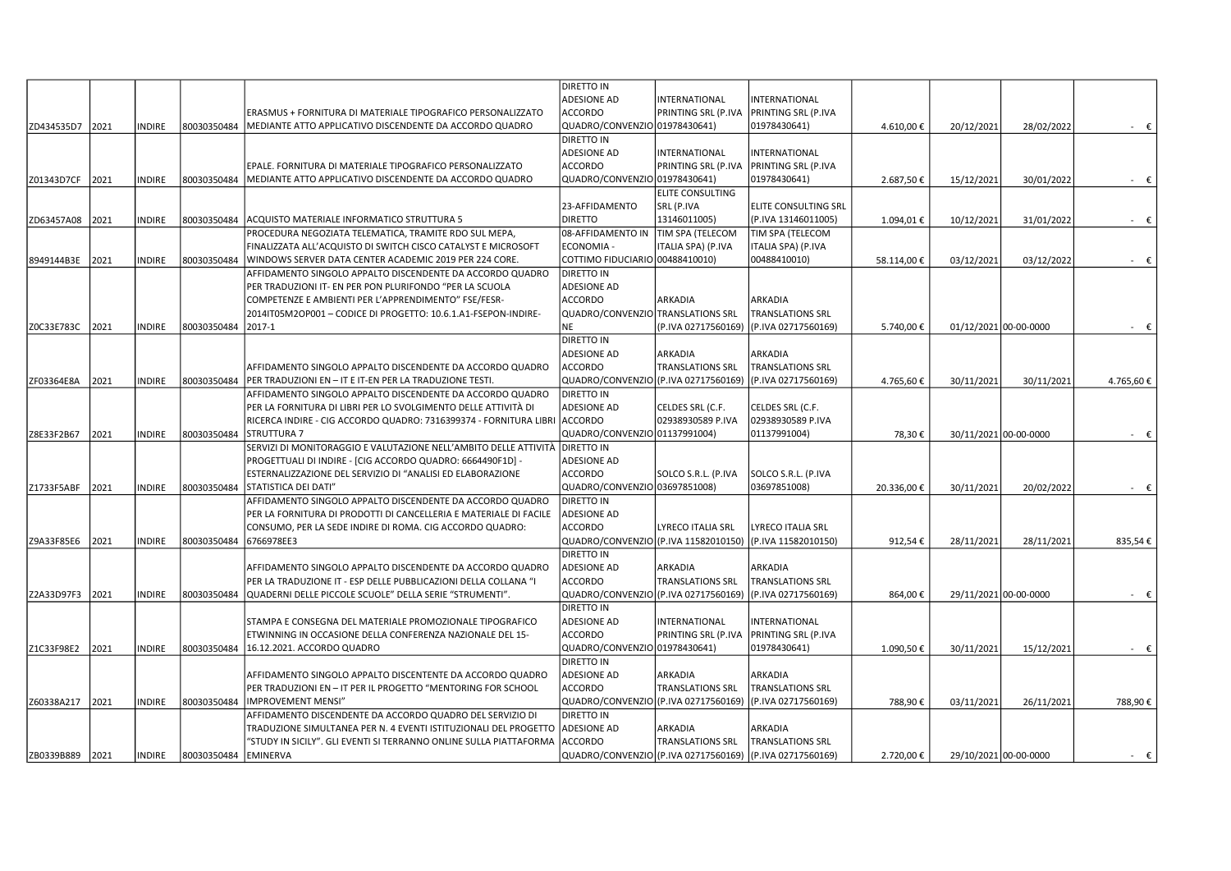|                 |      |               |             |                                                                           | DIRETTO IN                        |                         |                                                          |            |                       |            |                |
|-----------------|------|---------------|-------------|---------------------------------------------------------------------------|-----------------------------------|-------------------------|----------------------------------------------------------|------------|-----------------------|------------|----------------|
|                 |      |               |             |                                                                           | <b>ADESIONE AD</b>                | NTERNATIONAL            | INTERNATIONAL                                            |            |                       |            |                |
|                 |      |               |             | ERASMUS + FORNITURA DI MATERIALE TIPOGRAFICO PERSONALIZZATO               | ACCORDO                           | PRINTING SRL (P.IVA     | PRINTING SRL (P.IVA                                      |            |                       |            |                |
| ZD434535D7      | 2021 | <b>INDIRE</b> | 80030350484 | MEDIANTE ATTO APPLICATIVO DISCENDENTE DA ACCORDO QUADRO                   | QUADRO/CONVENZIO 01978430641)     |                         | 01978430641)                                             | 4.610,00€  | 20/12/2021            | 28/02/2022 | $ \varepsilon$ |
|                 |      |               |             |                                                                           | DIRETTO IN                        |                         |                                                          |            |                       |            |                |
|                 |      |               |             |                                                                           | <b>ADESIONE AD</b>                | NTERNATIONAL            | INTERNATIONAL                                            |            |                       |            |                |
|                 |      |               |             | EPALE. FORNITURA DI MATERIALE TIPOGRAFICO PERSONALIZZATO                  | <b>ACCORDO</b>                    | PRINTING SRL (P.IVA     | PRINTING SRL (P.IVA                                      |            |                       |            |                |
|                 |      |               |             |                                                                           | QUADRO/CONVENZIO 01978430641)     |                         |                                                          |            |                       |            |                |
| Z01343D7CF      | 2021 | <b>INDIRE</b> | 80030350484 | MEDIANTE ATTO APPLICATIVO DISCENDENTE DA ACCORDO QUADRO                   |                                   |                         | 01978430641)                                             | 2.687,50€  | 15/12/2021            | 30/01/2022 | $ \epsilon$    |
|                 |      |               |             |                                                                           |                                   | <b>ELITE CONSULTING</b> |                                                          |            |                       |            |                |
|                 |      |               |             |                                                                           | 23-AFFIDAMENTO                    | SRL (P.IVA              | ELITE CONSULTING SRL                                     |            |                       |            |                |
| ZD63457A08 2021 |      | <b>INDIRE</b> |             | 80030350484 ACQUISTO MATERIALE INFORMATICO STRUTTURA 5                    | <b>DIRETTO</b>                    | 13146011005)            | (P.IVA 13146011005)                                      | 1.094,01€  | 10/12/2021            | 31/01/2022 | $ \epsilon$    |
|                 |      |               |             | PROCEDURA NEGOZIATA TELEMATICA, TRAMITE RDO SUL MEPA,                     | 08-AFFIDAMENTO IN                 | TIM SPA (TELECOM        | TIM SPA (TELECOM                                         |            |                       |            |                |
|                 |      |               |             | FINALIZZATA ALL'ACQUISTO DI SWITCH CISCO CATALYST E MICROSOFT             | ECONOMIA -                        | ITALIA SPA) (P.IVA      | ITALIA SPA) (P.IVA                                       |            |                       |            |                |
| 8949144B3E      | 2021 | <b>INDIRE</b> | 80030350484 | WINDOWS SERVER DATA CENTER ACADEMIC 2019 PER 224 CORE.                    | COTTIMO FIDUCIARIO 00488410010)   |                         | 00488410010)                                             | 58.114,00€ | 03/12/2021            | 03/12/2022 | $ \epsilon$    |
|                 |      |               |             | AFFIDAMENTO SINGOLO APPALTO DISCENDENTE DA ACCORDO QUADRO                 | <b>DIRETTO IN</b>                 |                         |                                                          |            |                       |            |                |
|                 |      |               |             | PER TRADUZIONI IT- EN PER PON PLURIFONDO "PER LA SCUOLA                   | <b>ADESIONE AD</b>                |                         |                                                          |            |                       |            |                |
|                 |      |               |             | COMPETENZE E AMBIENTI PER L'APPRENDIMENTO" FSE/FESR-                      | <b>ACCORDO</b>                    | ARKADIA                 | ARKADIA                                                  |            |                       |            |                |
|                 |      |               |             | 2014IT05M2OP001-CODICE DI PROGETTO: 10.6.1.A1-FSEPON-INDIRE-              | QUADRO/CONVENZIO TRANSLATIONS SRL |                         | <b>TRANSLATIONS SRL</b>                                  |            |                       |            |                |
| Z0C33E783C      | 2021 | <b>INDIRE</b> | 80030350484 | 2017-1                                                                    | <b>NE</b>                         | P.IVA 02717560169)      | (P.IVA 02717560169)                                      | 5.740,00€  | 01/12/2021 00-00-0000 |            | $ \varepsilon$ |
|                 |      |               |             |                                                                           | <b>DIRETTO IN</b>                 |                         |                                                          |            |                       |            |                |
|                 |      |               |             |                                                                           | <b>ADESIONE AD</b>                | ARKADIA                 | ARKADIA                                                  |            |                       |            |                |
|                 |      |               |             | AFFIDAMENTO SINGOLO APPALTO DISCENDENTE DA ACCORDO QUADRO                 | ACCORDO                           | <b>TRANSLATIONS SRL</b> | <b>TRANSLATIONS SRL</b>                                  |            |                       |            |                |
| ZF03364E8A      | 2021 | <b>INDIRE</b> | 80030350484 | PER TRADUZIONI EN - IT E IT-EN PER LA TRADUZIONE TESTI                    | QUADRO/CONVENZIO                  | (P.IVA 02717560169)     | (P.IVA 02717560169)                                      | 4.765,60€  | 30/11/2021            | 30/11/2021 | 4.765,60€      |
|                 |      |               |             | AFFIDAMENTO SINGOLO APPALTO DISCENDENTE DA ACCORDO QUADRO                 | <b>DIRETTO IN</b>                 |                         |                                                          |            |                       |            |                |
|                 |      |               |             | PER LA FORNITURA DI LIBRI PER LO SVOLGIMENTO DELLE ATTIVITÀ DI            | <b>ADESIONE AD</b>                | CELDES SRL (C.F.        | CELDES SRL (C.F.                                         |            |                       |            |                |
|                 |      |               |             | RICERCA INDIRE - CIG ACCORDO QUADRO: 7316399374 - FORNITURA LIBRI ACCORDO |                                   | 02938930589 P.IVA       | 02938930589 P.IVA                                        |            |                       |            |                |
| Z8E33F2B67      | 2021 | <b>INDIRE</b> | 80030350484 | STRUTTURA 7                                                               | QUADRO/CONVENZIO 01137991004)     |                         | 01137991004)                                             | 78,30€     | 30/11/2021 00-00-0000 |            | - €            |
|                 |      |               |             | SERVIZI DI MONITORAGGIO E VALUTAZIONE NELL'AMBITO DELLE ATTIVITÀ          | <b>DIRETTO IN</b>                 |                         |                                                          |            |                       |            |                |
|                 |      |               |             | PROGETTUALI DI INDIRE - [CIG ACCORDO QUADRO: 6664490F1D] -                | <b>ADESIONE AD</b>                |                         |                                                          |            |                       |            |                |
|                 |      |               |             | ESTERNALIZZAZIONE DEL SERVIZIO DI "ANALISI ED ELABORAZIONE                | ACCORDO                           | SOLCO S.R.L. (P.IVA     | SOLCO S.R.L. (P.IVA                                      |            |                       |            |                |
| Z1733F5ABF      | 2021 | <b>INDIRE</b> | 80030350484 | STATISTICA DEI DATI"                                                      | QUADRO/CONVENZIO 03697851008)     |                         | 03697851008)                                             | 20.336,00€ | 30/11/2021            | 20/02/2022 | $ \varepsilon$ |
|                 |      |               |             | AFFIDAMENTO SINGOLO APPALTO DISCENDENTE DA ACCORDO QUADRO                 | <b>DIRETTO IN</b>                 |                         |                                                          |            |                       |            |                |
|                 |      |               |             | PER LA FORNITURA DI PRODOTTI DI CANCELLERIA E MATERIALE DI FACILE         | <b>ADESIONE AD</b>                |                         |                                                          |            |                       |            |                |
|                 |      |               |             | CONSUMO, PER LA SEDE INDIRE DI ROMA. CIG ACCORDO QUADRO:                  | ACCORDO                           | YRECO ITALIA SRL        | <b>LYRECO ITALIA SRL</b>                                 |            |                       |            |                |
|                 | 2021 | <b>INDIRE</b> | 80030350484 | 6766978EE3                                                                | QUADRO/CONVENZIO                  | (P.IVA 11582010150)     | (P.IVA 11582010150)                                      | 912,54€    |                       |            |                |
| Z9A33F85E6      |      |               |             |                                                                           |                                   |                         |                                                          |            | 28/11/2021            | 28/11/2021 | 835,54€        |
|                 |      |               |             |                                                                           | DIRETTO IN                        |                         |                                                          |            |                       |            |                |
|                 |      |               |             | AFFIDAMENTO SINGOLO APPALTO DISCENDENTE DA ACCORDO QUADRO                 | <b>ADESIONE AD</b>                | ARKADIA                 | ARKADIA                                                  |            |                       |            |                |
|                 |      |               |             | PER LA TRADUZIONE IT - ESP DELLE PUBBLICAZIONI DELLA COLLANA "I           | <b>ACCORDO</b>                    | <b>TRANSLATIONS SRL</b> | <b>TRANSLATIONS SRL</b>                                  |            |                       |            |                |
| Z2A33D97F3      | 2021 | <b>INDIRE</b> | 80030350484 | QUADERNI DELLE PICCOLE SCUOLE" DELLA SERIE "STRUMENTI".                   | QUADRO/CONVENZIO                  | (P.IVA 02717560169)     | (P.IVA 02717560169)                                      | 864,00€    | 29/11/2021 00-00-0000 |            | $ \epsilon$    |
|                 |      |               |             |                                                                           | DIRETTO IN                        |                         |                                                          |            |                       |            |                |
|                 |      |               |             | STAMPA E CONSEGNA DEL MATERIALE PROMOZIONALE TIPOGRAFICO                  | <b>ADESIONE AD</b>                | INTERNATIONAL           | INTERNATIONAL                                            |            |                       |            |                |
|                 |      |               |             | ETWINNING IN OCCASIONE DELLA CONFERENZA NAZIONALE DEL 15-                 | <b>ACCORDO</b>                    | PRINTING SRL (P.IVA     | PRINTING SRL (P.IVA                                      |            |                       |            |                |
| Z1C33F98E2      | 2021 | <b>INDIRE</b> | 80030350484 | 16.12.2021. ACCORDO QUADRO                                                | QUADRO/CONVENZIO 01978430641)     |                         | 01978430641)                                             | 1.090,50€  | 30/11/2021            | 15/12/2021 | $ \epsilon$    |
|                 |      |               |             |                                                                           | <b>DIRETTO IN</b>                 |                         |                                                          |            |                       |            |                |
|                 |      |               |             | AFFIDAMENTO SINGOLO APPALTO DISCENTENTE DA ACCORDO QUADRO                 | <b>ADESIONE AD</b>                | ARKADIA                 | ARKADIA                                                  |            |                       |            |                |
|                 |      |               |             | PER TRADUZIONI EN - IT PER IL PROGETTO "MENTORING FOR SCHOOL              | <b>ACCORDO</b>                    | <b>TRANSLATIONS SRL</b> | <b>TRANSLATIONS SRL</b>                                  |            |                       |            |                |
| Z60338A217      | 2021 | <b>INDIRE</b> | 80030350484 | <b>IMPROVEMENT MENSI"</b>                                                 | QUADRO/CONVENZIO                  | (P.IVA 02717560169)     | (P.IVA 02717560169)                                      | 788,90€    | 03/11/2021            | 26/11/2021 | 788,90€        |
|                 |      |               |             | AFFIDAMENTO DISCENDENTE DA ACCORDO QUADRO DEL SERVIZIO DI                 | <b>DIRETTO IN</b>                 |                         |                                                          |            |                       |            |                |
|                 |      |               |             | TRADUZIONE SIMULTANEA PER N. 4 EVENTI ISTITUZIONALI DEL PROGETTO          | <b>ADESIONE AD</b>                | ARKADIA                 | ARKADIA                                                  |            |                       |            |                |
|                 |      |               |             | "STUDY IN SICILY". GLI EVENTI SI TERRANNO ONLINE SULLA PIATTAFORMA        | <b>ACCORDO</b>                    | <b>TRANSLATIONS SRL</b> | <b>TRANSLATIONS SRL</b>                                  |            |                       |            |                |
| ZB0339B889 2021 |      | <b>INDIRE</b> | 80030350484 | <b>EMINERVA</b>                                                           |                                   |                         | QUADRO/CONVENZIO (P.IVA 02717560169) (P.IVA 02717560169) | 2.720,00€  | 29/10/2021 00-00-0000 |            | $ \varepsilon$ |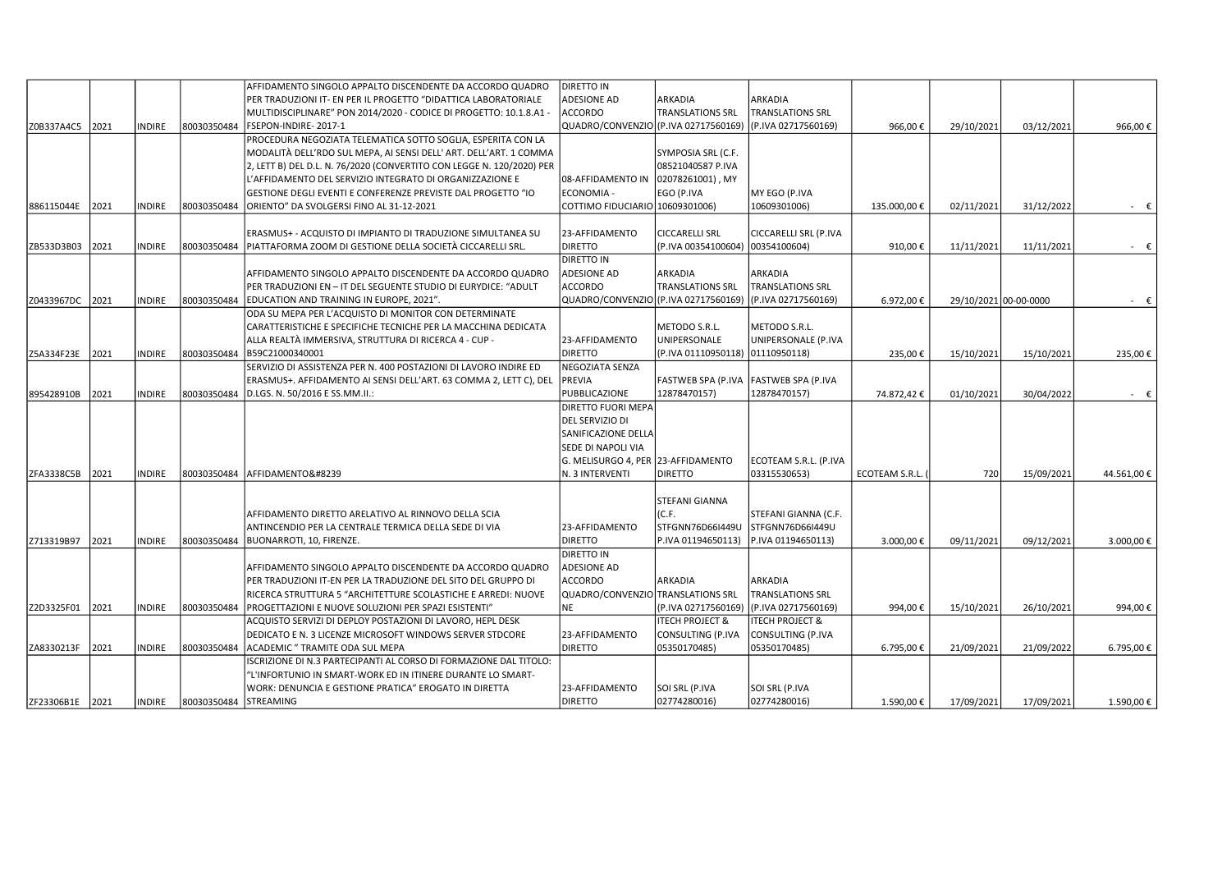|                 |      |               |                       | AFFIDAMENTO SINGOLO APPALTO DISCENDENTE DA ACCORDO QUADRO             | DIRETTO IN                        |                            |                            |                |            |                       |             |
|-----------------|------|---------------|-----------------------|-----------------------------------------------------------------------|-----------------------------------|----------------------------|----------------------------|----------------|------------|-----------------------|-------------|
|                 |      |               |                       | PER TRADUZIONI IT- EN PER IL PROGETTO "DIDATTICA LABORATORIALE        | <b>ADESIONE AD</b>                | ARKADIA                    | ARKADIA                    |                |            |                       |             |
|                 |      |               |                       | MULTIDISCIPLINARE" PON 2014/2020 - CODICE DI PROGETTO: 10.1.8.A1 -    | <b>ACCORDO</b>                    | <b>TRANSLATIONS SRL</b>    | <b>TRANSLATIONS SRL</b>    |                |            |                       |             |
| Z0B337A4C5      | 2021 | INDIRE        | 80030350484           | FSEPON-INDIRE-2017-1                                                  | QUADRO/CONVENZIO                  | (P.IVA 02717560169)        | (P.IVA 02717560169)        | 966,00€        | 29/10/2021 | 03/12/2021            | 966,00€     |
|                 |      |               |                       | PROCEDURA NEGOZIATA TELEMATICA SOTTO SOGLIA, ESPERITA CON LA          |                                   |                            |                            |                |            |                       |             |
|                 |      |               |                       | MODALITÀ DELL'RDO SUL MEPA, AI SENSI DELL' ART. DELL'ART. 1 COMMA     |                                   | SYMPOSIA SRL (C.F.         |                            |                |            |                       |             |
|                 |      |               |                       | 2, LETT B) DEL D.L. N. 76/2020 (CONVERTITO CON LEGGE N. 120/2020) PER |                                   | 08521040587 P.IVA          |                            |                |            |                       |             |
|                 |      |               |                       | AFFIDAMENTO DEL SERVIZIO INTEGRATO DI ORGANIZZAZIONE E                | 08-AFFIDAMENTO IN                 | 02078261001), MY           |                            |                |            |                       |             |
|                 |      |               |                       | GESTIONE DEGLI EVENTI E CONFERENZE PREVISTE DAL PROGETTO "IO          | <b>ECONOMIA -</b>                 | EGO (P.IVA                 | MY EGO (P.IVA              |                |            |                       |             |
| 886115044E      | 2021 | INDIRE        | 80030350484           | ORIENTO" DA SVOLGERSI FINO AL 31-12-2021                              | COTTIMO FIDUCIARIO 10609301006)   |                            | 10609301006)               | 135.000,00€    | 02/11/2021 | 31/12/2022            | $ \epsilon$ |
|                 |      |               |                       |                                                                       |                                   |                            |                            |                |            |                       |             |
|                 |      |               |                       | ERASMUS+ - ACQUISTO DI IMPIANTO DI TRADUZIONE SIMULTANEA SU           | 23-AFFIDAMENTO                    | <b>CICCARELLI SRL</b>      | CICCARELLI SRL (P.IVA      |                |            |                       |             |
| ZB533D3B03      | 2021 | <b>INDIRE</b> | 80030350484           | PIATTAFORMA ZOOM DI GESTIONE DELLA SOCIETÀ CICCARELLI SRL.            | <b>DIRETTO</b>                    | (P.IVA 00354100604)        | 00354100604)               | 910,00€        | 11/11/2021 | 11/11/2021            | - €         |
|                 |      |               |                       |                                                                       | <b>DIRETTO IN</b>                 |                            |                            |                |            |                       |             |
|                 |      |               |                       | AFFIDAMENTO SINGOLO APPALTO DISCENDENTE DA ACCORDO QUADRO             | <b>ADESIONE AD</b>                | ARKADIA                    | ARKADIA                    |                |            |                       |             |
|                 |      |               |                       | PER TRADUZIONI EN - IT DEL SEGUENTE STUDIO DI EURYDICE: "ADULT        | ACCORDO                           | <b>TRANSLATIONS SRL</b>    | <b>TRANSLATIONS SRL</b>    |                |            |                       |             |
|                 |      |               |                       |                                                                       | QUADRO/CONVENZIO                  |                            |                            |                |            |                       |             |
| Z0433967DC      | 2021 | INDIRE        | 80030350484           | EDUCATION AND TRAINING IN EUROPE, 2021".                              |                                   | (P.IVA 02717560169)        | (P.IVA 02717560169)        | 6.972,00€      |            | 29/10/2021 00-00-0000 | $ \epsilon$ |
|                 |      |               |                       | ODA SU MEPA PER L'ACQUISTO DI MONITOR CON DETERMINATE                 |                                   |                            |                            |                |            |                       |             |
|                 |      |               |                       | CARATTERISTICHE E SPECIFICHE TECNICHE PER LA MACCHINA DEDICATA        |                                   | METODO S.R.L.              | METODO S.R.L.              |                |            |                       |             |
|                 |      |               |                       | ALLA REALTÀ IMMERSIVA, STRUTTURA DI RICERCA 4 - CUP -                 | 23-AFFIDAMENTO                    | UNIPERSONALE               | UNIPERSONALE (P.IVA        |                |            |                       |             |
| Z5A334F23E      | 2021 | <b>INDIRE</b> | 80030350484           | B59C21000340001                                                       | <b>DIRETTO</b>                    | (P.IVA 01110950118)        | $ 01110950118\rangle$      | 235,00€        | 15/10/2021 | 15/10/2021            | 235,00€     |
|                 |      |               |                       | SERVIZIO DI ASSISTENZA PER N. 400 POSTAZIONI DI LAVORO INDIRE ED      | <b>NEGOZIATA SENZA</b>            |                            |                            |                |            |                       |             |
|                 |      |               |                       | ERASMUS+. AFFIDAMENTO AI SENSI DELL'ART. 63 COMMA 2, LETT C), DEL     | PREVIA                            | FASTWEB SPA (P.IVA         | <b>FASTWEB SPA (P.IVA</b>  |                |            |                       |             |
| 895428910B      | 2021 | <b>INDIRE</b> | 80030350484           | D.LGS. N. 50/2016 E SS.MM.II.:                                        | PUBBLICAZIONE                     | 12878470157)               | 12878470157)               | 74.872,42€     | 01/10/2021 | 30/04/2022            | $ \epsilon$ |
|                 |      |               |                       |                                                                       | <b>DIRETTO FUORI MEPA</b>         |                            |                            |                |            |                       |             |
|                 |      |               |                       |                                                                       | DEL SERVIZIO DI                   |                            |                            |                |            |                       |             |
|                 |      |               |                       |                                                                       | SANIFICAZIONE DELLA               |                            |                            |                |            |                       |             |
|                 |      |               |                       |                                                                       | SEDE DI NAPOLI VIA                |                            |                            |                |            |                       |             |
|                 |      |               |                       |                                                                       | G. MELISURGO 4, PER               | 23-AFFIDAMENTO             | ECOTEAM S.R.L. (P.IVA      |                |            |                       |             |
| ZFA3338C5B      | 2021 | <b>INDIRE</b> | 80030350484           | AFFIDAMENTO                                                           | N. 3 INTERVENTI                   | <b>DIRETTO</b>             | 03315530653)               | ECOTEAM S.R.L. | 720        | 15/09/2021            | 44.561,00€  |
|                 |      |               |                       |                                                                       |                                   |                            |                            |                |            |                       |             |
|                 |      |               |                       |                                                                       |                                   | STEFANI GIANNA             |                            |                |            |                       |             |
|                 |      |               |                       | AFFIDAMENTO DIRETTO ARELATIVO AL RINNOVO DELLA SCIA                   |                                   | (C.F.                      | STEFANI GIANNA (C.F.       |                |            |                       |             |
|                 |      |               |                       | ANTINCENDIO PER LA CENTRALE TERMICA DELLA SEDE DI VIA                 | 23-AFFIDAMENTO                    | STFGNN76D66I449U           | STFGNN76D66I449U           |                |            |                       |             |
| Z713319B97      | 2021 | <b>INDIRE</b> | 80030350484           | BUONARROTI, 10, FIRENZE.                                              | <b>DIRETTO</b>                    | P.IVA 01194650113)         | P.IVA 01194650113)         | 3.000,00€      | 09/11/2021 | 09/12/2021            | 3.000,00€   |
|                 |      |               |                       |                                                                       | <b>DIRETTO IN</b>                 |                            |                            |                |            |                       |             |
|                 |      |               |                       | AFFIDAMENTO SINGOLO APPALTO DISCENDENTE DA ACCORDO QUADRO             | <b>ADESIONE AD</b>                |                            |                            |                |            |                       |             |
|                 |      |               |                       | PER TRADUZIONI IT-EN PER LA TRADUZIONE DEL SITO DEL GRUPPO DI         | ACCORDO                           | ARKADIA                    | ARKADIA                    |                |            |                       |             |
|                 |      |               |                       | RICERCA STRUTTURA 5 "ARCHITETTURE SCOLASTICHE E ARREDI: NUOVE         | QUADRO/CONVENZIO TRANSLATIONS SRL |                            | <b>TRANSLATIONS SRL</b>    |                |            |                       |             |
| Z2D3325F01      | 2021 | INDIRE        | 80030350484           | PROGETTAZIONI E NUOVE SOLUZIONI PER SPAZI ESISTENTI"                  | <b>NE</b>                         | (P.IVA 02717560169)        | (P.IVA 02717560169)        | 994,00€        | 15/10/2021 | 26/10/2021            | 994,00€     |
|                 |      |               |                       | ACQUISTO SERVIZI DI DEPLOY POSTAZIONI DI LAVORO, HEPL DESK            |                                   | <b>ITECH PROJECT &amp;</b> | <b>ITECH PROJECT &amp;</b> |                |            |                       |             |
|                 |      |               |                       | DEDICATO E N. 3 LICENZE MICROSOFT WINDOWS SERVER STDCORE              | 23-AFFIDAMENTO                    | CONSULTING (P.IVA          | CONSULTING (P.IVA          |                |            |                       |             |
| ZA8330213F      | 2021 | <b>INDIRE</b> | 80030350484           | ACADEMIC " TRAMITE ODA SUL MEPA                                       | <b>DIRETTO</b>                    | 05350170485)               | 05350170485)               | 6.795,00€      | 21/09/2021 | 21/09/2022            | 6.795,00€   |
|                 |      |               |                       | ISCRIZIONE DI N.3 PARTECIPANTI AL CORSO DI FORMAZIONE DAL TITOLO:     |                                   |                            |                            |                |            |                       |             |
|                 |      |               |                       | "L'INFORTUNIO IN SMART-WORK ED IN ITINERE DURANTE LO SMART-           |                                   |                            |                            |                |            |                       |             |
|                 |      |               |                       |                                                                       |                                   |                            |                            |                |            |                       |             |
|                 |      |               |                       | WORK: DENUNCIA E GESTIONE PRATICA" EROGATO IN DIRETTA                 | 23-AFFIDAMENTO                    | SOI SRL (P.IVA             | SOI SRL (P.IVA             |                |            |                       |             |
| ZF23306B1E 2021 |      | <b>INDIRE</b> | 80030350484 STREAMING |                                                                       | <b>DIRETTO</b>                    | 02774280016)               | 02774280016)               | 1.590,00€      | 17/09/2021 | 17/09/2021            | 1.590,00€   |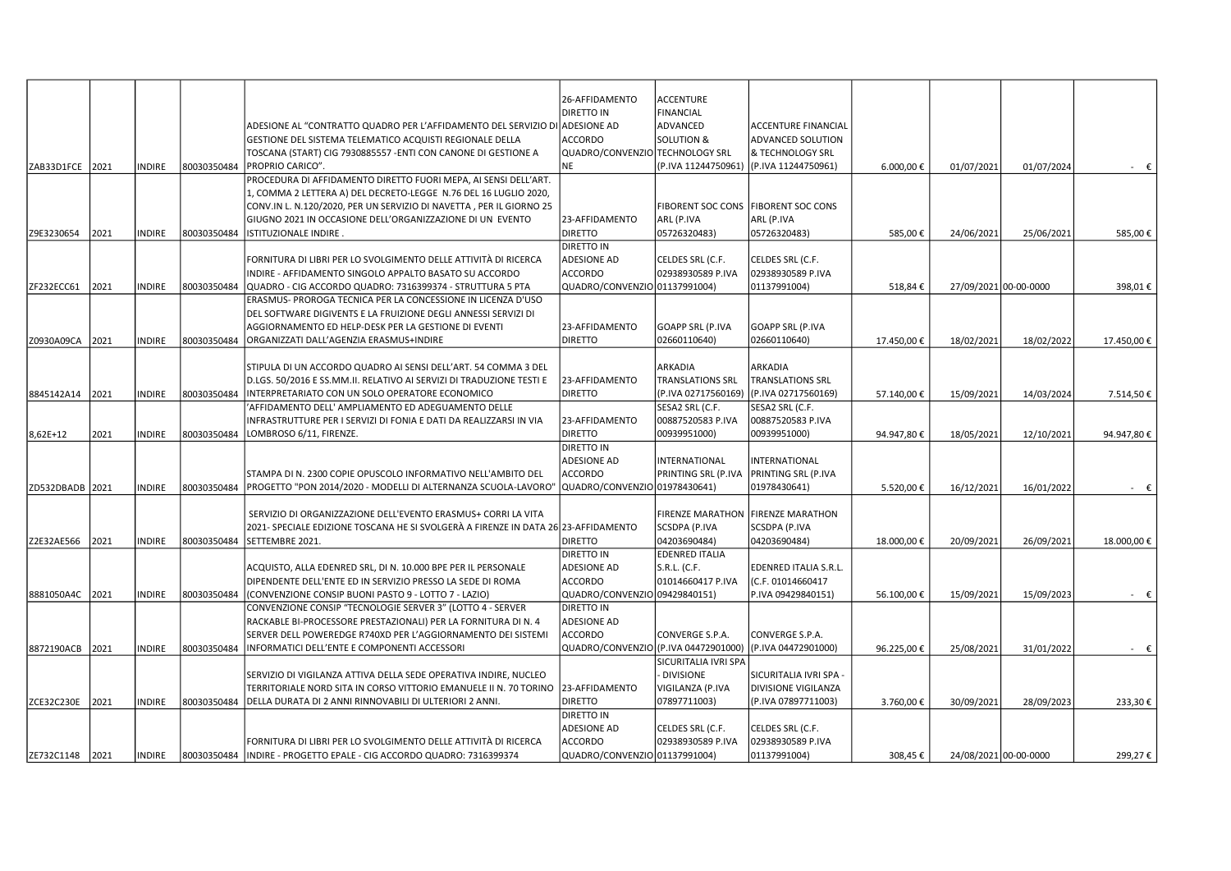|                 |      |               |             | ADESIONE AL "CONTRATTO QUADRO PER L'AFFIDAMENTO DEL SERVIZIO DI ADESIONE AD                                                                         | 26-AFFIDAMENTO<br><b>DIRETTO IN</b>  | <b>ACCENTURE</b><br><b>FINANCIAL</b><br>ADVANCED | <b>ACCENTURE FINANCIAL</b>            |            |                       |            |                |
|-----------------|------|---------------|-------------|-----------------------------------------------------------------------------------------------------------------------------------------------------|--------------------------------------|--------------------------------------------------|---------------------------------------|------------|-----------------------|------------|----------------|
|                 |      |               |             | GESTIONE DEL SISTEMA TELEMATICO ACQUISTI REGIONALE DELLA                                                                                            | <b>ACCORDO</b>                       | <b>SOLUTION &amp;</b>                            | ADVANCED SOLUTION                     |            |                       |            |                |
|                 |      |               |             | TOSCANA (START) CIG 7930885557 -ENTI CON CANONE DI GESTIONE A                                                                                       | QUADRO/CONVENZIO TECHNOLOGY SRL      |                                                  | & TECHNOLOGY SRL                      |            |                       |            |                |
| ZAB33D1FCE      | 2021 | <b>INDIRE</b> | 80030350484 | PROPRIO CARICO".                                                                                                                                    | <b>NE</b>                            | (P.IVA 11244750961)                              | (P.IVA 11244750961)                   | 6.000,00 € | 01/07/2021            | 01/07/2024 | $ \varepsilon$ |
|                 |      |               |             | PROCEDURA DI AFFIDAMENTO DIRETTO FUORI MEPA, AI SENSI DELL'ART.                                                                                     |                                      |                                                  |                                       |            |                       |            |                |
|                 |      |               |             | 1, COMMA 2 LETTERA A) DEL DECRETO-LEGGE N.76 DEL 16 LUGLIO 2020,                                                                                    |                                      |                                                  |                                       |            |                       |            |                |
|                 |      |               |             | CONV.IN L. N.120/2020, PER UN SERVIZIO DI NAVETTA, PER IL GIORNO 25                                                                                 |                                      |                                                  | FIBORENT SOC CONS   FIBORENT SOC CONS |            |                       |            |                |
|                 |      |               |             | GIUGNO 2021 IN OCCASIONE DELL'ORGANIZZAZIONE DI UN EVENTO                                                                                           | 23-AFFIDAMENTO                       | ARL (P.IVA                                       | ARL (P.IVA                            |            |                       |            |                |
| Z9E3230654      | 2021 | <b>INDIRE</b> | 80030350484 | ISTITUZIONALE INDIRE.                                                                                                                               | <b>DIRETTO</b>                       | 05726320483)                                     | 05726320483)                          | 585,00€    | 24/06/2021            | 25/06/2021 | 585,00€        |
|                 |      |               |             |                                                                                                                                                     | <b>DIRETTO IN</b>                    |                                                  |                                       |            |                       |            |                |
|                 |      |               |             | FORNITURA DI LIBRI PER LO SVOLGIMENTO DELLE ATTIVITÀ DI RICERCA                                                                                     | <b>ADESIONE AD</b>                   | CELDES SRL (C.F.                                 | CELDES SRL (C.F.                      |            |                       |            |                |
|                 |      |               |             | INDIRE - AFFIDAMENTO SINGOLO APPALTO BASATO SU ACCORDO                                                                                              | <b>ACCORDO</b>                       | 02938930589 P.IVA                                | 02938930589 P.IVA                     |            |                       |            |                |
| ZF232ECC61      | 2021 | <b>INDIRE</b> | 80030350484 | QUADRO - CIG ACCORDO QUADRO: 7316399374 - STRUTTURA 5 PTA                                                                                           | QUADRO/CONVENZIO 01137991004)        |                                                  | 01137991004)                          | 518,84€    | 27/09/2021 00-00-0000 |            | 398,01€        |
|                 |      |               |             | ERASMUS- PROROGA TECNICA PER LA CONCESSIONE IN LICENZA D'USO                                                                                        |                                      |                                                  |                                       |            |                       |            |                |
|                 |      |               |             | DEL SOFTWARE DIGIVENTS E LA FRUIZIONE DEGLI ANNESSI SERVIZI DI                                                                                      |                                      |                                                  |                                       |            |                       |            |                |
|                 |      |               |             | AGGIORNAMENTO ED HELP-DESK PER LA GESTIONE DI EVENTI                                                                                                | 23-AFFIDAMENTO                       | <b>GOAPP SRL (P.IVA</b>                          | GOAPP SRL (P.IVA                      |            |                       |            |                |
| Z0930A09CA      | 2021 | <b>INDIRE</b> | 80030350484 | ORGANIZZATI DALL'AGENZIA ERASMUS+INDIRE                                                                                                             | <b>DIRETTO</b>                       | 02660110640)                                     | 02660110640)                          | 17.450,00€ | 18/02/2021            | 18/02/2022 | 17.450,00€     |
|                 |      |               |             |                                                                                                                                                     |                                      |                                                  |                                       |            |                       |            |                |
|                 |      |               |             | STIPULA DI UN ACCORDO QUADRO AI SENSI DELL'ART. 54 COMMA 3 DEL                                                                                      |                                      | ARKADIA                                          | ARKADIA                               |            |                       |            |                |
|                 |      |               |             | D.LGS. 50/2016 E SS.MM.II. RELATIVO AI SERVIZI DI TRADUZIONE TESTI E                                                                                | 23-AFFIDAMENTO                       | <b>TRANSLATIONS SRL</b>                          | <b>TRANSLATIONS SRL</b>               |            |                       |            |                |
| 8845142A14      | 2021 | <b>INDIRE</b> | 80030350484 | INTERPRETARIATO CON UN SOLO OPERATORE ECONOMICO                                                                                                     | <b>DIRETTO</b>                       | (P.IVA 02717560169)                              | (P.IVA 02717560169)                   | 57.140,00€ | 15/09/2021            | 14/03/2024 | 7.514,50€      |
|                 |      |               |             | 'AFFIDAMENTO DELL' AMPLIAMENTO ED ADEGUAMENTO DELLE                                                                                                 |                                      | SESA2 SRL (C.F.                                  | SESA2 SRL (C.F.                       |            |                       |            |                |
|                 |      |               |             | INFRASTRUTTURE PER I SERVIZI DI FONIA E DATI DA REALIZZARSI IN VIA                                                                                  | 23-AFFIDAMENTO                       | 00887520583 P.IVA                                | 00887520583 P.IVA                     |            |                       |            |                |
| 8,62E+12        | 2021 | <b>INDIRE</b> | 80030350484 | LOMBROSO 6/11, FIRENZE.                                                                                                                             | <b>DIRETTO</b>                       | 00939951000)                                     | 00939951000)                          | 94.947,80€ | 18/05/2021            | 12/10/2021 | 94.947,80€     |
|                 |      |               |             |                                                                                                                                                     | <b>DIRETTO IN</b>                    |                                                  |                                       |            |                       |            |                |
|                 |      |               |             |                                                                                                                                                     | <b>ADESIONE AD</b>                   | INTERNATIONAL                                    | INTERNATIONAL                         |            |                       |            |                |
|                 |      |               |             | STAMPA DI N. 2300 COPIE OPUSCOLO INFORMATIVO NELL'AMBITO DEL                                                                                        | <b>ACCORDO</b>                       | PRINTING SRL (P.IVA                              | PRINTING SRL (P.IVA                   |            |                       |            |                |
| ZD532DBADB 2021 |      | <b>INDIRE</b> | 80030350484 | PROGETTO "PON 2014/2020 - MODELLI DI ALTERNANZA SCUOLA-LAVORO"                                                                                      | QUADRO/CONVENZIO 01978430641)        |                                                  | 01978430641)                          | 5.520,00€  | 16/12/2021            | 16/01/2022 | $ \varepsilon$ |
|                 |      |               |             |                                                                                                                                                     |                                      |                                                  |                                       |            |                       |            |                |
|                 |      |               |             | SERVIZIO DI ORGANIZZAZIONE DELL'EVENTO ERASMUS+ CORRI LA VITA<br>2021- SPECIALE EDIZIONE TOSCANA HE SI SVOLGERÀ A FIRENZE IN DATA 26 23-AFFIDAMENTO |                                      | <b>FIRENZE MARATHON</b>                          | <b>FIRENZE MARATHON</b>               |            |                       |            |                |
| Z2E32AE566      | 2021 | <b>INDIRE</b> | 80030350484 | SETTEMBRE 2021.                                                                                                                                     | DIRETTO                              | SCSDPA (P.IVA<br>04203690484)                    | SCSDPA (P.IVA<br>04203690484)         | 18.000,00€ | 20/09/2021            | 26/09/2021 | 18.000,00€     |
|                 |      |               |             |                                                                                                                                                     | <b>DIRETTO IN</b>                    | <b>EDENRED ITALIA</b>                            |                                       |            |                       |            |                |
|                 |      |               |             | ACQUISTO, ALLA EDENRED SRL, DI N. 10.000 BPE PER IL PERSONALE                                                                                       | <b>ADESIONE AD</b>                   | $S.R.L.$ (C.F.                                   | EDENRED ITALIA S.R.L.                 |            |                       |            |                |
|                 |      |               |             | DIPENDENTE DELL'ENTE ED IN SERVIZIO PRESSO LA SEDE DI ROMA                                                                                          | <b>ACCORDO</b>                       | 01014660417 P.IVA                                | (C.F. 01014660417                     |            |                       |            |                |
| 8881050A4C 2021 |      | <b>INDIRE</b> | 80030350484 | (CONVENZIONE CONSIP BUONI PASTO 9 - LOTTO 7 - LAZIO)                                                                                                | QUADRO/CONVENZIO 09429840151)        |                                                  | P.IVA 09429840151)                    | 56.100,00€ | 15/09/2021            | 15/09/2023 | $ \varepsilon$ |
|                 |      |               |             | CONVENZIONE CONSIP "TECNOLOGIE SERVER 3" (LOTTO 4 - SERVER                                                                                          | DIRETTO IN                           |                                                  |                                       |            |                       |            |                |
|                 |      |               |             | RACKABLE BI-PROCESSORE PRESTAZIONALI) PER LA FORNITURA DI N. 4                                                                                      | <b>ADESIONE AD</b>                   |                                                  |                                       |            |                       |            |                |
|                 |      |               |             | SERVER DELL POWEREDGE R740XD PER L'AGGIORNAMENTO DEI SISTEMI                                                                                        | <b>ACCORDO</b>                       | CONVERGE S.P.A.                                  | CONVERGE S.P.A.                       |            |                       |            |                |
| 8872190ACB      | 2021 | <b>INDIRE</b> | 80030350484 | INFORMATICI DELL'ENTE E COMPONENTI ACCESSORI                                                                                                        | QUADRO/CONVENZIO (P.IVA 04472901000) |                                                  | (P.IVA 04472901000)                   | 96.225,00€ | 25/08/2021            | 31/01/2022 | $ \epsilon$    |
|                 |      |               |             |                                                                                                                                                     |                                      | SICURITALIA IVRI SPA                             |                                       |            |                       |            |                |
|                 |      |               |             | SERVIZIO DI VIGILANZA ATTIVA DELLA SEDE OPERATIVA INDIRE, NUCLEO                                                                                    |                                      | <b>DIVISIONE</b>                                 | SICURITALIA IVRI SPA -                |            |                       |            |                |
|                 |      |               |             | TERRITORIALE NORD SITA IN CORSO VITTORIO EMANUELE II N. 70 TORINO                                                                                   | 23-AFFIDAMENTO                       | VIGILANZA (P.IVA                                 | DIVISIONE VIGILANZA                   |            |                       |            |                |
| ZCE32C230E      | 2021 | <b>INDIRE</b> | 80030350484 | DELLA DURATA DI 2 ANNI RINNOVABILI DI ULTERIORI 2 ANNI.                                                                                             | DIRETTO                              | 07897711003)                                     | (P.IVA 07897711003)                   | 3.760,00€  | 30/09/2021            | 28/09/2023 | 233,30€        |
|                 |      |               |             |                                                                                                                                                     | <b>DIRETTO IN</b>                    |                                                  |                                       |            |                       |            |                |
|                 |      |               |             |                                                                                                                                                     | <b>ADESIONE AD</b>                   | CELDES SRL (C.F.                                 | CELDES SRL (C.F.                      |            |                       |            |                |
|                 |      |               |             | FORNITURA DI LIBRI PER LO SVOLGIMENTO DELLE ATTIVITÀ DI RICERCA                                                                                     | <b>ACCORDO</b>                       | 02938930589 P.IVA                                | 02938930589 P.IVA                     |            |                       |            |                |
| ZE732C1148      | 2021 | <b>INDIRE</b> | 80030350484 | INDIRE - PROGETTO EPALE - CIG ACCORDO QUADRO: 7316399374                                                                                            | QUADRO/CONVENZIO 01137991004)        |                                                  | 01137991004)                          | 308.45€    | 24/08/2021 00-00-0000 |            | 299,27€        |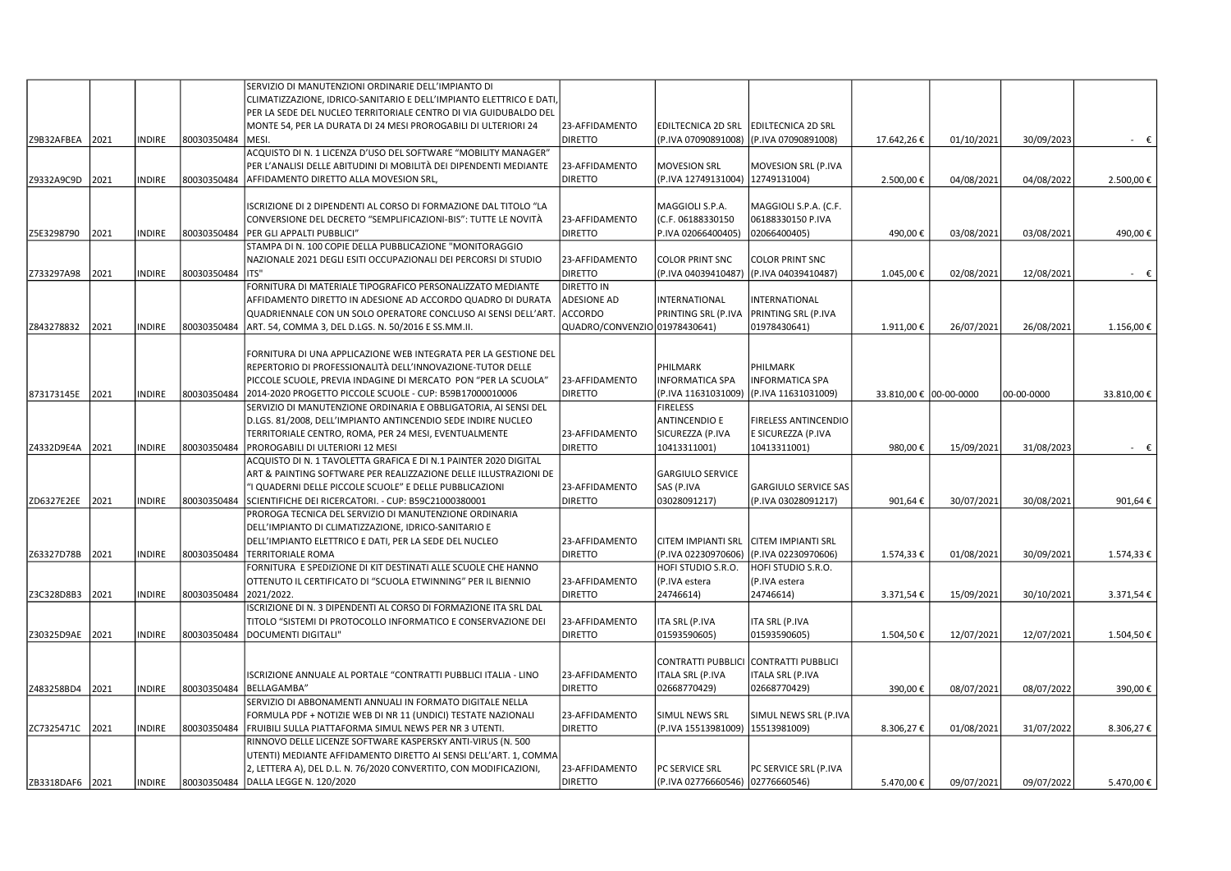|                 |      |               |             | SERVIZIO DI MANUTENZIONI ORDINARIE DELL'IMPIANTO DI                 |                               |                                    |                                         |                        |            |            |                |
|-----------------|------|---------------|-------------|---------------------------------------------------------------------|-------------------------------|------------------------------------|-----------------------------------------|------------------------|------------|------------|----------------|
|                 |      |               |             | CLIMATIZZAZIONE, IDRICO-SANITARIO E DELL'IMPIANTO ELETTRICO E DATI, |                               |                                    |                                         |                        |            |            |                |
|                 |      |               |             | PER LA SEDE DEL NUCLEO TERRITORIALE CENTRO DI VIA GUIDUBALDO DEL    |                               |                                    |                                         |                        |            |            |                |
|                 |      |               |             | MONTE 54, PER LA DURATA DI 24 MESI PROROGABILI DI ULTERIORI 24      | 23-AFFIDAMENTO                | <b>EDILTECNICA 2D SRL</b>          | <b>EDILTECNICA 2D SRL</b>               |                        |            |            |                |
| Z9B32AFBEA      | 2021 | <b>INDIRE</b> | 80030350484 | <b>MESI</b>                                                         | <b>DIRETTO</b>                |                                    | (P.IVA 07090891008) (P.IVA 07090891008) | 17.642,26€             | 01/10/2021 | 30/09/2023 | $ \varepsilon$ |
|                 |      |               |             | ACQUISTO DI N. 1 LICENZA D'USO DEL SOFTWARE "MOBILITY MANAGER"      |                               |                                    |                                         |                        |            |            |                |
|                 |      |               |             | PER L'ANALISI DELLE ABITUDINI DI MOBILITÀ DEI DIPENDENTI MEDIANTE   | 23-AFFIDAMENTO                | <b>MOVESION SRL</b>                | MOVESION SRL (P.IVA                     |                        |            |            |                |
|                 |      |               | 80030350484 | AFFIDAMENTO DIRETTO ALLA MOVESION SRL,                              | <b>DIRETTO</b>                | (P.IVA 12749131004)   12749131004) |                                         |                        |            |            |                |
| Z9332A9C9D      | 2021 | INDIRE        |             |                                                                     |                               |                                    |                                         | 2.500,00€              | 04/08/2021 | 04/08/2022 | 2.500,00€      |
|                 |      |               |             | ISCRIZIONE DI 2 DIPENDENTI AL CORSO DI FORMAZIONE DAL TITOLO "LA    |                               | MAGGIOLI S.P.A.                    | MAGGIOLI S.P.A. (C.F.                   |                        |            |            |                |
|                 |      |               |             |                                                                     |                               |                                    |                                         |                        |            |            |                |
|                 |      |               |             | CONVERSIONE DEL DECRETO "SEMPLIFICAZIONI-BIS": TUTTE LE NOVITÀ      | 23-AFFIDAMENTO                | (C.F. 06188330150                  | 06188330150 P.IVA                       |                        |            |            |                |
| Z5E3298790      | 2021 | <b>INDIRE</b> | 80030350484 | PER GLI APPALTI PUBBLICI"                                           | <b>DIRETTO</b>                | P.IVA 02066400405)                 | 02066400405)                            | 490,00€                | 03/08/2021 | 03/08/2021 | 490,00€        |
|                 |      |               |             | STAMPA DI N. 100 COPIE DELLA PUBBLICAZIONE "MONITORAGGIO            |                               |                                    |                                         |                        |            |            |                |
|                 |      |               |             | NAZIONALE 2021 DEGLI ESITI OCCUPAZIONALI DEI PERCORSI DI STUDIO     | 23-AFFIDAMENTO                | <b>COLOR PRINT SNC</b>             | <b>COLOR PRINT SNC</b>                  |                        |            |            |                |
| Z733297A98      | 2021 | <b>INDIRE</b> | 80030350484 | ITS"                                                                | <b>DIRETTO</b>                | (P.IVA 04039410487)                | (P.IVA 04039410487)                     | 1.045,00€              | 02/08/2021 | 12/08/2021 | - €            |
|                 |      |               |             | FORNITURA DI MATERIALE TIPOGRAFICO PERSONALIZZATO MEDIANTE          | <b>DIRETTO IN</b>             |                                    |                                         |                        |            |            |                |
|                 |      |               |             | AFFIDAMENTO DIRETTO IN ADESIONE AD ACCORDO QUADRO DI DURATA         | ADESIONE AD                   | INTERNATIONAL                      | INTERNATIONAL                           |                        |            |            |                |
|                 |      |               |             | QUADRIENNALE CON UN SOLO OPERATORE CONCLUSO AI SENSI DELL'ART.      | ACCORDO                       | PRINTING SRL (P.IVA                | <b>PRINTING SRL (P.IVA</b>              |                        |            |            |                |
| Z843278832      | 2021 | INDIRE        | 80030350484 | ART. 54, COMMA 3, DEL D.LGS. N. 50/2016 E SS.MM.II.                 | QUADRO/CONVENZIO 01978430641) |                                    | 01978430641)                            | 1.911,00€              | 26/07/2021 | 26/08/2021 | 1.156,00€      |
|                 |      |               |             |                                                                     |                               |                                    |                                         |                        |            |            |                |
|                 |      |               |             | FORNITURA DI UNA APPLICAZIONE WEB INTEGRATA PER LA GESTIONE DEL     |                               |                                    |                                         |                        |            |            |                |
|                 |      |               |             | REPERTORIO DI PROFESSIONALITÀ DELL'INNOVAZIONE-TUTOR DELLE          |                               | PHILMARK                           | PHILMARK                                |                        |            |            |                |
|                 |      |               |             | PICCOLE SCUOLE, PREVIA INDAGINE DI MERCATO PON "PER LA SCUOLA"      | 23-AFFIDAMENTO                | <b>INFORMATICA SPA</b>             | <b>INFORMATICA SPA</b>                  |                        |            |            |                |
|                 |      |               |             |                                                                     | <b>DIRETTO</b>                |                                    |                                         |                        |            |            |                |
| 873173145E      | 2021 | <b>INDIRE</b> | 80030350484 | 2014-2020 PROGETTO PICCOLE SCUOLE - CUP: B59B17000010006            |                               | (P.IVA 11631031009)                | (P.IVA 11631031009)                     | 33.810,00 € 00-00-0000 |            | 00-00-0000 | 33.810,00€     |
|                 |      |               |             | SERVIZIO DI MANUTENZIONE ORDINARIA E OBBLIGATORIA, AI SENSI DEL     |                               | <b>FIRELESS</b>                    |                                         |                        |            |            |                |
|                 |      |               |             | D.LGS. 81/2008, DELL'IMPIANTO ANTINCENDIO SEDE INDIRE NUCLEO        |                               | <b>ANTINCENDIO E</b>               | FIRELESS ANTINCENDIO                    |                        |            |            |                |
|                 |      |               |             | TERRITORIALE CENTRO, ROMA, PER 24 MESI, EVENTUALMENTE               | 23-AFFIDAMENTO                | SICUREZZA (P.IVA                   | E SICUREZZA (P.IVA                      |                        |            |            |                |
| Z4332D9E4A      | 2021 | <b>INDIRE</b> | 80030350484 | PROROGABILI DI ULTERIORI 12 MESI                                    | <b>DIRETTO</b>                | 10413311001)                       | 10413311001)                            | 980,00€                | 15/09/2021 | 31/08/2023 | $ \varepsilon$ |
|                 |      |               |             | ACQUISTO DI N. 1 TAVOLETTA GRAFICA E DI N.1 PAINTER 2020 DIGITAL    |                               |                                    |                                         |                        |            |            |                |
|                 |      |               |             | ART & PAINTING SOFTWARE PER REALIZZAZIONE DELLE ILLUSTRAZIONI DE    |                               | <b>GARGIULO SERVICE</b>            |                                         |                        |            |            |                |
|                 |      |               |             | "I QUADERNI DELLE PICCOLE SCUOLE" E DELLE PUBBLICAZIONI             | 23-AFFIDAMENTO                | SAS (P.IVA                         | <b>GARGIULO SERVICE SAS</b>             |                        |            |            |                |
| ZD6327E2EE      | 2021 | <b>INDIRE</b> | 80030350484 | SCIENTIFICHE DEI RICERCATORI. - CUP: B59C21000380001                | <b>DIRETTO</b>                | 03028091217)                       | (P.IVA 03028091217)                     | 901,64€                | 30/07/2021 | 30/08/2021 | 901,64€        |
|                 |      |               |             | PROROGA TECNICA DEL SERVIZIO DI MANUTENZIONE ORDINARIA              |                               |                                    |                                         |                        |            |            |                |
|                 |      |               |             | DELL'IMPIANTO DI CLIMATIZZAZIONE, IDRICO-SANITARIO E                |                               |                                    |                                         |                        |            |            |                |
|                 |      |               |             | DELL'IMPIANTO ELETTRICO E DATI, PER LA SEDE DEL NUCLEO              | 23-AFFIDAMENTO                | <b>CITEM IMPIANTI SRL</b>          | <b>CITEM IMPIANTI SRL</b>               |                        |            |            |                |
| Z63327D78B      | 2021 | INDIRE        | 80030350484 | <b>TERRITORIALE ROMA</b>                                            | <b>DIRETTO</b>                |                                    | (P.IVA 02230970606) (P.IVA 02230970606) | 1.574,33€              | 01/08/2021 | 30/09/2021 | 1.574,33 €     |
|                 |      |               |             | FORNITURA E SPEDIZIONE DI KIT DESTINATI ALLE SCUOLE CHE HANNO       |                               | HOFI STUDIO S.R.O.                 | HOFI STUDIO S.R.O.                      |                        |            |            |                |
|                 |      |               |             | OTTENUTO IL CERTIFICATO DI "SCUOLA ETWINNING" PER IL BIENNIO        | 23-AFFIDAMENTO                | (P.IVA estera                      | (P.IVA estera                           |                        |            |            |                |
|                 |      |               |             |                                                                     |                               |                                    |                                         |                        |            |            |                |
| Z3C328D8B3      | 2021 | <b>INDIRE</b> | 80030350484 | 2021/2022.                                                          | <b>DIRETTO</b>                | 24746614)                          | 24746614)                               | 3.371,54€              | 15/09/202  | 30/10/2021 | 3.371,54€      |
|                 |      |               |             | ISCRIZIONE DI N. 3 DIPENDENTI AL CORSO DI FORMAZIONE ITA SRL DAL    |                               |                                    |                                         |                        |            |            |                |
|                 |      |               |             | TITOLO "SISTEMI DI PROTOCOLLO INFORMATICO E CONSERVAZIONE DEI       | 23-AFFIDAMENTO                | ITA SRL (P.IVA                     | ITA SRL (P.IVA                          |                        |            |            |                |
| Z30325D9AE 2021 |      | INDIRE        | 80030350484 | DOCUMENTI DIGITALI"                                                 | <b>DIRETTO</b>                | 01593590605)                       | 01593590605)                            | 1.504,50€              | 12/07/2021 | 12/07/2021 | 1.504,50€      |
|                 |      |               |             |                                                                     |                               |                                    |                                         |                        |            |            |                |
|                 |      |               |             |                                                                     |                               | <b>CONTRATTI PUBBLICI</b>          | CONTRATTI PUBBLICI                      |                        |            |            |                |
|                 |      |               |             | ISCRIZIONE ANNUALE AL PORTALE "CONTRATTI PUBBLICI ITALIA - LINO     | 23-AFFIDAMENTO                | ITALA SRL (P.IVA                   | ITALA SRL (P.IVA                        |                        |            |            |                |
| Z483258BD4      | 2021 | INDIRE        | 80030350484 | <b>BELLAGAMBA"</b>                                                  | <b>DIRETTO</b>                | 02668770429)                       | 02668770429)                            | 390,00€                | 08/07/2021 | 08/07/2022 | 390,00€        |
|                 |      |               |             | SERVIZIO DI ABBONAMENTI ANNUALI IN FORMATO DIGITALE NELLA           |                               |                                    |                                         |                        |            |            |                |
|                 |      |               |             | FORMULA PDF + NOTIZIE WEB DI NR 11 (UNDICI) TESTATE NAZIONALI       | 23-AFFIDAMENTO                | SIMUL NEWS SRL                     | SIMUL NEWS SRL (P.IVA                   |                        |            |            |                |
| ZC7325471C      | 2021 | NDIRE         | 80030350484 | FRUIBILI SULLA PIATTAFORMA SIMUL NEWS PER NR 3 UTENTI.              | <b>DIRETTO</b>                | (P.IVA 15513981009)                | 15513981009)                            | 8.306,27€              | 01/08/2021 | 31/07/2022 | 8.306,27€      |
|                 |      |               |             | RINNOVO DELLE LICENZE SOFTWARE KASPERSKY ANTI-VIRUS (N. 500         |                               |                                    |                                         |                        |            |            |                |
|                 |      |               |             | UTENTI) MEDIANTE AFFIDAMENTO DIRETTO AI SENSI DELL'ART. 1, COMMA    |                               |                                    |                                         |                        |            |            |                |
|                 |      |               |             | 2, LETTERA A), DEL D.L. N. 76/2020 CONVERTITO, CON MODIFICAZIONI,   | 23-AFFIDAMENTO                | PC SERVICE SRL                     | PC SERVICE SRL (P.IVA                   |                        |            |            |                |
| ZB3318DAF6 2021 |      | INDIRE        | 80030350484 | DALLA LEGGE N. 120/2020                                             | <b>DIRETTO</b>                | (P.IVA 02776660546) 02776660546)   |                                         | 5.470,00€              | 09/07/2021 | 09/07/2022 | 5.470,00€      |
|                 |      |               |             |                                                                     |                               |                                    |                                         |                        |            |            |                |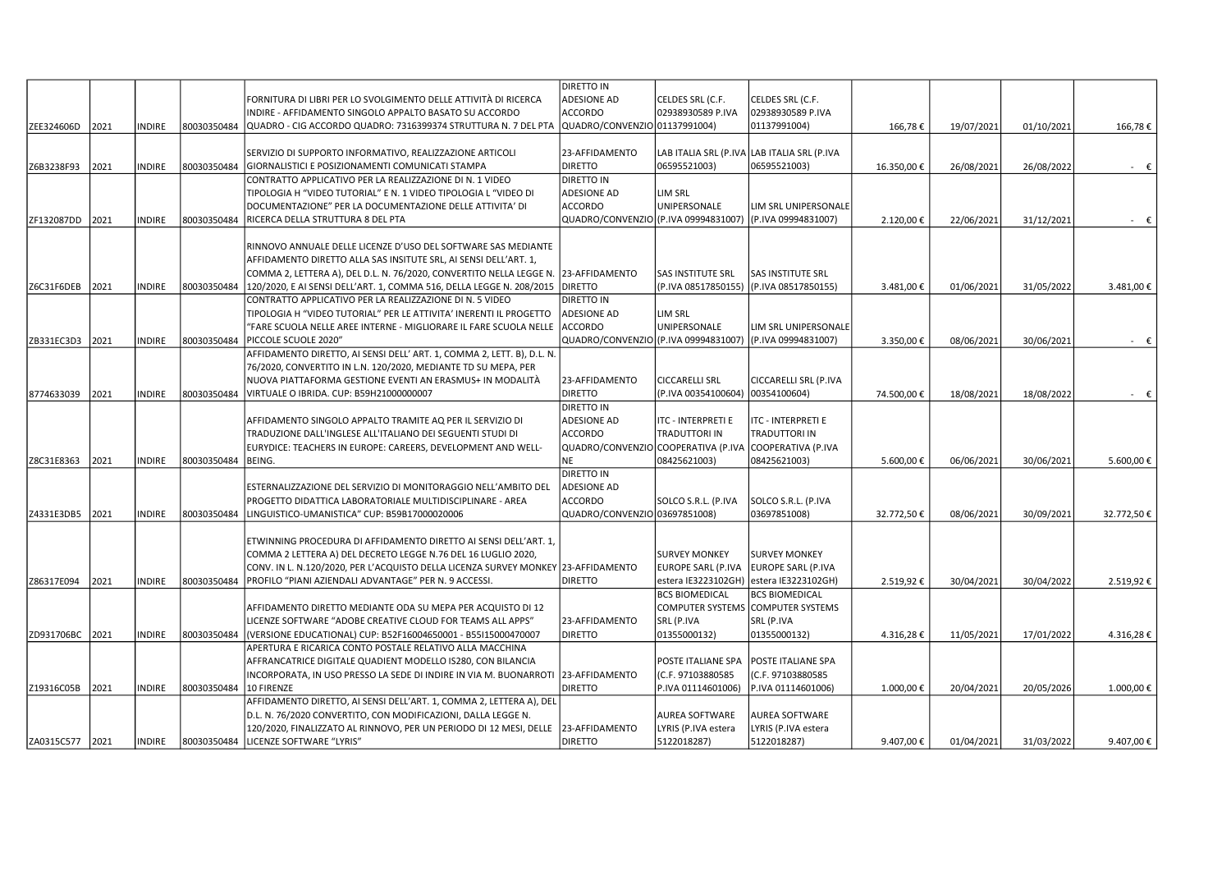| <b>ADESIONE AD</b><br>FORNITURA DI LIBRI PER LO SVOLGIMENTO DELLE ATTIVITÀ DI RICERCA<br>CELDES SRL (C.F.<br>CELDES SRL (C.F.<br>02938930589 P.IVA<br><b>ACCORDO</b><br>02938930589 P.IVA<br>INDIRE - AFFIDAMENTO SINGOLO APPALTO BASATO SU ACCORDO<br>QUADRO/CONVENZIO 01137991004)<br>01137991004)<br>ZEE324606D<br>2021<br><b>INDIRE</b><br>80030350484<br>QUADRO - CIG ACCORDO QUADRO: 7316399374 STRUTTURA N. 7 DEL PTA<br>166,78€<br>19/07/2021<br>01/10/2021<br>166,78€<br>23-AFFIDAMENTO<br>LAB ITALIA SRL (P.IVA LAB ITALIA SRL (P.IVA<br>SERVIZIO DI SUPPORTO INFORMATIVO, REALIZZAZIONE ARTICOLI<br>Z6B3238F93<br>2021<br>80030350484<br><b>DIRETTO</b><br>06595521003)<br>06595521003)<br>26/08/2022<br><b>INDIRE</b><br>16.350,00€<br>26/08/2021<br>$ \epsilon$<br>GIORNALISTICI E POSIZIONAMENTI COMUNICATI STAMPA<br>DIRETTO IN<br>CONTRATTO APPLICATIVO PER LA REALIZZAZIONE DI N. 1 VIDEO<br><b>ADESIONE AD</b><br>TIPOLOGIA H "VIDEO TUTORIAL" E N. 1 VIDEO TIPOLOGIA L "VIDEO DI<br>LIM SRL<br><b>ACCORDO</b><br>UNIPERSONALE<br>DOCUMENTAZIONE" PER LA DOCUMENTAZIONE DELLE ATTIVITA' DI<br>LIM SRL UNIPERSONALE<br>QUADRO/CONVENZIO (P.IVA 09994831007)<br>(P.IVA 09994831007)<br>ZF132087DD<br>2021<br><b>INDIRE</b><br>80030350484<br>RICERCA DELLA STRUTTURA 8 DEL PTA<br>2.120,00€<br>22/06/2021<br>31/12/2021<br>$ \epsilon$<br>RINNOVO ANNUALE DELLE LICENZE D'USO DEL SOFTWARE SAS MEDIANTE<br>AFFIDAMENTO DIRETTO ALLA SAS INSITUTE SRL, AI SENSI DELL'ART. 1,<br>COMMA 2, LETTERA A), DEL D.L. N. 76/2020, CONVERTITO NELLA LEGGE N.  23-AFFIDAMENTO<br>SAS INSTITUTE SRL<br><b>SAS INSTITUTE SRL</b><br><b>DIRETTO</b><br>(P.IVA 08517850155) (P.IVA 08517850155)<br>2021<br>120/2020, E AI SENSI DELL'ART. 1, COMMA 516, DELLA LEGGE N. 208/2015<br>01/06/2021<br>31/05/2022<br>3.481,00€<br>Z6C31F6DEB<br><b>INDIRE</b><br>80030350484<br>3.481,00€<br><b>DIRETTO IN</b><br>CONTRATTO APPLICATIVO PER LA REALIZZAZIONE DI N. 5 VIDEO<br><b>ADESIONE AD</b><br>LIM SRL<br>TIPOLOGIA H "VIDEO TUTORIAL" PER LE ATTIVITA' INERENTI IL PROGETTO<br><b>ACCORDO</b><br>UNIPERSONALE<br>"FARE SCUOLA NELLE AREE INTERNE - MIGLIORARE IL FARE SCUOLA NELLE<br>LIM SRL UNIPERSONALE<br>2021<br>ZB331EC3D3<br><b>INDIRE</b><br>80030350484<br>PICCOLE SCUOLE 2020"<br>QUADRO/CONVENZIO (P.IVA 09994831007)<br>(P.IVA 09994831007)<br>3.350,00€<br>08/06/2021<br>30/06/2021<br>$ \epsilon$<br>AFFIDAMENTO DIRETTO, AI SENSI DELL'ART. 1, COMMA 2, LETT. B), D.L. N.<br>76/2020, CONVERTITO IN L.N. 120/2020, MEDIANTE TD SU MEPA, PER<br>NUOVA PIATTAFORMA GESTIONE EVENTI AN ERASMUS+ IN MODALITÀ<br>23-AFFIDAMENTO<br><b>CICCARELLI SRL</b><br>CICCARELLI SRL (P.IVA<br><b>DIRETTO</b><br>(P.IVA 00354100604) 00354100604)<br>2021<br><b>INDIRE</b><br>80030350484<br>VIRTUALE O IBRIDA. CUP: B59H21000000007<br>18/08/2021<br>18/08/2022<br>8774633039<br>74.500,00€<br>$ \epsilon$<br><b>DIRETTO IN</b><br><b>ADESIONE AD</b><br>ITC - INTERPRETI E<br>ITC - INTERPRETI E<br>AFFIDAMENTO SINGOLO APPALTO TRAMITE AQ PER IL SERVIZIO DI<br><b>ACCORDO</b><br>TRADUTTORI IN<br><b>TRADUTTORI IN</b><br>TRADUZIONE DALL'INGLESE ALL'ITALIANO DEI SEGUENTI STUDI DI<br>QUADRO/CONVENZIO COOPERATIVA (P.IVA COOPERATIVA (P.IVA<br>EURYDICE: TEACHERS IN EUROPE: CAREERS, DEVELOPMENT AND WELL-<br><b>NE</b><br>08425621003)<br>08425621003)<br>2021<br>80030350484<br>BEING.<br>30/06/2021<br>5.600,00€<br>Z8C31E8363<br><b>INDIRE</b><br>5.600,00€<br>06/06/2021<br>DIRETTO IN<br>ADESIONE AD<br>ESTERNALIZZAZIONE DEL SERVIZIO DI MONITORAGGIO NELL'AMBITO DEL<br>PROGETTO DIDATTICA LABORATORIALE MULTIDISCIPLINARE - AREA<br>ACCORDO<br>SOLCO S.R.L. (P.IVA<br>SOLCO S.R.L. (P.IVA<br>QUADRO/CONVENZIO 03697851008)<br>03697851008)<br>32.772,50€<br>Z4331E3DB5<br>2021<br><b>INDIRE</b><br>80030350484<br>LINGUISTICO-UMANISTICA" CUP: B59B17000020006<br>32.772,50€<br>08/06/2021<br>30/09/2021<br>ETWINNING PROCEDURA DI AFFIDAMENTO DIRETTO AI SENSI DELL'ART. 1,<br>COMMA 2 LETTERA A) DEL DECRETO LEGGE N.76 DEL 16 LUGLIO 2020,<br><b>SURVEY MONKEY</b><br><b>SURVEY MONKEY</b><br>CONV. IN L. N.120/2020, PER L'ACQUISTO DELLA LICENZA SURVEY MONKEY 23-AFFIDAMENTO<br>EUROPE SARL (P.IVA<br>EUROPE SARL (P.IVA<br>2021<br>INDIRE<br>PROFILO "PIANI AZIENDALI ADVANTAGE" PER N. 9 ACCESSI.<br><b>DIRETTO</b><br>estera IE3223102GH)  estera IE3223102GH)<br>2.519,92€<br>30/04/2021<br>30/04/2022<br>2.519,92€<br>Z86317E094<br>80030350484<br><b>BCS BIOMEDICAL</b><br><b>BCS BIOMEDICAL</b><br>COMPUTER SYSTEMS COMPUTER SYSTEMS<br>AFFIDAMENTO DIRETTO MEDIANTE ODA SU MEPA PER ACQUISTO DI 12<br>SRL (P.IVA<br>SRL (P.IVA<br>LICENZE SOFTWARE "ADOBE CREATIVE CLOUD FOR TEAMS ALL APPS"<br>23-AFFIDAMENTO<br>ZD931706BC<br>2021<br>INDIRE<br>80030350484<br><b>DIRETTO</b><br>01355000132)<br>01355000132)<br>4.316,28€<br>11/05/2021<br>17/01/2022<br>4.316,28€<br>(VERSIONE EDUCATIONAL) CUP: B52F16004650001 - B55I15000470007<br>APERTURA E RICARICA CONTO POSTALE RELATIVO ALLA MACCHINA<br>AFFRANCATRICE DIGITALE QUADIENT MODELLO IS280, CON BILANCIA<br>POSTE ITALIANE SPA<br>POSTE ITALIANE SPA<br>23-AFFIDAMENTO<br>(C.F. 97103880585<br>(C.F. 97103880585<br>INCORPORATA, IN USO PRESSO LA SEDE DI INDIRE IN VIA M. BUONARROTI |                 |      |               |             |                          | <b>DIRETTO IN</b> |                    |                    |           |            |            |           |
|--------------------------------------------------------------------------------------------------------------------------------------------------------------------------------------------------------------------------------------------------------------------------------------------------------------------------------------------------------------------------------------------------------------------------------------------------------------------------------------------------------------------------------------------------------------------------------------------------------------------------------------------------------------------------------------------------------------------------------------------------------------------------------------------------------------------------------------------------------------------------------------------------------------------------------------------------------------------------------------------------------------------------------------------------------------------------------------------------------------------------------------------------------------------------------------------------------------------------------------------------------------------------------------------------------------------------------------------------------------------------------------------------------------------------------------------------------------------------------------------------------------------------------------------------------------------------------------------------------------------------------------------------------------------------------------------------------------------------------------------------------------------------------------------------------------------------------------------------------------------------------------------------------------------------------------------------------------------------------------------------------------------------------------------------------------------------------------------------------------------------------------------------------------------------------------------------------------------------------------------------------------------------------------------------------------------------------------------------------------------------------------------------------------------------------------------------------------------------------------------------------------------------------------------------------------------------------------------------------------------------------------------------------------------------------------------------------------------------------------------------------------------------------------------------------------------------------------------------------------------------------------------------------------------------------------------------------------------------------------------------------------------------------------------------------------------------------------------------------------------------------------------------------------------------------------------------------------------------------------------------------------------------------------------------------------------------------------------------------------------------------------------------------------------------------------------------------------------------------------------------------------------------------------------------------------------------------------------------------------------------------------------------------------------------------------------------------------------------------------------------------------------------------------------------------------------------------------------------------------------------------------------------------------------------------------------------------------------------------------------------------------------------------------------------------------------------------------------------------------------------------------------------------------------------------------------------------------------------------------------------------------------------------------------------------------------------------------------------------------------------------------------------------------------------------------------------------------------------------------------------------------------------------------------------------------------------------------------------------------------------------------------------------------------------------------------------------------------------------------------------------------------------------------------------------------------------------------------------------------------------------------------------------------------------------------------------------------------------------------------------------------------------------------------------------------------------------------------------------------------------------------------------------------------------------------------------------------------------------------------------------------------------------|-----------------|------|---------------|-------------|--------------------------|-------------------|--------------------|--------------------|-----------|------------|------------|-----------|
|                                                                                                                                                                                                                                                                                                                                                                                                                                                                                                                                                                                                                                                                                                                                                                                                                                                                                                                                                                                                                                                                                                                                                                                                                                                                                                                                                                                                                                                                                                                                                                                                                                                                                                                                                                                                                                                                                                                                                                                                                                                                                                                                                                                                                                                                                                                                                                                                                                                                                                                                                                                                                                                                                                                                                                                                                                                                                                                                                                                                                                                                                                                                                                                                                                                                                                                                                                                                                                                                                                                                                                                                                                                                                                                                                                                                                                                                                                                                                                                                                                                                                                                                                                                                                                                                                                                                                                                                                                                                                                                                                                                                                                                                                                                                                                                                                                                                                                                                                                                                                                                                                                                                                                                                                                                                                |                 |      |               |             |                          |                   |                    |                    |           |            |            |           |
|                                                                                                                                                                                                                                                                                                                                                                                                                                                                                                                                                                                                                                                                                                                                                                                                                                                                                                                                                                                                                                                                                                                                                                                                                                                                                                                                                                                                                                                                                                                                                                                                                                                                                                                                                                                                                                                                                                                                                                                                                                                                                                                                                                                                                                                                                                                                                                                                                                                                                                                                                                                                                                                                                                                                                                                                                                                                                                                                                                                                                                                                                                                                                                                                                                                                                                                                                                                                                                                                                                                                                                                                                                                                                                                                                                                                                                                                                                                                                                                                                                                                                                                                                                                                                                                                                                                                                                                                                                                                                                                                                                                                                                                                                                                                                                                                                                                                                                                                                                                                                                                                                                                                                                                                                                                                                |                 |      |               |             |                          |                   |                    |                    |           |            |            |           |
|                                                                                                                                                                                                                                                                                                                                                                                                                                                                                                                                                                                                                                                                                                                                                                                                                                                                                                                                                                                                                                                                                                                                                                                                                                                                                                                                                                                                                                                                                                                                                                                                                                                                                                                                                                                                                                                                                                                                                                                                                                                                                                                                                                                                                                                                                                                                                                                                                                                                                                                                                                                                                                                                                                                                                                                                                                                                                                                                                                                                                                                                                                                                                                                                                                                                                                                                                                                                                                                                                                                                                                                                                                                                                                                                                                                                                                                                                                                                                                                                                                                                                                                                                                                                                                                                                                                                                                                                                                                                                                                                                                                                                                                                                                                                                                                                                                                                                                                                                                                                                                                                                                                                                                                                                                                                                |                 |      |               |             |                          |                   |                    |                    |           |            |            |           |
|                                                                                                                                                                                                                                                                                                                                                                                                                                                                                                                                                                                                                                                                                                                                                                                                                                                                                                                                                                                                                                                                                                                                                                                                                                                                                                                                                                                                                                                                                                                                                                                                                                                                                                                                                                                                                                                                                                                                                                                                                                                                                                                                                                                                                                                                                                                                                                                                                                                                                                                                                                                                                                                                                                                                                                                                                                                                                                                                                                                                                                                                                                                                                                                                                                                                                                                                                                                                                                                                                                                                                                                                                                                                                                                                                                                                                                                                                                                                                                                                                                                                                                                                                                                                                                                                                                                                                                                                                                                                                                                                                                                                                                                                                                                                                                                                                                                                                                                                                                                                                                                                                                                                                                                                                                                                                |                 |      |               |             |                          |                   |                    |                    |           |            |            |           |
|                                                                                                                                                                                                                                                                                                                                                                                                                                                                                                                                                                                                                                                                                                                                                                                                                                                                                                                                                                                                                                                                                                                                                                                                                                                                                                                                                                                                                                                                                                                                                                                                                                                                                                                                                                                                                                                                                                                                                                                                                                                                                                                                                                                                                                                                                                                                                                                                                                                                                                                                                                                                                                                                                                                                                                                                                                                                                                                                                                                                                                                                                                                                                                                                                                                                                                                                                                                                                                                                                                                                                                                                                                                                                                                                                                                                                                                                                                                                                                                                                                                                                                                                                                                                                                                                                                                                                                                                                                                                                                                                                                                                                                                                                                                                                                                                                                                                                                                                                                                                                                                                                                                                                                                                                                                                                |                 |      |               |             |                          |                   |                    |                    |           |            |            |           |
|                                                                                                                                                                                                                                                                                                                                                                                                                                                                                                                                                                                                                                                                                                                                                                                                                                                                                                                                                                                                                                                                                                                                                                                                                                                                                                                                                                                                                                                                                                                                                                                                                                                                                                                                                                                                                                                                                                                                                                                                                                                                                                                                                                                                                                                                                                                                                                                                                                                                                                                                                                                                                                                                                                                                                                                                                                                                                                                                                                                                                                                                                                                                                                                                                                                                                                                                                                                                                                                                                                                                                                                                                                                                                                                                                                                                                                                                                                                                                                                                                                                                                                                                                                                                                                                                                                                                                                                                                                                                                                                                                                                                                                                                                                                                                                                                                                                                                                                                                                                                                                                                                                                                                                                                                                                                                |                 |      |               |             |                          |                   |                    |                    |           |            |            |           |
|                                                                                                                                                                                                                                                                                                                                                                                                                                                                                                                                                                                                                                                                                                                                                                                                                                                                                                                                                                                                                                                                                                                                                                                                                                                                                                                                                                                                                                                                                                                                                                                                                                                                                                                                                                                                                                                                                                                                                                                                                                                                                                                                                                                                                                                                                                                                                                                                                                                                                                                                                                                                                                                                                                                                                                                                                                                                                                                                                                                                                                                                                                                                                                                                                                                                                                                                                                                                                                                                                                                                                                                                                                                                                                                                                                                                                                                                                                                                                                                                                                                                                                                                                                                                                                                                                                                                                                                                                                                                                                                                                                                                                                                                                                                                                                                                                                                                                                                                                                                                                                                                                                                                                                                                                                                                                |                 |      |               |             |                          |                   |                    |                    |           |            |            |           |
|                                                                                                                                                                                                                                                                                                                                                                                                                                                                                                                                                                                                                                                                                                                                                                                                                                                                                                                                                                                                                                                                                                                                                                                                                                                                                                                                                                                                                                                                                                                                                                                                                                                                                                                                                                                                                                                                                                                                                                                                                                                                                                                                                                                                                                                                                                                                                                                                                                                                                                                                                                                                                                                                                                                                                                                                                                                                                                                                                                                                                                                                                                                                                                                                                                                                                                                                                                                                                                                                                                                                                                                                                                                                                                                                                                                                                                                                                                                                                                                                                                                                                                                                                                                                                                                                                                                                                                                                                                                                                                                                                                                                                                                                                                                                                                                                                                                                                                                                                                                                                                                                                                                                                                                                                                                                                |                 |      |               |             |                          |                   |                    |                    |           |            |            |           |
|                                                                                                                                                                                                                                                                                                                                                                                                                                                                                                                                                                                                                                                                                                                                                                                                                                                                                                                                                                                                                                                                                                                                                                                                                                                                                                                                                                                                                                                                                                                                                                                                                                                                                                                                                                                                                                                                                                                                                                                                                                                                                                                                                                                                                                                                                                                                                                                                                                                                                                                                                                                                                                                                                                                                                                                                                                                                                                                                                                                                                                                                                                                                                                                                                                                                                                                                                                                                                                                                                                                                                                                                                                                                                                                                                                                                                                                                                                                                                                                                                                                                                                                                                                                                                                                                                                                                                                                                                                                                                                                                                                                                                                                                                                                                                                                                                                                                                                                                                                                                                                                                                                                                                                                                                                                                                |                 |      |               |             |                          |                   |                    |                    |           |            |            |           |
|                                                                                                                                                                                                                                                                                                                                                                                                                                                                                                                                                                                                                                                                                                                                                                                                                                                                                                                                                                                                                                                                                                                                                                                                                                                                                                                                                                                                                                                                                                                                                                                                                                                                                                                                                                                                                                                                                                                                                                                                                                                                                                                                                                                                                                                                                                                                                                                                                                                                                                                                                                                                                                                                                                                                                                                                                                                                                                                                                                                                                                                                                                                                                                                                                                                                                                                                                                                                                                                                                                                                                                                                                                                                                                                                                                                                                                                                                                                                                                                                                                                                                                                                                                                                                                                                                                                                                                                                                                                                                                                                                                                                                                                                                                                                                                                                                                                                                                                                                                                                                                                                                                                                                                                                                                                                                |                 |      |               |             |                          |                   |                    |                    |           |            |            |           |
|                                                                                                                                                                                                                                                                                                                                                                                                                                                                                                                                                                                                                                                                                                                                                                                                                                                                                                                                                                                                                                                                                                                                                                                                                                                                                                                                                                                                                                                                                                                                                                                                                                                                                                                                                                                                                                                                                                                                                                                                                                                                                                                                                                                                                                                                                                                                                                                                                                                                                                                                                                                                                                                                                                                                                                                                                                                                                                                                                                                                                                                                                                                                                                                                                                                                                                                                                                                                                                                                                                                                                                                                                                                                                                                                                                                                                                                                                                                                                                                                                                                                                                                                                                                                                                                                                                                                                                                                                                                                                                                                                                                                                                                                                                                                                                                                                                                                                                                                                                                                                                                                                                                                                                                                                                                                                |                 |      |               |             |                          |                   |                    |                    |           |            |            |           |
|                                                                                                                                                                                                                                                                                                                                                                                                                                                                                                                                                                                                                                                                                                                                                                                                                                                                                                                                                                                                                                                                                                                                                                                                                                                                                                                                                                                                                                                                                                                                                                                                                                                                                                                                                                                                                                                                                                                                                                                                                                                                                                                                                                                                                                                                                                                                                                                                                                                                                                                                                                                                                                                                                                                                                                                                                                                                                                                                                                                                                                                                                                                                                                                                                                                                                                                                                                                                                                                                                                                                                                                                                                                                                                                                                                                                                                                                                                                                                                                                                                                                                                                                                                                                                                                                                                                                                                                                                                                                                                                                                                                                                                                                                                                                                                                                                                                                                                                                                                                                                                                                                                                                                                                                                                                                                |                 |      |               |             |                          |                   |                    |                    |           |            |            |           |
|                                                                                                                                                                                                                                                                                                                                                                                                                                                                                                                                                                                                                                                                                                                                                                                                                                                                                                                                                                                                                                                                                                                                                                                                                                                                                                                                                                                                                                                                                                                                                                                                                                                                                                                                                                                                                                                                                                                                                                                                                                                                                                                                                                                                                                                                                                                                                                                                                                                                                                                                                                                                                                                                                                                                                                                                                                                                                                                                                                                                                                                                                                                                                                                                                                                                                                                                                                                                                                                                                                                                                                                                                                                                                                                                                                                                                                                                                                                                                                                                                                                                                                                                                                                                                                                                                                                                                                                                                                                                                                                                                                                                                                                                                                                                                                                                                                                                                                                                                                                                                                                                                                                                                                                                                                                                                |                 |      |               |             |                          |                   |                    |                    |           |            |            |           |
|                                                                                                                                                                                                                                                                                                                                                                                                                                                                                                                                                                                                                                                                                                                                                                                                                                                                                                                                                                                                                                                                                                                                                                                                                                                                                                                                                                                                                                                                                                                                                                                                                                                                                                                                                                                                                                                                                                                                                                                                                                                                                                                                                                                                                                                                                                                                                                                                                                                                                                                                                                                                                                                                                                                                                                                                                                                                                                                                                                                                                                                                                                                                                                                                                                                                                                                                                                                                                                                                                                                                                                                                                                                                                                                                                                                                                                                                                                                                                                                                                                                                                                                                                                                                                                                                                                                                                                                                                                                                                                                                                                                                                                                                                                                                                                                                                                                                                                                                                                                                                                                                                                                                                                                                                                                                                |                 |      |               |             |                          |                   |                    |                    |           |            |            |           |
|                                                                                                                                                                                                                                                                                                                                                                                                                                                                                                                                                                                                                                                                                                                                                                                                                                                                                                                                                                                                                                                                                                                                                                                                                                                                                                                                                                                                                                                                                                                                                                                                                                                                                                                                                                                                                                                                                                                                                                                                                                                                                                                                                                                                                                                                                                                                                                                                                                                                                                                                                                                                                                                                                                                                                                                                                                                                                                                                                                                                                                                                                                                                                                                                                                                                                                                                                                                                                                                                                                                                                                                                                                                                                                                                                                                                                                                                                                                                                                                                                                                                                                                                                                                                                                                                                                                                                                                                                                                                                                                                                                                                                                                                                                                                                                                                                                                                                                                                                                                                                                                                                                                                                                                                                                                                                |                 |      |               |             |                          |                   |                    |                    |           |            |            |           |
|                                                                                                                                                                                                                                                                                                                                                                                                                                                                                                                                                                                                                                                                                                                                                                                                                                                                                                                                                                                                                                                                                                                                                                                                                                                                                                                                                                                                                                                                                                                                                                                                                                                                                                                                                                                                                                                                                                                                                                                                                                                                                                                                                                                                                                                                                                                                                                                                                                                                                                                                                                                                                                                                                                                                                                                                                                                                                                                                                                                                                                                                                                                                                                                                                                                                                                                                                                                                                                                                                                                                                                                                                                                                                                                                                                                                                                                                                                                                                                                                                                                                                                                                                                                                                                                                                                                                                                                                                                                                                                                                                                                                                                                                                                                                                                                                                                                                                                                                                                                                                                                                                                                                                                                                                                                                                |                 |      |               |             |                          |                   |                    |                    |           |            |            |           |
|                                                                                                                                                                                                                                                                                                                                                                                                                                                                                                                                                                                                                                                                                                                                                                                                                                                                                                                                                                                                                                                                                                                                                                                                                                                                                                                                                                                                                                                                                                                                                                                                                                                                                                                                                                                                                                                                                                                                                                                                                                                                                                                                                                                                                                                                                                                                                                                                                                                                                                                                                                                                                                                                                                                                                                                                                                                                                                                                                                                                                                                                                                                                                                                                                                                                                                                                                                                                                                                                                                                                                                                                                                                                                                                                                                                                                                                                                                                                                                                                                                                                                                                                                                                                                                                                                                                                                                                                                                                                                                                                                                                                                                                                                                                                                                                                                                                                                                                                                                                                                                                                                                                                                                                                                                                                                |                 |      |               |             |                          |                   |                    |                    |           |            |            |           |
|                                                                                                                                                                                                                                                                                                                                                                                                                                                                                                                                                                                                                                                                                                                                                                                                                                                                                                                                                                                                                                                                                                                                                                                                                                                                                                                                                                                                                                                                                                                                                                                                                                                                                                                                                                                                                                                                                                                                                                                                                                                                                                                                                                                                                                                                                                                                                                                                                                                                                                                                                                                                                                                                                                                                                                                                                                                                                                                                                                                                                                                                                                                                                                                                                                                                                                                                                                                                                                                                                                                                                                                                                                                                                                                                                                                                                                                                                                                                                                                                                                                                                                                                                                                                                                                                                                                                                                                                                                                                                                                                                                                                                                                                                                                                                                                                                                                                                                                                                                                                                                                                                                                                                                                                                                                                                |                 |      |               |             |                          |                   |                    |                    |           |            |            |           |
|                                                                                                                                                                                                                                                                                                                                                                                                                                                                                                                                                                                                                                                                                                                                                                                                                                                                                                                                                                                                                                                                                                                                                                                                                                                                                                                                                                                                                                                                                                                                                                                                                                                                                                                                                                                                                                                                                                                                                                                                                                                                                                                                                                                                                                                                                                                                                                                                                                                                                                                                                                                                                                                                                                                                                                                                                                                                                                                                                                                                                                                                                                                                                                                                                                                                                                                                                                                                                                                                                                                                                                                                                                                                                                                                                                                                                                                                                                                                                                                                                                                                                                                                                                                                                                                                                                                                                                                                                                                                                                                                                                                                                                                                                                                                                                                                                                                                                                                                                                                                                                                                                                                                                                                                                                                                                |                 |      |               |             |                          |                   |                    |                    |           |            |            |           |
|                                                                                                                                                                                                                                                                                                                                                                                                                                                                                                                                                                                                                                                                                                                                                                                                                                                                                                                                                                                                                                                                                                                                                                                                                                                                                                                                                                                                                                                                                                                                                                                                                                                                                                                                                                                                                                                                                                                                                                                                                                                                                                                                                                                                                                                                                                                                                                                                                                                                                                                                                                                                                                                                                                                                                                                                                                                                                                                                                                                                                                                                                                                                                                                                                                                                                                                                                                                                                                                                                                                                                                                                                                                                                                                                                                                                                                                                                                                                                                                                                                                                                                                                                                                                                                                                                                                                                                                                                                                                                                                                                                                                                                                                                                                                                                                                                                                                                                                                                                                                                                                                                                                                                                                                                                                                                |                 |      |               |             |                          |                   |                    |                    |           |            |            |           |
|                                                                                                                                                                                                                                                                                                                                                                                                                                                                                                                                                                                                                                                                                                                                                                                                                                                                                                                                                                                                                                                                                                                                                                                                                                                                                                                                                                                                                                                                                                                                                                                                                                                                                                                                                                                                                                                                                                                                                                                                                                                                                                                                                                                                                                                                                                                                                                                                                                                                                                                                                                                                                                                                                                                                                                                                                                                                                                                                                                                                                                                                                                                                                                                                                                                                                                                                                                                                                                                                                                                                                                                                                                                                                                                                                                                                                                                                                                                                                                                                                                                                                                                                                                                                                                                                                                                                                                                                                                                                                                                                                                                                                                                                                                                                                                                                                                                                                                                                                                                                                                                                                                                                                                                                                                                                                |                 |      |               |             |                          |                   |                    |                    |           |            |            |           |
|                                                                                                                                                                                                                                                                                                                                                                                                                                                                                                                                                                                                                                                                                                                                                                                                                                                                                                                                                                                                                                                                                                                                                                                                                                                                                                                                                                                                                                                                                                                                                                                                                                                                                                                                                                                                                                                                                                                                                                                                                                                                                                                                                                                                                                                                                                                                                                                                                                                                                                                                                                                                                                                                                                                                                                                                                                                                                                                                                                                                                                                                                                                                                                                                                                                                                                                                                                                                                                                                                                                                                                                                                                                                                                                                                                                                                                                                                                                                                                                                                                                                                                                                                                                                                                                                                                                                                                                                                                                                                                                                                                                                                                                                                                                                                                                                                                                                                                                                                                                                                                                                                                                                                                                                                                                                                |                 |      |               |             |                          |                   |                    |                    |           |            |            |           |
|                                                                                                                                                                                                                                                                                                                                                                                                                                                                                                                                                                                                                                                                                                                                                                                                                                                                                                                                                                                                                                                                                                                                                                                                                                                                                                                                                                                                                                                                                                                                                                                                                                                                                                                                                                                                                                                                                                                                                                                                                                                                                                                                                                                                                                                                                                                                                                                                                                                                                                                                                                                                                                                                                                                                                                                                                                                                                                                                                                                                                                                                                                                                                                                                                                                                                                                                                                                                                                                                                                                                                                                                                                                                                                                                                                                                                                                                                                                                                                                                                                                                                                                                                                                                                                                                                                                                                                                                                                                                                                                                                                                                                                                                                                                                                                                                                                                                                                                                                                                                                                                                                                                                                                                                                                                                                |                 |      |               |             |                          |                   |                    |                    |           |            |            |           |
|                                                                                                                                                                                                                                                                                                                                                                                                                                                                                                                                                                                                                                                                                                                                                                                                                                                                                                                                                                                                                                                                                                                                                                                                                                                                                                                                                                                                                                                                                                                                                                                                                                                                                                                                                                                                                                                                                                                                                                                                                                                                                                                                                                                                                                                                                                                                                                                                                                                                                                                                                                                                                                                                                                                                                                                                                                                                                                                                                                                                                                                                                                                                                                                                                                                                                                                                                                                                                                                                                                                                                                                                                                                                                                                                                                                                                                                                                                                                                                                                                                                                                                                                                                                                                                                                                                                                                                                                                                                                                                                                                                                                                                                                                                                                                                                                                                                                                                                                                                                                                                                                                                                                                                                                                                                                                |                 |      |               |             |                          |                   |                    |                    |           |            |            |           |
|                                                                                                                                                                                                                                                                                                                                                                                                                                                                                                                                                                                                                                                                                                                                                                                                                                                                                                                                                                                                                                                                                                                                                                                                                                                                                                                                                                                                                                                                                                                                                                                                                                                                                                                                                                                                                                                                                                                                                                                                                                                                                                                                                                                                                                                                                                                                                                                                                                                                                                                                                                                                                                                                                                                                                                                                                                                                                                                                                                                                                                                                                                                                                                                                                                                                                                                                                                                                                                                                                                                                                                                                                                                                                                                                                                                                                                                                                                                                                                                                                                                                                                                                                                                                                                                                                                                                                                                                                                                                                                                                                                                                                                                                                                                                                                                                                                                                                                                                                                                                                                                                                                                                                                                                                                                                                |                 |      |               |             |                          |                   |                    |                    |           |            |            |           |
|                                                                                                                                                                                                                                                                                                                                                                                                                                                                                                                                                                                                                                                                                                                                                                                                                                                                                                                                                                                                                                                                                                                                                                                                                                                                                                                                                                                                                                                                                                                                                                                                                                                                                                                                                                                                                                                                                                                                                                                                                                                                                                                                                                                                                                                                                                                                                                                                                                                                                                                                                                                                                                                                                                                                                                                                                                                                                                                                                                                                                                                                                                                                                                                                                                                                                                                                                                                                                                                                                                                                                                                                                                                                                                                                                                                                                                                                                                                                                                                                                                                                                                                                                                                                                                                                                                                                                                                                                                                                                                                                                                                                                                                                                                                                                                                                                                                                                                                                                                                                                                                                                                                                                                                                                                                                                |                 |      |               |             |                          |                   |                    |                    |           |            |            |           |
|                                                                                                                                                                                                                                                                                                                                                                                                                                                                                                                                                                                                                                                                                                                                                                                                                                                                                                                                                                                                                                                                                                                                                                                                                                                                                                                                                                                                                                                                                                                                                                                                                                                                                                                                                                                                                                                                                                                                                                                                                                                                                                                                                                                                                                                                                                                                                                                                                                                                                                                                                                                                                                                                                                                                                                                                                                                                                                                                                                                                                                                                                                                                                                                                                                                                                                                                                                                                                                                                                                                                                                                                                                                                                                                                                                                                                                                                                                                                                                                                                                                                                                                                                                                                                                                                                                                                                                                                                                                                                                                                                                                                                                                                                                                                                                                                                                                                                                                                                                                                                                                                                                                                                                                                                                                                                |                 |      |               |             |                          |                   |                    |                    |           |            |            |           |
|                                                                                                                                                                                                                                                                                                                                                                                                                                                                                                                                                                                                                                                                                                                                                                                                                                                                                                                                                                                                                                                                                                                                                                                                                                                                                                                                                                                                                                                                                                                                                                                                                                                                                                                                                                                                                                                                                                                                                                                                                                                                                                                                                                                                                                                                                                                                                                                                                                                                                                                                                                                                                                                                                                                                                                                                                                                                                                                                                                                                                                                                                                                                                                                                                                                                                                                                                                                                                                                                                                                                                                                                                                                                                                                                                                                                                                                                                                                                                                                                                                                                                                                                                                                                                                                                                                                                                                                                                                                                                                                                                                                                                                                                                                                                                                                                                                                                                                                                                                                                                                                                                                                                                                                                                                                                                |                 |      |               |             |                          |                   |                    |                    |           |            |            |           |
|                                                                                                                                                                                                                                                                                                                                                                                                                                                                                                                                                                                                                                                                                                                                                                                                                                                                                                                                                                                                                                                                                                                                                                                                                                                                                                                                                                                                                                                                                                                                                                                                                                                                                                                                                                                                                                                                                                                                                                                                                                                                                                                                                                                                                                                                                                                                                                                                                                                                                                                                                                                                                                                                                                                                                                                                                                                                                                                                                                                                                                                                                                                                                                                                                                                                                                                                                                                                                                                                                                                                                                                                                                                                                                                                                                                                                                                                                                                                                                                                                                                                                                                                                                                                                                                                                                                                                                                                                                                                                                                                                                                                                                                                                                                                                                                                                                                                                                                                                                                                                                                                                                                                                                                                                                                                                |                 |      |               |             |                          |                   |                    |                    |           |            |            |           |
|                                                                                                                                                                                                                                                                                                                                                                                                                                                                                                                                                                                                                                                                                                                                                                                                                                                                                                                                                                                                                                                                                                                                                                                                                                                                                                                                                                                                                                                                                                                                                                                                                                                                                                                                                                                                                                                                                                                                                                                                                                                                                                                                                                                                                                                                                                                                                                                                                                                                                                                                                                                                                                                                                                                                                                                                                                                                                                                                                                                                                                                                                                                                                                                                                                                                                                                                                                                                                                                                                                                                                                                                                                                                                                                                                                                                                                                                                                                                                                                                                                                                                                                                                                                                                                                                                                                                                                                                                                                                                                                                                                                                                                                                                                                                                                                                                                                                                                                                                                                                                                                                                                                                                                                                                                                                                |                 |      |               |             |                          |                   |                    |                    |           |            |            |           |
|                                                                                                                                                                                                                                                                                                                                                                                                                                                                                                                                                                                                                                                                                                                                                                                                                                                                                                                                                                                                                                                                                                                                                                                                                                                                                                                                                                                                                                                                                                                                                                                                                                                                                                                                                                                                                                                                                                                                                                                                                                                                                                                                                                                                                                                                                                                                                                                                                                                                                                                                                                                                                                                                                                                                                                                                                                                                                                                                                                                                                                                                                                                                                                                                                                                                                                                                                                                                                                                                                                                                                                                                                                                                                                                                                                                                                                                                                                                                                                                                                                                                                                                                                                                                                                                                                                                                                                                                                                                                                                                                                                                                                                                                                                                                                                                                                                                                                                                                                                                                                                                                                                                                                                                                                                                                                |                 |      |               |             |                          |                   |                    |                    |           |            |            |           |
|                                                                                                                                                                                                                                                                                                                                                                                                                                                                                                                                                                                                                                                                                                                                                                                                                                                                                                                                                                                                                                                                                                                                                                                                                                                                                                                                                                                                                                                                                                                                                                                                                                                                                                                                                                                                                                                                                                                                                                                                                                                                                                                                                                                                                                                                                                                                                                                                                                                                                                                                                                                                                                                                                                                                                                                                                                                                                                                                                                                                                                                                                                                                                                                                                                                                                                                                                                                                                                                                                                                                                                                                                                                                                                                                                                                                                                                                                                                                                                                                                                                                                                                                                                                                                                                                                                                                                                                                                                                                                                                                                                                                                                                                                                                                                                                                                                                                                                                                                                                                                                                                                                                                                                                                                                                                                |                 |      |               |             |                          |                   |                    |                    |           |            |            |           |
|                                                                                                                                                                                                                                                                                                                                                                                                                                                                                                                                                                                                                                                                                                                                                                                                                                                                                                                                                                                                                                                                                                                                                                                                                                                                                                                                                                                                                                                                                                                                                                                                                                                                                                                                                                                                                                                                                                                                                                                                                                                                                                                                                                                                                                                                                                                                                                                                                                                                                                                                                                                                                                                                                                                                                                                                                                                                                                                                                                                                                                                                                                                                                                                                                                                                                                                                                                                                                                                                                                                                                                                                                                                                                                                                                                                                                                                                                                                                                                                                                                                                                                                                                                                                                                                                                                                                                                                                                                                                                                                                                                                                                                                                                                                                                                                                                                                                                                                                                                                                                                                                                                                                                                                                                                                                                |                 |      |               |             |                          |                   |                    |                    |           |            |            |           |
|                                                                                                                                                                                                                                                                                                                                                                                                                                                                                                                                                                                                                                                                                                                                                                                                                                                                                                                                                                                                                                                                                                                                                                                                                                                                                                                                                                                                                                                                                                                                                                                                                                                                                                                                                                                                                                                                                                                                                                                                                                                                                                                                                                                                                                                                                                                                                                                                                                                                                                                                                                                                                                                                                                                                                                                                                                                                                                                                                                                                                                                                                                                                                                                                                                                                                                                                                                                                                                                                                                                                                                                                                                                                                                                                                                                                                                                                                                                                                                                                                                                                                                                                                                                                                                                                                                                                                                                                                                                                                                                                                                                                                                                                                                                                                                                                                                                                                                                                                                                                                                                                                                                                                                                                                                                                                |                 |      |               |             |                          |                   |                    |                    |           |            |            |           |
|                                                                                                                                                                                                                                                                                                                                                                                                                                                                                                                                                                                                                                                                                                                                                                                                                                                                                                                                                                                                                                                                                                                                                                                                                                                                                                                                                                                                                                                                                                                                                                                                                                                                                                                                                                                                                                                                                                                                                                                                                                                                                                                                                                                                                                                                                                                                                                                                                                                                                                                                                                                                                                                                                                                                                                                                                                                                                                                                                                                                                                                                                                                                                                                                                                                                                                                                                                                                                                                                                                                                                                                                                                                                                                                                                                                                                                                                                                                                                                                                                                                                                                                                                                                                                                                                                                                                                                                                                                                                                                                                                                                                                                                                                                                                                                                                                                                                                                                                                                                                                                                                                                                                                                                                                                                                                |                 |      |               |             |                          |                   |                    |                    |           |            |            |           |
|                                                                                                                                                                                                                                                                                                                                                                                                                                                                                                                                                                                                                                                                                                                                                                                                                                                                                                                                                                                                                                                                                                                                                                                                                                                                                                                                                                                                                                                                                                                                                                                                                                                                                                                                                                                                                                                                                                                                                                                                                                                                                                                                                                                                                                                                                                                                                                                                                                                                                                                                                                                                                                                                                                                                                                                                                                                                                                                                                                                                                                                                                                                                                                                                                                                                                                                                                                                                                                                                                                                                                                                                                                                                                                                                                                                                                                                                                                                                                                                                                                                                                                                                                                                                                                                                                                                                                                                                                                                                                                                                                                                                                                                                                                                                                                                                                                                                                                                                                                                                                                                                                                                                                                                                                                                                                |                 |      |               |             |                          |                   |                    |                    |           |            |            |           |
|                                                                                                                                                                                                                                                                                                                                                                                                                                                                                                                                                                                                                                                                                                                                                                                                                                                                                                                                                                                                                                                                                                                                                                                                                                                                                                                                                                                                                                                                                                                                                                                                                                                                                                                                                                                                                                                                                                                                                                                                                                                                                                                                                                                                                                                                                                                                                                                                                                                                                                                                                                                                                                                                                                                                                                                                                                                                                                                                                                                                                                                                                                                                                                                                                                                                                                                                                                                                                                                                                                                                                                                                                                                                                                                                                                                                                                                                                                                                                                                                                                                                                                                                                                                                                                                                                                                                                                                                                                                                                                                                                                                                                                                                                                                                                                                                                                                                                                                                                                                                                                                                                                                                                                                                                                                                                |                 |      |               |             |                          |                   |                    |                    |           |            |            |           |
|                                                                                                                                                                                                                                                                                                                                                                                                                                                                                                                                                                                                                                                                                                                                                                                                                                                                                                                                                                                                                                                                                                                                                                                                                                                                                                                                                                                                                                                                                                                                                                                                                                                                                                                                                                                                                                                                                                                                                                                                                                                                                                                                                                                                                                                                                                                                                                                                                                                                                                                                                                                                                                                                                                                                                                                                                                                                                                                                                                                                                                                                                                                                                                                                                                                                                                                                                                                                                                                                                                                                                                                                                                                                                                                                                                                                                                                                                                                                                                                                                                                                                                                                                                                                                                                                                                                                                                                                                                                                                                                                                                                                                                                                                                                                                                                                                                                                                                                                                                                                                                                                                                                                                                                                                                                                                |                 |      |               |             |                          |                   |                    |                    |           |            |            |           |
|                                                                                                                                                                                                                                                                                                                                                                                                                                                                                                                                                                                                                                                                                                                                                                                                                                                                                                                                                                                                                                                                                                                                                                                                                                                                                                                                                                                                                                                                                                                                                                                                                                                                                                                                                                                                                                                                                                                                                                                                                                                                                                                                                                                                                                                                                                                                                                                                                                                                                                                                                                                                                                                                                                                                                                                                                                                                                                                                                                                                                                                                                                                                                                                                                                                                                                                                                                                                                                                                                                                                                                                                                                                                                                                                                                                                                                                                                                                                                                                                                                                                                                                                                                                                                                                                                                                                                                                                                                                                                                                                                                                                                                                                                                                                                                                                                                                                                                                                                                                                                                                                                                                                                                                                                                                                                |                 |      |               |             |                          |                   |                    |                    |           |            |            |           |
|                                                                                                                                                                                                                                                                                                                                                                                                                                                                                                                                                                                                                                                                                                                                                                                                                                                                                                                                                                                                                                                                                                                                                                                                                                                                                                                                                                                                                                                                                                                                                                                                                                                                                                                                                                                                                                                                                                                                                                                                                                                                                                                                                                                                                                                                                                                                                                                                                                                                                                                                                                                                                                                                                                                                                                                                                                                                                                                                                                                                                                                                                                                                                                                                                                                                                                                                                                                                                                                                                                                                                                                                                                                                                                                                                                                                                                                                                                                                                                                                                                                                                                                                                                                                                                                                                                                                                                                                                                                                                                                                                                                                                                                                                                                                                                                                                                                                                                                                                                                                                                                                                                                                                                                                                                                                                |                 |      |               |             |                          |                   |                    |                    |           |            |            |           |
|                                                                                                                                                                                                                                                                                                                                                                                                                                                                                                                                                                                                                                                                                                                                                                                                                                                                                                                                                                                                                                                                                                                                                                                                                                                                                                                                                                                                                                                                                                                                                                                                                                                                                                                                                                                                                                                                                                                                                                                                                                                                                                                                                                                                                                                                                                                                                                                                                                                                                                                                                                                                                                                                                                                                                                                                                                                                                                                                                                                                                                                                                                                                                                                                                                                                                                                                                                                                                                                                                                                                                                                                                                                                                                                                                                                                                                                                                                                                                                                                                                                                                                                                                                                                                                                                                                                                                                                                                                                                                                                                                                                                                                                                                                                                                                                                                                                                                                                                                                                                                                                                                                                                                                                                                                                                                |                 |      |               |             |                          |                   |                    |                    |           |            |            |           |
|                                                                                                                                                                                                                                                                                                                                                                                                                                                                                                                                                                                                                                                                                                                                                                                                                                                                                                                                                                                                                                                                                                                                                                                                                                                                                                                                                                                                                                                                                                                                                                                                                                                                                                                                                                                                                                                                                                                                                                                                                                                                                                                                                                                                                                                                                                                                                                                                                                                                                                                                                                                                                                                                                                                                                                                                                                                                                                                                                                                                                                                                                                                                                                                                                                                                                                                                                                                                                                                                                                                                                                                                                                                                                                                                                                                                                                                                                                                                                                                                                                                                                                                                                                                                                                                                                                                                                                                                                                                                                                                                                                                                                                                                                                                                                                                                                                                                                                                                                                                                                                                                                                                                                                                                                                                                                |                 |      |               |             |                          |                   |                    |                    |           |            |            |           |
|                                                                                                                                                                                                                                                                                                                                                                                                                                                                                                                                                                                                                                                                                                                                                                                                                                                                                                                                                                                                                                                                                                                                                                                                                                                                                                                                                                                                                                                                                                                                                                                                                                                                                                                                                                                                                                                                                                                                                                                                                                                                                                                                                                                                                                                                                                                                                                                                                                                                                                                                                                                                                                                                                                                                                                                                                                                                                                                                                                                                                                                                                                                                                                                                                                                                                                                                                                                                                                                                                                                                                                                                                                                                                                                                                                                                                                                                                                                                                                                                                                                                                                                                                                                                                                                                                                                                                                                                                                                                                                                                                                                                                                                                                                                                                                                                                                                                                                                                                                                                                                                                                                                                                                                                                                                                                |                 |      |               |             |                          |                   |                    |                    |           |            |            |           |
|                                                                                                                                                                                                                                                                                                                                                                                                                                                                                                                                                                                                                                                                                                                                                                                                                                                                                                                                                                                                                                                                                                                                                                                                                                                                                                                                                                                                                                                                                                                                                                                                                                                                                                                                                                                                                                                                                                                                                                                                                                                                                                                                                                                                                                                                                                                                                                                                                                                                                                                                                                                                                                                                                                                                                                                                                                                                                                                                                                                                                                                                                                                                                                                                                                                                                                                                                                                                                                                                                                                                                                                                                                                                                                                                                                                                                                                                                                                                                                                                                                                                                                                                                                                                                                                                                                                                                                                                                                                                                                                                                                                                                                                                                                                                                                                                                                                                                                                                                                                                                                                                                                                                                                                                                                                                                |                 |      |               |             |                          |                   |                    |                    |           |            |            |           |
|                                                                                                                                                                                                                                                                                                                                                                                                                                                                                                                                                                                                                                                                                                                                                                                                                                                                                                                                                                                                                                                                                                                                                                                                                                                                                                                                                                                                                                                                                                                                                                                                                                                                                                                                                                                                                                                                                                                                                                                                                                                                                                                                                                                                                                                                                                                                                                                                                                                                                                                                                                                                                                                                                                                                                                                                                                                                                                                                                                                                                                                                                                                                                                                                                                                                                                                                                                                                                                                                                                                                                                                                                                                                                                                                                                                                                                                                                                                                                                                                                                                                                                                                                                                                                                                                                                                                                                                                                                                                                                                                                                                                                                                                                                                                                                                                                                                                                                                                                                                                                                                                                                                                                                                                                                                                                |                 |      |               |             |                          |                   |                    |                    |           |            |            |           |
|                                                                                                                                                                                                                                                                                                                                                                                                                                                                                                                                                                                                                                                                                                                                                                                                                                                                                                                                                                                                                                                                                                                                                                                                                                                                                                                                                                                                                                                                                                                                                                                                                                                                                                                                                                                                                                                                                                                                                                                                                                                                                                                                                                                                                                                                                                                                                                                                                                                                                                                                                                                                                                                                                                                                                                                                                                                                                                                                                                                                                                                                                                                                                                                                                                                                                                                                                                                                                                                                                                                                                                                                                                                                                                                                                                                                                                                                                                                                                                                                                                                                                                                                                                                                                                                                                                                                                                                                                                                                                                                                                                                                                                                                                                                                                                                                                                                                                                                                                                                                                                                                                                                                                                                                                                                                                | Z19316C05B      | 2021 | INDIRE        | 80030350484 | 10 FIRENZE               | <b>DIRETTO</b>    | P.IVA 01114601006) | P.IVA 01114601006) | 1.000,00€ | 20/04/2021 | 20/05/2026 | 1.000,00€ |
| AFFIDAMENTO DIRETTO, AI SENSI DELL'ART. 1, COMMA 2, LETTERA A), DEL                                                                                                                                                                                                                                                                                                                                                                                                                                                                                                                                                                                                                                                                                                                                                                                                                                                                                                                                                                                                                                                                                                                                                                                                                                                                                                                                                                                                                                                                                                                                                                                                                                                                                                                                                                                                                                                                                                                                                                                                                                                                                                                                                                                                                                                                                                                                                                                                                                                                                                                                                                                                                                                                                                                                                                                                                                                                                                                                                                                                                                                                                                                                                                                                                                                                                                                                                                                                                                                                                                                                                                                                                                                                                                                                                                                                                                                                                                                                                                                                                                                                                                                                                                                                                                                                                                                                                                                                                                                                                                                                                                                                                                                                                                                                                                                                                                                                                                                                                                                                                                                                                                                                                                                                            |                 |      |               |             |                          |                   |                    |                    |           |            |            |           |
| <b>AUREA SOFTWARE</b><br><b>AUREA SOFTWARE</b><br>D.L. N. 76/2020 CONVERTITO, CON MODIFICAZIONI, DALLA LEGGE N.                                                                                                                                                                                                                                                                                                                                                                                                                                                                                                                                                                                                                                                                                                                                                                                                                                                                                                                                                                                                                                                                                                                                                                                                                                                                                                                                                                                                                                                                                                                                                                                                                                                                                                                                                                                                                                                                                                                                                                                                                                                                                                                                                                                                                                                                                                                                                                                                                                                                                                                                                                                                                                                                                                                                                                                                                                                                                                                                                                                                                                                                                                                                                                                                                                                                                                                                                                                                                                                                                                                                                                                                                                                                                                                                                                                                                                                                                                                                                                                                                                                                                                                                                                                                                                                                                                                                                                                                                                                                                                                                                                                                                                                                                                                                                                                                                                                                                                                                                                                                                                                                                                                                                                |                 |      |               |             |                          |                   |                    |                    |           |            |            |           |
| 23-AFFIDAMENTO<br>120/2020, FINALIZZATO AL RINNOVO, PER UN PERIODO DI 12 MESI, DELLE<br>LYRIS (P.IVA estera<br>LYRIS (P.IVA estera                                                                                                                                                                                                                                                                                                                                                                                                                                                                                                                                                                                                                                                                                                                                                                                                                                                                                                                                                                                                                                                                                                                                                                                                                                                                                                                                                                                                                                                                                                                                                                                                                                                                                                                                                                                                                                                                                                                                                                                                                                                                                                                                                                                                                                                                                                                                                                                                                                                                                                                                                                                                                                                                                                                                                                                                                                                                                                                                                                                                                                                                                                                                                                                                                                                                                                                                                                                                                                                                                                                                                                                                                                                                                                                                                                                                                                                                                                                                                                                                                                                                                                                                                                                                                                                                                                                                                                                                                                                                                                                                                                                                                                                                                                                                                                                                                                                                                                                                                                                                                                                                                                                                             |                 |      |               |             |                          |                   |                    |                    |           |            |            |           |
|                                                                                                                                                                                                                                                                                                                                                                                                                                                                                                                                                                                                                                                                                                                                                                                                                                                                                                                                                                                                                                                                                                                                                                                                                                                                                                                                                                                                                                                                                                                                                                                                                                                                                                                                                                                                                                                                                                                                                                                                                                                                                                                                                                                                                                                                                                                                                                                                                                                                                                                                                                                                                                                                                                                                                                                                                                                                                                                                                                                                                                                                                                                                                                                                                                                                                                                                                                                                                                                                                                                                                                                                                                                                                                                                                                                                                                                                                                                                                                                                                                                                                                                                                                                                                                                                                                                                                                                                                                                                                                                                                                                                                                                                                                                                                                                                                                                                                                                                                                                                                                                                                                                                                                                                                                                                                | ZA0315C577 2021 |      | <b>INDIRE</b> | 80030350484 | LICENZE SOFTWARE "LYRIS" | <b>DIRETTO</b>    | 5122018287)        | 5122018287)        | 9.407.00€ | 01/04/2021 | 31/03/2022 | 9.407.00€ |
|                                                                                                                                                                                                                                                                                                                                                                                                                                                                                                                                                                                                                                                                                                                                                                                                                                                                                                                                                                                                                                                                                                                                                                                                                                                                                                                                                                                                                                                                                                                                                                                                                                                                                                                                                                                                                                                                                                                                                                                                                                                                                                                                                                                                                                                                                                                                                                                                                                                                                                                                                                                                                                                                                                                                                                                                                                                                                                                                                                                                                                                                                                                                                                                                                                                                                                                                                                                                                                                                                                                                                                                                                                                                                                                                                                                                                                                                                                                                                                                                                                                                                                                                                                                                                                                                                                                                                                                                                                                                                                                                                                                                                                                                                                                                                                                                                                                                                                                                                                                                                                                                                                                                                                                                                                                                                |                 |      |               |             |                          |                   |                    |                    |           |            |            |           |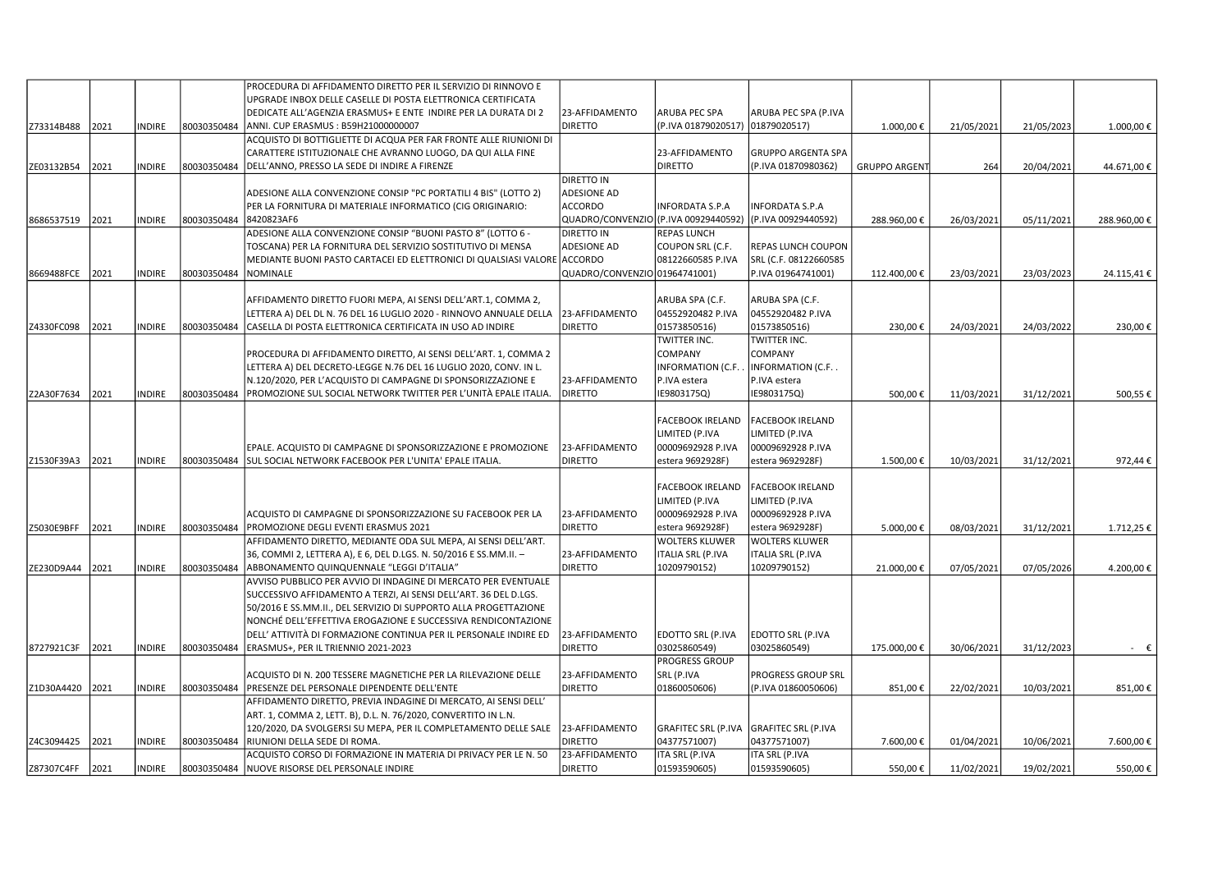|                 |      |               |             | PROCEDURA DI AFFIDAMENTO DIRETTO PER IL SERVIZIO DI RINNOVO E            |                               |                            |                            |                     |            |            |                |
|-----------------|------|---------------|-------------|--------------------------------------------------------------------------|-------------------------------|----------------------------|----------------------------|---------------------|------------|------------|----------------|
|                 |      |               |             | UPGRADE INBOX DELLE CASELLE DI POSTA ELETTRONICA CERTIFICATA             |                               |                            |                            |                     |            |            |                |
|                 |      |               |             | DEDICATE ALL'AGENZIA ERASMUS+ E ENTE INDIRE PER LA DURATA DI 2           | 23-AFFIDAMENTO                | ARUBA PEC SPA              | ARUBA PEC SPA (P.IVA       |                     |            |            |                |
| Z73314B488      | 2021 | <b>INDIRE</b> | 80030350484 | ANNI. CUP ERASMUS: B59H21000000007                                       | <b>DIRETTO</b>                | (P.IVA 01879020517)        | 01879020517)               | 1.000,00€           | 21/05/2021 | 21/05/2023 | 1.000,00€      |
|                 |      |               |             | ACQUISTO DI BOTTIGLIETTE DI ACQUA PER FAR FRONTE ALLE RIUNIONI DI        |                               |                            |                            |                     |            |            |                |
|                 |      |               |             | CARATTERE ISTITUZIONALE CHE AVRANNO LUOGO, DA QUI ALLA FINE              |                               | 23-AFFIDAMENTO             | <b>GRUPPO ARGENTA SPA</b>  |                     |            |            |                |
| ZE03132B54      | 2021 | <b>NDIRE</b>  | 80030350484 | DELL'ANNO, PRESSO LA SEDE DI INDIRE A FIRENZE                            |                               | <b>DIRETTO</b>             | (P.IVA 01870980362)        | <b>GRUPPO ARGEN</b> | 264        | 20/04/2021 | 44.671,00€     |
|                 |      |               |             |                                                                          | <b>DIRETTO IN</b>             |                            |                            |                     |            |            |                |
|                 |      |               |             |                                                                          |                               |                            |                            |                     |            |            |                |
|                 |      |               |             | ADESIONE ALLA CONVENZIONE CONSIP "PC PORTATILI 4 BIS" (LOTTO 2)          | <b>ADESIONE AD</b>            |                            |                            |                     |            |            |                |
|                 |      |               |             | PER LA FORNITURA DI MATERIALE INFORMATICO (CIG ORIGINARIO:               | <b>ACCORDO</b>                | INFORDATA S.P.A            | INFORDATA S.P.A            |                     |            |            |                |
| 8686537519      | 2021 | INDIRE        | 80030350484 | 8420823AF6                                                               | QUADRO/CONVENZIO              | (P.IVA 00929440592)        | (P.IVA 00929440592)        | 288.960,00€         | 26/03/2021 | 05/11/2021 | 288.960,00€    |
|                 |      |               |             | ADESIONE ALLA CONVENZIONE CONSIP "BUONI PASTO 8" (LOTTO 6 -              | <b>DIRETTO IN</b>             | <b>REPAS LUNCH</b>         |                            |                     |            |            |                |
|                 |      |               |             | TOSCANA) PER LA FORNITURA DEL SERVIZIO SOSTITUTIVO DI MENSA              | <b>ADESIONE AD</b>            | COUPON SRL (C.F.           | <b>REPAS LUNCH COUPON</b>  |                     |            |            |                |
|                 |      |               |             | MEDIANTE BUONI PASTO CARTACEI ED ELETTRONICI DI QUALSIASI VALORE ACCORDO |                               | 08122660585 P.IVA          | SRL (C.F. 08122660585      |                     |            |            |                |
| 8669488FCE      | 2021 | NDIRE         | 80030350484 | <b>NOMINALE</b>                                                          | QUADRO/CONVENZIO 01964741001) |                            | P.IVA 01964741001)         | 112.400,00€         | 23/03/2021 | 23/03/2023 | 24.115,41€     |
|                 |      |               |             |                                                                          |                               |                            |                            |                     |            |            |                |
|                 |      |               |             | AFFIDAMENTO DIRETTO FUORI MEPA, AI SENSI DELL'ART.1, COMMA 2,            |                               | ARUBA SPA (C.F.            | ARUBA SPA (C.F.            |                     |            |            |                |
|                 |      |               |             | LETTERA A) DEL DL N. 76 DEL 16 LUGLIO 2020 - RINNOVO ANNUALE DELLA       | 23-AFFIDAMENTO                | 04552920482 P.IVA          | 04552920482 P.IVA          |                     |            |            |                |
| Z4330FC098      | 2021 | <b>NDIRE</b>  | 80030350484 | CASELLA DI POSTA ELETTRONICA CERTIFICATA IN USO AD INDIRE                | <b>DIRETTO</b>                | 01573850516)               | 01573850516)               | 230,00€             | 24/03/2021 | 24/03/2022 | 230,00€        |
|                 |      |               |             |                                                                          |                               | TWITTER INC.               | TWITTER INC.               |                     |            |            |                |
|                 |      |               |             | PROCEDURA DI AFFIDAMENTO DIRETTO, AI SENSI DELL'ART. 1, COMMA 2          |                               | COMPANY                    | COMPANY                    |                     |            |            |                |
|                 |      |               |             |                                                                          |                               |                            |                            |                     |            |            |                |
|                 |      |               |             | LETTERA A) DEL DECRETO-LEGGE N.76 DEL 16 LUGLIO 2020, CONV. IN L.        |                               | INFORMATION (C.F.          | INFORMATION (C.F           |                     |            |            |                |
|                 |      |               |             | N.120/2020, PER L'ACQUISTO DI CAMPAGNE DI SPONSORIZZAZIONE E             | 23-AFFIDAMENTO                | P.IVA estera               | P.IVA estera               |                     |            |            |                |
| Z2A30F7634      | 2021 | NDIRE         | 80030350484 | PROMOZIONE SUL SOCIAL NETWORK TWITTER PER L'UNITÀ EPALE ITALIA.          | <b>DIRETTO</b>                | E9803175Q)                 | IE9803175Q)                | 500,00€             | 11/03/2021 | 31/12/2021 | 500,55€        |
|                 |      |               |             |                                                                          |                               |                            |                            |                     |            |            |                |
|                 |      |               |             |                                                                          |                               | FACEBOOK IRELAND           | <b>FACEBOOK IRELAND</b>    |                     |            |            |                |
|                 |      |               |             |                                                                          |                               | LIMITED (P.IVA             | LIMITED (P.IVA             |                     |            |            |                |
|                 |      |               |             | EPALE. ACQUISTO DI CAMPAGNE DI SPONSORIZZAZIONE E PROMOZIONE             | 23-AFFIDAMENTO                | 00009692928 P.IVA          | 00009692928 P.IVA          |                     |            |            |                |
| Z1530F39A3      | 2021 | <b>NDIRE</b>  | 80030350484 | SUL SOCIAL NETWORK FACEBOOK PER L'UNITA' EPALE ITALIA.                   | <b>DIRETTO</b>                | estera 9692928F)           | estera 9692928F)           | 1.500,00€           | 10/03/2021 | 31/12/2021 | 972,44€        |
|                 |      |               |             |                                                                          |                               |                            |                            |                     |            |            |                |
|                 |      |               |             |                                                                          |                               | FACEBOOK IRELAND           | <b>FACEBOOK IRELAND</b>    |                     |            |            |                |
|                 |      |               |             |                                                                          |                               | LIMITED (P.IVA             | LIMITED (P.IVA             |                     |            |            |                |
|                 |      |               |             | ACQUISTO DI CAMPAGNE DI SPONSORIZZAZIONE SU FACEBOOK PER LA              | 23-AFFIDAMENTO                | 00009692928 P.IVA          | 00009692928 P.IVA          |                     |            |            |                |
|                 |      |               |             |                                                                          |                               |                            |                            |                     |            |            |                |
| Z5030E9BFF      | 2021 | NDIRE         | 80030350484 | PROMOZIONE DEGLI EVENTI ERASMUS 2021                                     | <b>DIRETTO</b>                | estera 9692928F)           | estera 9692928F)           | 5.000,00€           | 08/03/2021 | 31/12/2021 | 1.712,25€      |
|                 |      |               |             | AFFIDAMENTO DIRETTO, MEDIANTE ODA SUL MEPA, AI SENSI DELL'ART.           |                               | <b>WOLTERS KLUWER</b>      | <b>WOLTERS KLUWER</b>      |                     |            |            |                |
|                 |      |               |             | 36, COMMI 2, LETTERA A), E 6, DEL D.LGS. N. 50/2016 E SS.MM.II. -        | 23-AFFIDAMENTO                | ITALIA SRL (P.IVA          | <b>ITALIA SRL (P.IVA</b>   |                     |            |            |                |
| ZE230D9A44      | 2021 | NDIRE         | 80030350484 | ABBONAMENTO QUINQUENNALE "LEGGI D'ITALIA"                                | <b>DIRETTO</b>                | 10209790152)               | 10209790152)               | 21.000,00€          | 07/05/2021 | 07/05/2026 | 4.200,00€      |
|                 |      |               |             | AVVISO PUBBLICO PER AVVIO DI INDAGINE DI MERCATO PER EVENTUALE           |                               |                            |                            |                     |            |            |                |
|                 |      |               |             | SUCCESSIVO AFFIDAMENTO A TERZI, AI SENSI DELL'ART. 36 DEL D.LGS.         |                               |                            |                            |                     |            |            |                |
|                 |      |               |             | 50/2016 E SS.MM.II., DEL SERVIZIO DI SUPPORTO ALLA PROGETTAZIONE         |                               |                            |                            |                     |            |            |                |
|                 |      |               |             | NONCHÉ DELL'EFFETTIVA EROGAZIONE E SUCCESSIVA RENDICONTAZIONE            |                               |                            |                            |                     |            |            |                |
|                 |      |               |             | DELL' ATTIVITÀ DI FORMAZIONE CONTINUA PER IL PERSONALE INDIRE ED         | 23-AFFIDAMENTO                | EDOTTO SRL (P.IVA          | EDOTTO SRL (P.IVA          |                     |            |            |                |
| 8727921C3F      | 2021 | NDIRE         | 80030350484 | ERASMUS+, PER IL TRIENNIO 2021-2023                                      | <b>DIRETTO</b>                | 03025860549)               | 03025860549)               | 175.000,00€         | 30/06/2021 | 31/12/2023 | $ \varepsilon$ |
|                 |      |               |             |                                                                          |                               | PROGRESS GROUP             |                            |                     |            |            |                |
|                 |      |               |             | ACQUISTO DI N. 200 TESSERE MAGNETICHE PER LA RILEVAZIONE DELLE           | 23-AFFIDAMENTO                | SRL (P.IVA                 | PROGRESS GROUP SRL         |                     |            |            |                |
| Z1D30A4420 2021 |      | <b>INDIRE</b> | 80030350484 | PRESENZE DEL PERSONALE DIPENDENTE DELL'ENTE                              | <b>DIRETTO</b>                | 01860050606)               | (P.IVA 01860050606)        | 851,00€             | 22/02/2021 | 10/03/2021 | 851,00€        |
|                 |      |               |             |                                                                          |                               |                            |                            |                     |            |            |                |
|                 |      |               |             | AFFIDAMENTO DIRETTO, PREVIA INDAGINE DI MERCATO, AI SENSI DELL'          |                               |                            |                            |                     |            |            |                |
|                 |      |               |             | ART. 1, COMMA 2, LETT. B), D.L. N. 76/2020, CONVERTITO IN L.N.           |                               |                            |                            |                     |            |            |                |
|                 |      |               |             | 120/2020, DA SVOLGERSI SU MEPA, PER IL COMPLETAMENTO DELLE SALE          | 23-AFFIDAMENTO                | <b>GRAFITEC SRL (P.IVA</b> | <b>GRAFITEC SRL (P.IVA</b> |                     |            |            |                |
| Z4C3094425      | 2021 | INDIRE        | 80030350484 | RIUNIONI DELLA SEDE DI ROMA.                                             | <b>DIRETTO</b>                | 04377571007)               | 04377571007)               | 7.600,00€           | 01/04/2021 | 10/06/2021 | 7.600,00€      |
|                 |      |               |             | ACQUISTO CORSO DI FORMAZIONE IN MATERIA DI PRIVACY PER LE N. 50          | 23-AFFIDAMENTO                | ITA SRL (P.IVA             | ITA SRL (P.IVA             |                     |            |            |                |
| Z87307C4FF 2021 |      | NDIRE         | 80030350484 | NUOVE RISORSE DEL PERSONALE INDIRE                                       | <b>DIRETTO</b>                | 01593590605)               | 01593590605)               | 550,00€             | 11/02/2021 | 19/02/2021 | 550,00€        |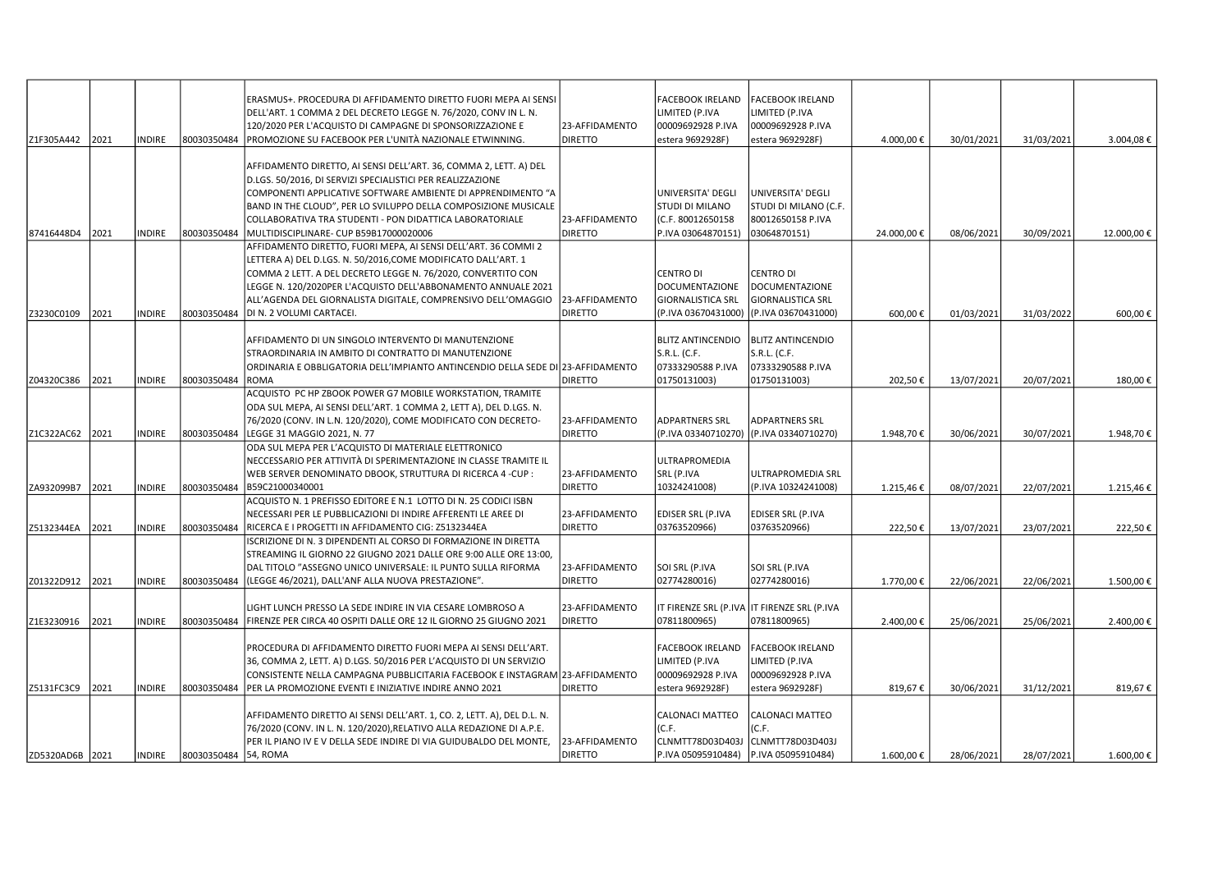|                 |      |               |                      | ERASMUS+. PROCEDURA DI AFFIDAMENTO DIRETTO FUORI MEPA AI SENSI                                                                          |                                  | FACEBOOK IRELAND                  | <b>FACEBOOK IRELAND</b>                     |            |            |            |            |
|-----------------|------|---------------|----------------------|-----------------------------------------------------------------------------------------------------------------------------------------|----------------------------------|-----------------------------------|---------------------------------------------|------------|------------|------------|------------|
|                 |      |               |                      | DELL'ART. 1 COMMA 2 DEL DECRETO LEGGE N. 76/2020, CONV IN L. N.                                                                         |                                  | LIMITED (P.IVA                    | LIMITED (P.IVA                              |            |            |            |            |
|                 |      |               |                      | 120/2020 PER L'ACQUISTO DI CAMPAGNE DI SPONSORIZZAZIONE E                                                                               | 23-AFFIDAMENTO                   | 00009692928 P.IVA                 | 00009692928 P.IVA                           |            |            |            |            |
| Z1F305A442      | 2021 | <b>NDIRE</b>  | 80030350484          | PROMOZIONE SU FACEBOOK PER L'UNITÀ NAZIONALE ETWINNING.                                                                                 | <b>DIRETTO</b>                   | estera 9692928F                   | estera 9692928F)                            | 4.000,00€  | 30/01/2021 | 31/03/2021 | 3.004,08€  |
|                 |      |               |                      |                                                                                                                                         |                                  |                                   |                                             |            |            |            |            |
|                 |      |               |                      | AFFIDAMENTO DIRETTO, AI SENSI DELL'ART. 36, COMMA 2, LETT. A) DEL                                                                       |                                  |                                   |                                             |            |            |            |            |
|                 |      |               |                      | D.LGS. 50/2016, DI SERVIZI SPECIALISTICI PER REALIZZAZIONE                                                                              |                                  |                                   |                                             |            |            |            |            |
|                 |      |               |                      | COMPONENTI APPLICATIVE SOFTWARE AMBIENTE DI APPRENDIMENTO "A                                                                            |                                  | UNIVERSITA' DEGLI                 | UNIVERSITA' DEGLI                           |            |            |            |            |
|                 |      |               |                      | BAND IN THE CLOUD", PER LO SVILUPPO DELLA COMPOSIZIONE MUSICALE                                                                         |                                  | STUDI DI MILANO                   | STUDI DI MILANO (C.F.                       |            |            |            |            |
|                 |      |               |                      | COLLABORATIVA TRA STUDENTI - PON DIDATTICA LABORATORIALE                                                                                | 23-AFFIDAMENTO<br><b>DIRETTO</b> | (C.F. 80012650158                 | 80012650158 P.IVA                           |            |            |            |            |
| 87416448D4      | 2021 | <b>INDIRE</b> | 80030350484          | MULTIDISCIPLINARE- CUP B59B17000020006                                                                                                  |                                  | P.IVA 03064870151)                | 03064870151)                                | 24.000,00€ | 08/06/2021 | 30/09/2021 | 12.000,00€ |
|                 |      |               |                      | AFFIDAMENTO DIRETTO, FUORI MEPA, AI SENSI DELL'ART. 36 COMMI 2                                                                          |                                  |                                   |                                             |            |            |            |            |
|                 |      |               |                      | LETTERA A) DEL D.LGS. N. 50/2016,COME MODIFICATO DALL'ART. 1                                                                            |                                  |                                   |                                             |            |            |            |            |
|                 |      |               |                      | COMMA 2 LETT. A DEL DECRETO LEGGE N. 76/2020, CONVERTITO CON                                                                            |                                  | CENTRO DI                         | <b>CENTRO DI</b>                            |            |            |            |            |
|                 |      |               |                      | LEGGE N. 120/2020PER L'ACQUISTO DELL'ABBONAMENTO ANNUALE 2021                                                                           |                                  | <b>DOCUMENTAZIONE</b>             | <b>DOCUMENTAZIONE</b>                       |            |            |            |            |
|                 |      |               |                      | ALL'AGENDA DEL GIORNALISTA DIGITALE, COMPRENSIVO DELL'OMAGGIO                                                                           | 23-AFFIDAMENTO                   | <b>GIORNALISTICA SRL</b>          | <b>GIORNALISTICA SRL</b>                    |            |            |            |            |
| Z3230C0109      | 2021 | INDIRE        | 80030350484          | DI N. 2 VOLUMI CARTACEI.                                                                                                                | <b>DIRETTO</b>                   | (P.IVA 03670431000)               | (P.IVA 03670431000)                         | 600,00€    | 01/03/2021 | 31/03/2022 | 600,00€    |
|                 |      |               |                      |                                                                                                                                         |                                  |                                   |                                             |            |            |            |            |
|                 |      |               |                      | AFFIDAMENTO DI UN SINGOLO INTERVENTO DI MANUTENZIONE                                                                                    |                                  | <b>BLITZ ANTINCENDIO</b>          | <b>BLITZ ANTINCENDIO</b><br>S.R.L. (C.F.    |            |            |            |            |
|                 |      |               |                      | STRAORDINARIA IN AMBITO DI CONTRATTO DI MANUTENZIONE<br>ORDINARIA E OBBLIGATORIA DELL'IMPIANTO ANTINCENDIO DELLA SEDE DI 23-AFFIDAMENTO |                                  | S.R.L. (C.F.<br>07333290588 P.IVA |                                             |            |            |            |            |
|                 | 2021 |               | 80030350484          | <b>ROMA</b>                                                                                                                             | <b>DIRETTO</b>                   |                                   | 07333290588 P.IVA                           |            |            |            | 180,00€    |
| Z04320C386      |      | <b>INDIRE</b> |                      | ACQUISTO PC HP ZBOOK POWER G7 MOBILE WORKSTATION, TRAMITE                                                                               |                                  | 01750131003)                      | 01750131003)                                | 202,50€    | 13/07/2021 | 20/07/2021 |            |
|                 |      |               |                      | ODA SUL MEPA, AI SENSI DELL'ART. 1 COMMA 2, LETT A), DEL D.LGS. N.                                                                      |                                  |                                   |                                             |            |            |            |            |
|                 |      |               |                      |                                                                                                                                         |                                  | <b>ADPARTNERS SRL</b>             | ADPARTNERS SRL                              |            |            |            |            |
|                 |      |               |                      | 76/2020 (CONV. IN L.N. 120/2020), COME MODIFICATO CON DECRETO-                                                                          | 23-AFFIDAMENTO<br><b>DIRETTO</b> | (P.IVA 03340710270)               | (P.IVA 03340710270)                         |            |            |            |            |
| Z1C322AC62      | 2021 | <b>NDIRE</b>  | 80030350484          | LEGGE 31 MAGGIO 2021, N. 77<br>ODA SUL MEPA PER L'ACQUISTO DI MATERIALE ELETTRONICO                                                     |                                  |                                   |                                             | 1.948,70€  | 30/06/2021 | 30/07/2021 | 1.948,70€  |
|                 |      |               |                      | NECCESSARIO PER ATTIVITÀ DI SPERIMENTAZIONE IN CLASSE TRAMITE IL                                                                        |                                  | ULTRAPROMEDIA                     |                                             |            |            |            |            |
|                 |      |               |                      | WEB SERVER DENOMINATO DBOOK, STRUTTURA DI RICERCA 4 -CUP :                                                                              | 23-AFFIDAMENTO                   | SRL (P.IVA                        | ULTRAPROMEDIA SRL                           |            |            |            |            |
| ZA932099B7      | 2021 | <b>NDIRE</b>  | 80030350484          | B59C21000340001                                                                                                                         | <b>DIRETTO</b>                   | 10324241008)                      | (P.IVA 10324241008)                         | 1.215,46€  | 08/07/2021 | 22/07/2021 | 1.215,46€  |
|                 |      |               |                      | ACQUISTO N. 1 PREFISSO EDITORE E N.1 LOTTO DI N. 25 CODICI ISBN                                                                         |                                  |                                   |                                             |            |            |            |            |
|                 |      |               |                      | NECESSARI PER LE PUBBLICAZIONI DI INDIRE AFFERENTI LE AREE DI                                                                           | 23-AFFIDAMENTO                   | <b>EDISER SRL (P.IVA</b>          | <b>EDISER SRL (P.IVA</b>                    |            |            |            |            |
| Z5132344EA      | 2021 | NDIRE         | 80030350484          | RICERCA E I PROGETTI IN AFFIDAMENTO CIG: Z5132344EA                                                                                     | <b>DIRETTO</b>                   | 03763520966)                      | 03763520966)                                | 222,50€    | 13/07/2021 | 23/07/2021 | 222,50€    |
|                 |      |               |                      | ISCRIZIONE DI N. 3 DIPENDENTI AL CORSO DI FORMAZIONE IN DIRETTA                                                                         |                                  |                                   |                                             |            |            |            |            |
|                 |      |               |                      | STREAMING IL GIORNO 22 GIUGNO 2021 DALLE ORE 9:00 ALLE ORE 13:00,                                                                       |                                  |                                   |                                             |            |            |            |            |
|                 |      |               |                      | DAL TITOLO "ASSEGNO UNICO UNIVERSALE: IL PUNTO SULLA RIFORMA                                                                            | 23-AFFIDAMENTO                   | SOI SRL (P.IVA                    | SOI SRL (P.IVA                              |            |            |            |            |
| Z01322D912 2021 |      | <b>INDIRE</b> | 80030350484          | (LEGGE 46/2021), DALL'ANF ALLA NUOVA PRESTAZIONE".                                                                                      | <b>DIRETTO</b>                   | 02774280016)                      | 02774280016)                                | 1.770,00€  | 22/06/2021 | 22/06/2021 | 1.500,00€  |
|                 |      |               |                      |                                                                                                                                         |                                  |                                   |                                             |            |            |            |            |
|                 |      |               |                      | LIGHT LUNCH PRESSO LA SEDE INDIRE IN VIA CESARE LOMBROSO A                                                                              | 23-AFFIDAMENTO                   |                                   | IT FIRENZE SRL (P.IVA IT FIRENZE SRL (P.IVA |            |            |            |            |
| Z1E3230916      | 2021 | <b>NDIRE</b>  | 80030350484          | FIRENZE PER CIRCA 40 OSPITI DALLE ORE 12 IL GIORNO 25 GIUGNO 2021                                                                       | <b>DIRETTO</b>                   | 07811800965)                      | 07811800965)                                | 2.400,00€  | 25/06/2021 | 25/06/2021 | 2.400,00 € |
|                 |      |               |                      |                                                                                                                                         |                                  |                                   |                                             |            |            |            |            |
|                 |      |               |                      | PROCEDURA DI AFFIDAMENTO DIRETTO FUORI MEPA AI SENSI DELL'ART.                                                                          |                                  | FACEBOOK IRELAND                  | <b>FACEBOOK IRELAND</b>                     |            |            |            |            |
|                 |      |               |                      | 36, COMMA 2, LETT. A) D.LGS. 50/2016 PER L'ACQUISTO DI UN SERVIZIO                                                                      |                                  | LIMITED (P.IVA                    | LIMITED (P.IVA                              |            |            |            |            |
|                 |      |               |                      | CONSISTENTE NELLA CAMPAGNA PUBBLICITARIA FACEBOOK E INSTAGRAM 23-AFFIDAMENTO                                                            |                                  | 00009692928 P.IVA                 | 00009692928 P.IVA                           |            |            |            |            |
| Z5131FC3C9      | 2021 | <b>NDIRE</b>  | 80030350484          | PER LA PROMOZIONE EVENTI E INIZIATIVE INDIRE ANNO 2021                                                                                  | <b>DIRETTO</b>                   | estera 9692928F)                  | estera 9692928F)                            | 819,67€    | 30/06/2021 | 31/12/2021 | 819,67€    |
|                 |      |               |                      |                                                                                                                                         |                                  |                                   |                                             |            |            |            |            |
|                 |      |               |                      | AFFIDAMENTO DIRETTO AI SENSI DELL'ART. 1, CO. 2, LETT. A), DEL D.L. N.                                                                  |                                  | CALONACI MATTEO                   | <b>CALONACI MATTEO</b>                      |            |            |            |            |
|                 |      |               |                      | 76/2020 (CONV. IN L. N. 120/2020),RELATIVO ALLA REDAZIONE DI A.P.E.                                                                     |                                  | (C.F.                             | (C.F.                                       |            |            |            |            |
|                 |      |               |                      | PER IL PIANO IV E V DELLA SEDE INDIRE DI VIA GUIDUBALDO DEL MONTE.                                                                      | 23-AFFIDAMENTO                   | CLNMTT78D03D403J                  | CLNMTT78D03D403J                            |            |            |            |            |
| ZD5320AD6B 2021 |      | INDIRE        | 80030350484 54, ROMA |                                                                                                                                         | <b>DIRETTO</b>                   | P.IVA 05095910484)                | P.IVA 05095910484)                          | 1.600,00€  | 28/06/2021 | 28/07/2021 | 1.600,00 € |
|                 |      |               |                      |                                                                                                                                         |                                  |                                   |                                             |            |            |            |            |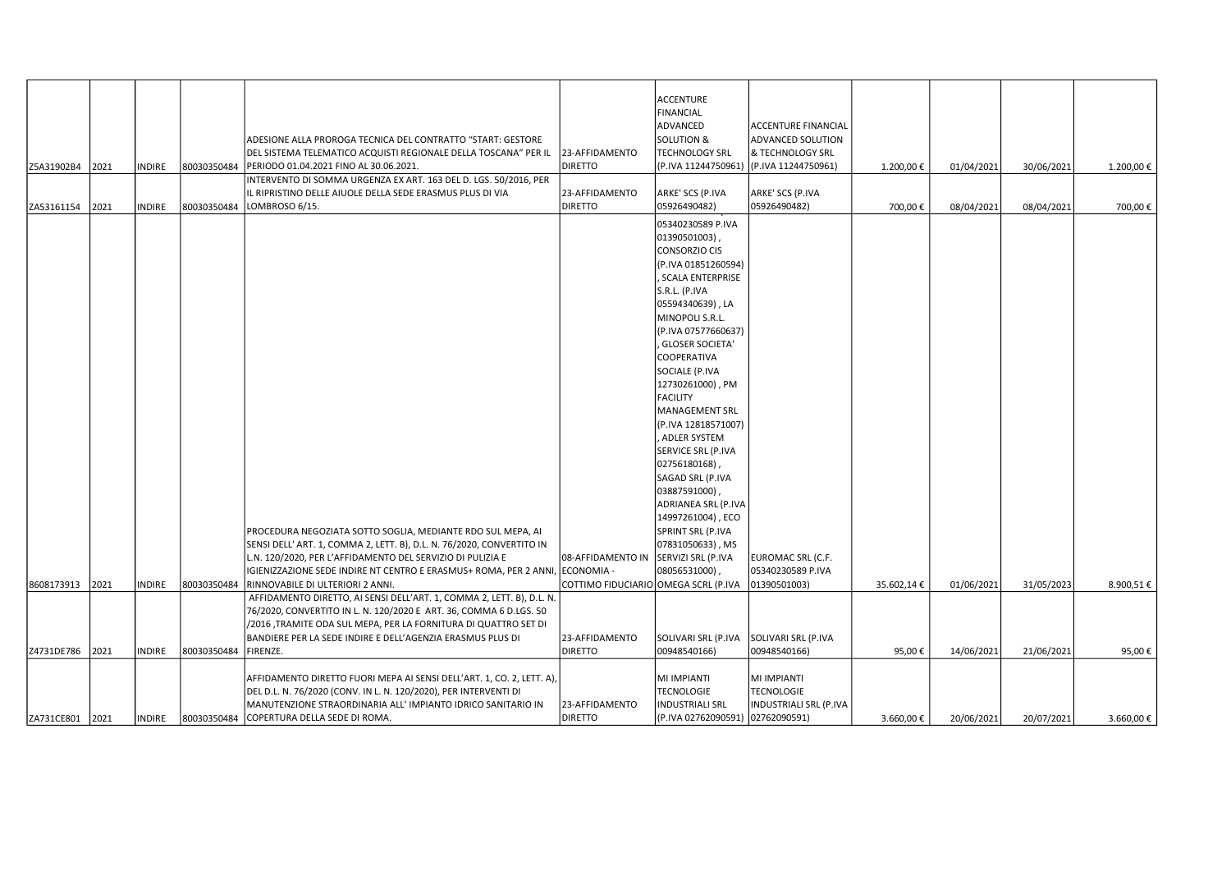|            |      |               |             |                                                                              |                                      | <b>ACCENTURE</b>                 |                            |            |            |            |           |
|------------|------|---------------|-------------|------------------------------------------------------------------------------|--------------------------------------|----------------------------------|----------------------------|------------|------------|------------|-----------|
|            |      |               |             |                                                                              |                                      | <b>FINANCIAL</b>                 |                            |            |            |            |           |
|            |      |               |             |                                                                              |                                      | ADVANCED                         | <b>ACCENTURE FINANCIAL</b> |            |            |            |           |
|            |      |               |             |                                                                              |                                      | <b>SOLUTION &amp;</b>            | ADVANCED SOLUTION          |            |            |            |           |
|            |      |               |             | ADESIONE ALLA PROROGA TECNICA DEL CONTRATTO "START: GESTORE                  |                                      |                                  |                            |            |            |            |           |
|            |      |               |             | DEL SISTEMA TELEMATICO ACQUISTI REGIONALE DELLA TOSCANA" PER IL              | 23-AFFIDAMENTO                       | <b>TECHNOLOGY SRL</b>            | & TECHNOLOGY SRL           |            |            |            |           |
| Z5A31902B4 | 2021 | INDIRE        | 80030350484 | PERIODO 01.04.2021 FINO AL 30.06.2021.                                       | <b>DIRETTO</b>                       | (P.IVA 11244750961)              | (P.IVA 11244750961)        | 1.200,00€  | 01/04/2021 | 30/06/2021 | 1.200,00€ |
|            |      |               |             | INTERVENTO DI SOMMA URGENZA EX ART. 163 DEL D. LGS. 50/2016, PER             |                                      |                                  |                            |            |            |            |           |
|            |      |               |             | IL RIPRISTINO DELLE AIUOLE DELLA SEDE ERASMUS PLUS DI VIA                    | 23-AFFIDAMENTO                       | ARKE' SCS (P.IVA                 | ARKE' SCS (P.IVA           |            |            |            |           |
| ZA53161154 | 2021 | <b>INDIRE</b> | 80030350484 | LOMBROSO 6/15.                                                               | <b>DIRETTO</b>                       | 05926490482)                     | 05926490482)               | 700,00€    | 08/04/2021 | 08/04/2021 | 700,00€   |
|            |      |               |             |                                                                              |                                      | 05340230589 P.IVA                |                            |            |            |            |           |
|            |      |               |             |                                                                              |                                      | 01390501003),                    |                            |            |            |            |           |
|            |      |               |             |                                                                              |                                      | <b>CONSORZIO CIS</b>             |                            |            |            |            |           |
|            |      |               |             |                                                                              |                                      | (P.IVA 01851260594)              |                            |            |            |            |           |
|            |      |               |             |                                                                              |                                      | SCALA ENTERPRISE                 |                            |            |            |            |           |
|            |      |               |             |                                                                              |                                      | S.R.L. (P.IVA                    |                            |            |            |            |           |
|            |      |               |             |                                                                              |                                      |                                  |                            |            |            |            |           |
|            |      |               |             |                                                                              |                                      | 05594340639), LA                 |                            |            |            |            |           |
|            |      |               |             |                                                                              |                                      | MINOPOLI S.R.L.                  |                            |            |            |            |           |
|            |      |               |             |                                                                              |                                      | (P.IVA 07577660637)              |                            |            |            |            |           |
|            |      |               |             |                                                                              |                                      | <b>GLOSER SOCIETA'</b>           |                            |            |            |            |           |
|            |      |               |             |                                                                              |                                      | <b>COOPERATIVA</b>               |                            |            |            |            |           |
|            |      |               |             |                                                                              |                                      | SOCIALE (P.IVA                   |                            |            |            |            |           |
|            |      |               |             |                                                                              |                                      | 12730261000), PM                 |                            |            |            |            |           |
|            |      |               |             |                                                                              |                                      | <b>FACILITY</b>                  |                            |            |            |            |           |
|            |      |               |             |                                                                              |                                      | <b>MANAGEMENT SRL</b>            |                            |            |            |            |           |
|            |      |               |             |                                                                              |                                      | (P.IVA 12818571007)              |                            |            |            |            |           |
|            |      |               |             |                                                                              |                                      | <b>ADLER SYSTEM</b>              |                            |            |            |            |           |
|            |      |               |             |                                                                              |                                      | SERVICE SRL (P.IVA               |                            |            |            |            |           |
|            |      |               |             |                                                                              |                                      | 02756180168),                    |                            |            |            |            |           |
|            |      |               |             |                                                                              |                                      | SAGAD SRL (P.IVA                 |                            |            |            |            |           |
|            |      |               |             |                                                                              |                                      | 03887591000),                    |                            |            |            |            |           |
|            |      |               |             |                                                                              |                                      | <b>ADRIANEA SRL (P.IVA</b>       |                            |            |            |            |           |
|            |      |               |             |                                                                              |                                      | 14997261004), ECO                |                            |            |            |            |           |
|            |      |               |             |                                                                              |                                      |                                  |                            |            |            |            |           |
|            |      |               |             | PROCEDURA NEGOZIATA SOTTO SOGLIA, MEDIANTE RDO SUL MEPA, AI                  |                                      | SPRINT SRL (P.IVA                |                            |            |            |            |           |
|            |      |               |             | SENSI DELL'ART. 1, COMMA 2, LETT. B), D.L. N. 76/2020, CONVERTITO IN         |                                      | 07831050633), MS                 |                            |            |            |            |           |
|            |      |               |             | L.N. 120/2020, PER L'AFFIDAMENTO DEL SERVIZIO DI PULIZIA E                   | 08-AFFIDAMENTO IN                    | SERVIZI SRL (P.IVA               | EUROMAC SRL (C.F.          |            |            |            |           |
|            |      |               |             | IGIENIZZAZIONE SEDE INDIRE NT CENTRO E ERASMUS+ ROMA, PER 2 ANNI, ECONOMIA - |                                      | 08056531000)                     | 05340230589 P.IVA          |            |            |            |           |
| 8608173913 | 2021 | <b>INDIRE</b> | 80030350484 | RINNOVABILE DI ULTERIORI 2 ANNI.                                             | COTTIMO FIDUCIARIO OMEGA SCRL (P.IVA |                                  | 01390501003)               | 35.602,14€ | 01/06/2021 | 31/05/2023 | 8.900,51€ |
|            |      |               |             | AFFIDAMENTO DIRETTO, AI SENSI DELL'ART. 1, COMMA 2, LETT. B), D.L. N.        |                                      |                                  |                            |            |            |            |           |
|            |      |               |             | 76/2020, CONVERTITO IN L. N. 120/2020 E ART. 36, COMMA 6 D.LGS. 50           |                                      |                                  |                            |            |            |            |           |
|            |      |               |             | /2016 ,TRAMITE ODA SUL MEPA, PER LA FORNITURA DI QUATTRO SET DI              |                                      |                                  |                            |            |            |            |           |
|            |      |               |             | BANDIERE PER LA SEDE INDIRE E DELL'AGENZIA ERASMUS PLUS DI                   | 23-AFFIDAMENTO                       | SOLIVARI SRL (P.IVA              | SOLIVARI SRL (P.IVA        |            |            |            |           |
| Z4731DE786 | 2021 | <b>INDIRE</b> | 80030350484 | FIRENZE.                                                                     | <b>DIRETTO</b>                       | 00948540166)                     | 00948540166)               | 95,00€     | 14/06/2021 | 21/06/2021 | 95,00€    |
|            |      |               |             |                                                                              |                                      |                                  |                            |            |            |            |           |
|            |      |               |             | AFFIDAMENTO DIRETTO FUORI MEPA AI SENSI DELL'ART. 1, CO. 2, LETT. A),        |                                      | MI IMPIANTI                      | MI IMPIANTI                |            |            |            |           |
|            |      |               |             | DEL D.L. N. 76/2020 (CONV. IN L. N. 120/2020), PER INTERVENTI DI             |                                      | <b>TECNOLOGIE</b>                | <b>TECNOLOGIE</b>          |            |            |            |           |
|            |      |               |             | MANUTENZIONE STRAORDINARIA ALL'IMPIANTO IDRICO SANITARIO IN                  | 23-AFFIDAMENTO                       | <b>INDUSTRIALI SRL</b>           | INDUSTRIALI SRL (P.IVA     |            |            |            |           |
| ZA731CE801 | 2021 | <b>INDIRE</b> | 80030350484 | COPERTURA DELLA SEDE DI ROMA.                                                | <b>DIRETTO</b>                       | (P.IVA 02762090591) 02762090591) |                            | 3.660,00 € | 20/06/2021 | 20/07/2021 | 3.660,00€ |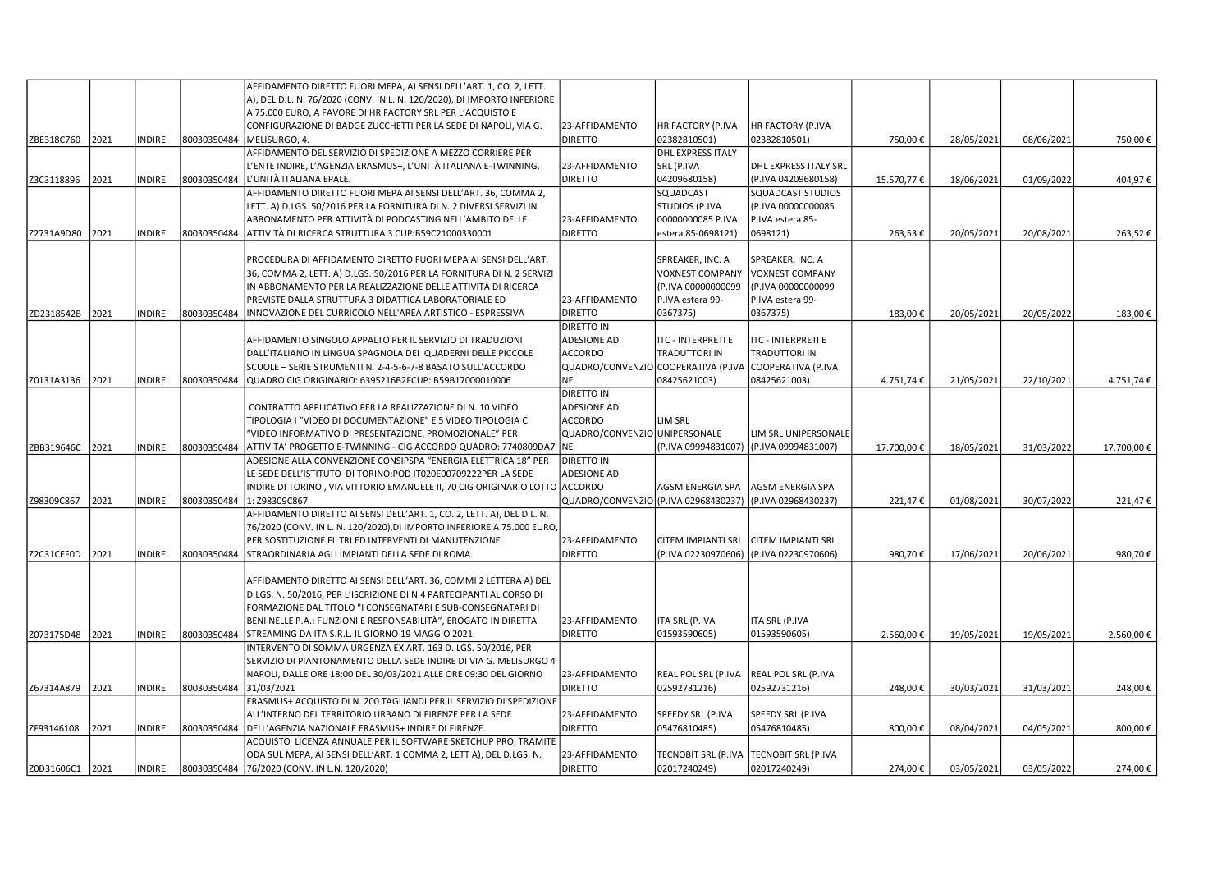|                 |      |               |             | AFFIDAMENTO DIRETTO FUORI MEPA, AI SENSI DELL'ART. 1, CO. 2, LETT.                                                   |                                      |                                   |                           |            |            |            |            |
|-----------------|------|---------------|-------------|----------------------------------------------------------------------------------------------------------------------|--------------------------------------|-----------------------------------|---------------------------|------------|------------|------------|------------|
|                 |      |               |             | A), DEL D.L. N. 76/2020 (CONV. IN L. N. 120/2020), DI IMPORTO INFERIORE                                              |                                      |                                   |                           |            |            |            |            |
|                 |      |               |             | A 75.000 EURO, A FAVORE DI HR FACTORY SRL PER L'ACQUISTO E                                                           |                                      |                                   |                           |            |            |            |            |
|                 |      |               |             | CONFIGURAZIONE DI BADGE ZUCCHETTI PER LA SEDE DI NAPOLI, VIA G.                                                      | 23-AFFIDAMENTO                       | HR FACTORY (P.IVA                 | HR FACTORY (P.IVA         |            |            |            |            |
| ZBE318C760      | 2021 | NDIRE         | 80030350484 | MELISURGO, 4.                                                                                                        | <b>DIRETTO</b>                       | 02382810501)                      | 02382810501)              | 750,00€    | 28/05/2021 | 08/06/2021 | 750,00€    |
|                 |      |               |             | AFFIDAMENTO DEL SERVIZIO DI SPEDIZIONE A MEZZO CORRIERE PER                                                          |                                      | <b>DHL EXPRESS ITALY</b>          |                           |            |            |            |            |
|                 |      |               |             | L'ENTE INDIRE, L'AGENZIA ERASMUS+, L'UNITÀ ITALIANA E-TWINNING,                                                      | 23-AFFIDAMENTO                       | SRL (P.IVA                        | DHL EXPRESS ITALY SRL     |            |            |            |            |
| Z3C3118896      | 2021 | <b>INDIRE</b> | 80030350484 | L'UNITÀ ITALIANA EPALE.                                                                                              | <b>DIRETTO</b>                       | 04209680158)                      | (P.IVA 04209680158)       | 15.570,77€ | 18/06/2021 | 01/09/2022 | 404,97€    |
|                 |      |               |             | AFFIDAMENTO DIRETTO FUORI MEPA AI SENSI DELL'ART. 36, COMMA 2,                                                       |                                      | SQUADCAST                         | <b>SQUADCAST STUDIOS</b>  |            |            |            |            |
|                 |      |               |             | LETT. A) D.LGS. 50/2016 PER LA FORNITURA DI N. 2 DIVERSI SERVIZI IN                                                  |                                      | <b>STUDIOS (P.IVA</b>             | (P.IVA 00000000085        |            |            |            |            |
|                 |      |               |             | ABBONAMENTO PER ATTIVITÀ DI PODCASTING NELL'AMBITO DELLE                                                             | 23-AFFIDAMENTO                       | 00000000085 P.IVA                 | P.IVA estera 85-          |            |            |            |            |
| Z2731A9D80 2021 |      | NDIRE         | 80030350484 | ATTIVITÀ DI RICERCA STRUTTURA 3 CUP:B59C21000330001                                                                  | <b>DIRETTO</b>                       | estera 85-0698121)                | 0698121)                  | 263,53€    | 20/05/2021 | 20/08/2021 | 263,52€    |
|                 |      |               |             |                                                                                                                      |                                      |                                   |                           |            |            |            |            |
|                 |      |               |             | PROCEDURA DI AFFIDAMENTO DIRETTO FUORI MEPA AI SENSI DELL'ART.                                                       |                                      | SPREAKER, INC. A                  | SPREAKER, INC. A          |            |            |            |            |
|                 |      |               |             | 36, COMMA 2, LETT. A) D.LGS. 50/2016 PER LA FORNITURA DI N. 2 SERVIZI                                                |                                      | <b>VOXNEST COMPANY</b>            | <b>VOXNEST COMPANY</b>    |            |            |            |            |
|                 |      |               |             | IN ABBONAMENTO PER LA REALIZZAZIONE DELLE ATTIVITÀ DI RICERCA                                                        |                                      | (P.IVA 00000000099                | (P.IVA 00000000099        |            |            |            |            |
|                 |      |               |             | PREVISTE DALLA STRUTTURA 3 DIDATTICA LABORATORIALE ED                                                                | 23-AFFIDAMENTO                       | P.IVA estera 99-                  | P.IVA estera 99-          |            |            |            |            |
| IZD2318542B     | 2021 | NDIRE         | 80030350484 | INNOVAZIONE DEL CURRICOLO NELL'AREA ARTISTICO - ESPRESSIVA                                                           | <b>DIRETTO</b>                       | 0367375)                          | 0367375)                  | 183,00€    | 20/05/2021 | 20/05/2022 | 183,00€    |
|                 |      |               |             |                                                                                                                      | <b>DIRETTO IN</b>                    |                                   |                           |            |            |            |            |
|                 |      |               |             | AFFIDAMENTO SINGOLO APPALTO PER IL SERVIZIO DI TRADUZIONI                                                            | <b>ADESIONE AD</b>                   | <b>ITC - INTERPRETI E</b>         | ITC - INTERPRETI E        |            |            |            |            |
|                 |      |               |             | DALL'ITALIANO IN LINGUA SPAGNOLA DEI QUADERNI DELLE PICCOLE                                                          | <b>ACCORDO</b>                       | TRADUTTORI IN                     | TRADUTTORI IN             |            |            |            |            |
|                 |      |               |             | SCUOLE - SERIE STRUMENTI N. 2-4-5-6-7-8 BASATO SULL'ACCORDO                                                          | QUADRO/CONVENZIO                     | COOPERATIVA (P.IVA                | COOPERATIVA (P.IVA        |            |            |            |            |
| Z0131A3136      | 2021 | <b>NDIRE</b>  | 80030350484 | QUADRO CIG ORIGINARIO: 6395216B2FCUP: B59B17000010006                                                                | <b>NE</b>                            | 08425621003)                      | 08425621003)              | 4.751,74€  | 21/05/2021 | 22/10/2021 | 4.751,74€  |
|                 |      |               |             |                                                                                                                      | <b>DIRETTO IN</b>                    |                                   |                           |            |            |            |            |
|                 |      |               |             | CONTRATTO APPLICATIVO PER LA REALIZZAZIONE DI N. 10 VIDEO                                                            | <b>ADESIONE AD</b>                   |                                   |                           |            |            |            |            |
|                 |      |               |             | TIPOLOGIA I "VIDEO DI DOCUMENTAZIONE" E 5 VIDEO TIPOLOGIA C                                                          | <b>ACCORDO</b>                       | LIM SRL                           |                           |            |            |            |            |
|                 |      |               |             | "VIDEO INFORMATIVO DI PRESENTAZIONE, PROMOZIONALE" PER                                                               | QUADRO/CONVENZIO UNIPERSONALE        |                                   | LIM SRL UNIPERSONALE      |            |            |            |            |
| ZBB319646C 2021 |      | INDIRE        | 80030350484 | ATTIVITA' PROGETTO E-TWINNING - CIG ACCORDO QUADRO: 7740809DA7                                                       | INE.                                 | (P.IVA 09994831007)               | (P.IVA 09994831007)       | 17.700,00€ | 18/05/2021 | 31/03/2022 | 17.700,00€ |
|                 |      |               |             | ADESIONE ALLA CONVENZIONE CONSIPSPA "ENERGIA ELETTRICA 18" PER                                                       | <b>DIRETTO IN</b>                    |                                   |                           |            |            |            |            |
|                 |      |               |             | LE SEDE DELL'ISTITUTO DI TORINO:POD IT020E00709222PER LA SEDE                                                        | <b>ADESIONE AD</b>                   |                                   |                           |            |            |            |            |
|                 |      |               |             | INDIRE DI TORINO, VIA VITTORIO EMANUELE II, 70 CIG ORIGINARIO LOTTO ACCORDO                                          |                                      | AGSM ENERGIA SPA                  | AGSM ENERGIA SPA          |            |            |            |            |
| Z98309C867      | 2021 | INDIRE        | 80030350484 | 1: Z98309C867                                                                                                        | QUADRO/CONVENZIO (P.IVA 02968430237) |                                   | (P.IVA 02968430237)       | 221,47€    | 01/08/2021 | 30/07/2022 | 221,47€    |
|                 |      |               |             | AFFIDAMENTO DIRETTO AI SENSI DELL'ART. 1, CO. 2, LETT. A), DEL D.L. N.                                               |                                      |                                   |                           |            |            |            |            |
|                 |      |               |             | 76/2020 (CONV. IN L. N. 120/2020),DI IMPORTO INFERIORE A 75.000 EURO,                                                |                                      |                                   |                           |            |            |            |            |
|                 |      |               |             | PER SOSTITUZIONE FILTRI ED INTERVENTI DI MANUTENZIONE                                                                | 23-AFFIDAMENTO                       | <b>CITEM IMPIANTI SRL</b>         | <b>CITEM IMPIANTI SRL</b> |            |            |            |            |
| Z2C31CEF0D 2021 |      | INDIRE        | 80030350484 | STRAORDINARIA AGLI IMPIANTI DELLA SEDE DI ROMA.                                                                      | <b>DIRETTO</b>                       | (P.IVA 02230970606)               | (P.IVA 02230970606)       | 980,70€    | 17/06/2021 | 20/06/2021 | 980,70€    |
|                 |      |               |             |                                                                                                                      |                                      |                                   |                           |            |            |            |            |
|                 |      |               |             | AFFIDAMENTO DIRETTO AI SENSI DELL'ART. 36, COMMI 2 LETTERA A) DEL                                                    |                                      |                                   |                           |            |            |            |            |
|                 |      |               |             | D.LGS. N. 50/2016, PER L'ISCRIZIONE DI N.4 PARTECIPANTI AL CORSO DI                                                  |                                      |                                   |                           |            |            |            |            |
|                 |      |               |             | FORMAZIONE DAL TITOLO "I CONSEGNATARI E SUB-CONSEGNATARI DI                                                          |                                      |                                   |                           |            |            |            |            |
|                 |      |               |             | BENI NELLE P.A.: FUNZIONI E RESPONSABILITÀ", EROGATO IN DIRETTA                                                      | 23-AFFIDAMENTO                       | ITA SRL (P.IVA                    | ITA SRL (P.IVA            |            |            |            |            |
| Z073175D48 2021 |      | INDIRE        | 80030350484 | STREAMING DA ITA S.R.L. IL GIORNO 19 MAGGIO 2021.                                                                    | <b>DIRETTO</b>                       | 01593590605)                      | 01593590605)              | 2.560,00€  | 19/05/2021 | 19/05/2021 | 2.560,00€  |
|                 |      |               |             | INTERVENTO DI SOMMA URGENZA EX ART. 163 D. LGS. 50/2016, PER                                                         |                                      |                                   |                           |            |            |            |            |
|                 |      |               |             | SERVIZIO DI PIANTONAMENTO DELLA SEDE INDIRE DI VIA G. MELISURGO 4                                                    |                                      |                                   |                           |            |            |            |            |
|                 |      |               |             | NAPOLI, DALLE ORE 18:00 DEL 30/03/2021 ALLE ORE 09:30 DEL GIORNO                                                     | 23-AFFIDAMENTO                       | REAL POL SRL (P.IVA               | REAL POL SRL (P.IVA       |            |            |            |            |
| Z67314A879      | 2021 | NDIRE         | 80030350484 | 31/03/2021                                                                                                           | <b>DIRETTO</b>                       | 02592731216)                      | 02592731216)              | 248,00€    | 30/03/2021 | 31/03/2021 | 248,00€    |
|                 |      |               |             | ERASMUS+ ACQUISTO DI N. 200 TAGLIANDI PER IL SERVIZIO DI SPEDIZIONE                                                  |                                      |                                   |                           |            |            |            |            |
|                 |      |               |             | ALL'INTERNO DEL TERRITORIO URBANO DI FIRENZE PER LA SEDE                                                             | 23-AFFIDAMENTO<br><b>DIRETTO</b>     | SPEEDY SRL (P.IVA<br>05476810485) | SPEEDY SRL (P.IVA         |            |            |            |            |
| ZF93146108      | 2021 | <b>NDIRE</b>  | 80030350484 | DELL'AGENZIA NAZIONALE ERASMUS+ INDIRE DI FIRENZE.<br>ACQUISTO LICENZA ANNUALE PER IL SOFTWARE SKETCHUP PRO, TRAMITE |                                      |                                   | 05476810485)              | 800,00€    | 08/04/2021 | 04/05/2021 | 800,00€    |
|                 |      |               |             | ODA SUL MEPA, AI SENSI DELL'ART. 1 COMMA 2, LETT A), DEL D.LGS. N.                                                   | 23-AFFIDAMENTO                       | TECNOBIT SRL (P.IVA               | TECNOBIT SRL (P.IVA       |            |            |            |            |
|                 |      |               |             | 76/2020 (CONV. IN L.N. 120/2020)                                                                                     | <b>DIRETTO</b>                       | 02017240249)                      | 02017240249)              |            |            |            |            |
| Z0D31606C1 2021 |      | <b>INDIRE</b> | 80030350484 |                                                                                                                      |                                      |                                   |                           | 274,00€    | 03/05/2021 | 03/05/2022 | 274,00€    |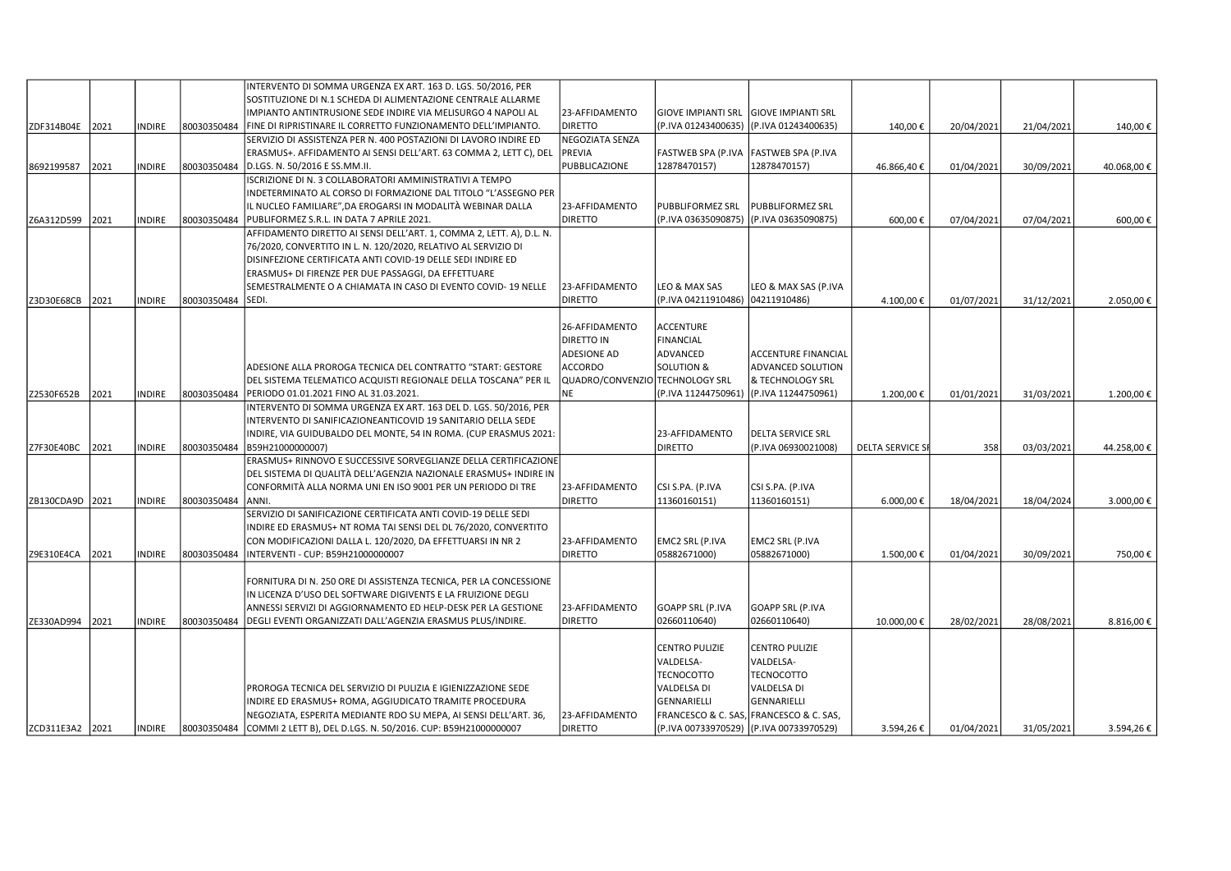|                 |      |               |             | INTERVENTO DI SOMMA URGENZA EX ART. 163 D. LGS. 50/2016, PER             |                                 |                               |                                |                         |            |            |            |
|-----------------|------|---------------|-------------|--------------------------------------------------------------------------|---------------------------------|-------------------------------|--------------------------------|-------------------------|------------|------------|------------|
|                 |      |               |             | SOSTITUZIONE DI N.1 SCHEDA DI ALIMENTAZIONE CENTRALE ALLARME             |                                 |                               |                                |                         |            |            |            |
|                 |      |               |             | IMPIANTO ANTINTRUSIONE SEDE INDIRE VIA MELISURGO 4 NAPOLI AL             | 23-AFFIDAMENTO                  | <b>GIOVE IMPIANTI SRL</b>     | <b>GIOVE IMPIANTI SRL</b>      |                         |            |            |            |
| ZDF314B04E 2021 |      | <b>INDIRE</b> | 80030350484 | FINE DI RIPRISTINARE IL CORRETTO FUNZIONAMENTO DELL'IMPIANTO.            | <b>DIRETTO</b>                  | (P.IVA 01243400635)           | (P.IVA 01243400635)            | 140,00€                 | 20/04/2021 | 21/04/2021 | 140,00€    |
|                 |      |               |             | SERVIZIO DI ASSISTENZA PER N. 400 POSTAZIONI DI LAVORO INDIRE ED         | NEGOZIATA SENZA                 |                               |                                |                         |            |            |            |
|                 |      |               |             | ERASMUS+. AFFIDAMENTO AI SENSI DELL'ART. 63 COMMA 2, LETT C), DEL        | <b>PREVIA</b>                   | FASTWEB SPA (P.IVA            | <b>FASTWEB SPA (P.IVA</b>      |                         |            |            |            |
| 8692199587      | 2021 | <b>INDIRE</b> | 80030350484 | D.LGS. N. 50/2016 E SS.MM.II.                                            | PUBBLICAZIONE                   | 12878470157)                  | 12878470157)                   | 46.866,40€              | 01/04/2021 | 30/09/2021 | 40.068,00€ |
|                 |      |               |             | ISCRIZIONE DI N. 3 COLLABORATORI AMMINISTRATIVI A TEMPO                  |                                 |                               |                                |                         |            |            |            |
|                 |      |               |             | INDETERMINATO AL CORSO DI FORMAZIONE DAL TITOLO "L'ASSEGNO PER           |                                 |                               |                                |                         |            |            |            |
|                 |      |               |             | IL NUCLEO FAMILIARE", DA EROGARSI IN MODALITÀ WEBINAR DALLA              | 23-AFFIDAMENTO                  | <b>PUBBLIFORMEZ SRL</b>       | PUBBLIFORMEZ SRL               |                         |            |            |            |
| Z6A312D599      | 2021 | <b>INDIRE</b> | 80030350484 | PUBLIFORMEZ S.R.L. IN DATA 7 APRILE 2021.                                | <b>DIRETTO</b>                  | (P.IVA 03635090875)           | (P.IVA 03635090875)            | 600,00€                 | 07/04/2021 | 07/04/2021 | 600,00€    |
|                 |      |               |             | AFFIDAMENTO DIRETTO AI SENSI DELL'ART. 1, COMMA 2, LETT. A), D.L. N.     |                                 |                               |                                |                         |            |            |            |
|                 |      |               |             | 76/2020, CONVERTITO IN L. N. 120/2020, RELATIVO AL SERVIZIO DI           |                                 |                               |                                |                         |            |            |            |
|                 |      |               |             | DISINFEZIONE CERTIFICATA ANTI COVID-19 DELLE SEDI INDIRE ED              |                                 |                               |                                |                         |            |            |            |
|                 |      |               |             | ERASMUS+ DI FIRENZE PER DUE PASSAGGI, DA EFFETTUARE                      |                                 |                               |                                |                         |            |            |            |
|                 |      |               |             | SEMESTRALMENTE O A CHIAMATA IN CASO DI EVENTO COVID-19 NELLE             | 23-AFFIDAMENTO                  | LEO & MAX SAS                 | LEO & MAX SAS (P.IVA           |                         |            |            |            |
| Z3D30E68CB      | 2021 | <b>INDIRE</b> | 80030350484 | SEDI.                                                                    | <b>DIRETTO</b>                  | (P.IVA 04211910486)           | 04211910486)                   | 4.100,00€               | 01/07/2021 | 31/12/2021 | 2.050,00€  |
|                 |      |               |             |                                                                          |                                 |                               |                                |                         |            |            |            |
|                 |      |               |             |                                                                          | 26-AFFIDAMENTO                  | <b>ACCENTURE</b>              |                                |                         |            |            |            |
|                 |      |               |             |                                                                          | DIRETTO IN                      | <b>FINANCIAL</b>              |                                |                         |            |            |            |
|                 |      |               |             |                                                                          | ADESIONE AD                     | ADVANCED                      | ACCENTURE FINANCIAL            |                         |            |            |            |
|                 |      |               |             | ADESIONE ALLA PROROGA TECNICA DEL CONTRATTO "START: GESTORE              | <b>ACCORDO</b>                  | <b>SOLUTION &amp;</b>         | <b>ADVANCED SOLUTION</b>       |                         |            |            |            |
|                 |      |               |             | DEL SISTEMA TELEMATICO ACQUISTI REGIONALE DELLA TOSCANA" PER IL          | QUADRO/CONVENZIO TECHNOLOGY SRL |                               | & TECHNOLOGY SRL               |                         |            |            |            |
| Z2530F652B      | 2021 | <b>INDIRE</b> | 80030350484 | PERIODO 01.01.2021 FINO AL 31.03.2021.                                   | <b>NE</b>                       | (P.IVA 11244750961)           | (P.IVA 11244750961)            | 1.200,00€               | 01/01/2021 | 31/03/2021 | 1.200,00€  |
|                 |      |               |             | INTERVENTO DI SOMMA URGENZA EX ART. 163 DEL D. LGS. 50/2016, PER         |                                 |                               |                                |                         |            |            |            |
|                 |      |               |             | INTERVENTO DI SANIFICAZIONEANTICOVID 19 SANITARIO DELLA SEDE             |                                 |                               |                                |                         |            |            |            |
|                 |      |               |             | INDIRE, VIA GUIDUBALDO DEL MONTE, 54 IN ROMA. (CUP ERASMUS 2021:         |                                 | 23-AFFIDAMENTO                | <b>DELTA SERVICE SRL</b>       |                         |            |            |            |
| Z7F30E40BC 2021 |      | <b>INDIRE</b> | 80030350484 | B59H21000000007)                                                         |                                 | <b>DIRETTO</b>                | (P.IVA 06930021008)            | <b>DELTA SERVICE SF</b> | 358        | 03/03/2021 | 44.258,00€ |
|                 |      |               |             | ERASMUS+ RINNOVO E SUCCESSIVE SORVEGLIANZE DELLA CERTIFICAZIONE          |                                 |                               |                                |                         |            |            |            |
|                 |      |               |             | DEL SISTEMA DI QUALITÀ DELL'AGENZIA NAZIONALE ERASMUS+ INDIRE IN         |                                 |                               |                                |                         |            |            |            |
|                 |      |               |             | CONFORMITÀ ALLA NORMA UNI EN ISO 9001 PER UN PERIODO DI TRE              | 23-AFFIDAMENTO                  | CSI S.PA. (P.IVA              | CSI S.PA. (P.IVA               |                         |            |            |            |
| ZB130CDA9D 2021 |      | <b>INDIRE</b> | 80030350484 | ANNI.                                                                    | <b>DIRETTO</b>                  | 11360160151)                  | 11360160151)                   | 6.000,00€               | 18/04/2021 | 18/04/2024 | 3.000,00€  |
|                 |      |               |             | SERVIZIO DI SANIFICAZIONE CERTIFICATA ANTI COVID-19 DELLE SEDI           |                                 |                               |                                |                         |            |            |            |
|                 |      |               |             | INDIRE ED ERASMUS+ NT ROMA TAI SENSI DEL DL 76/2020, CONVERTITO          |                                 |                               |                                |                         |            |            |            |
|                 |      |               |             | CON MODIFICAZIONI DALLA L. 120/2020, DA EFFETTUARSI IN NR 2              | 23-AFFIDAMENTO                  | EMC2 SRL (P.IVA               | EMC2 SRL (P.IVA                |                         |            |            |            |
| Z9E310E4CA      | 2021 | <b>INDIRE</b> | 80030350484 | INTERVENTI - CUP: B59H21000000007                                        | <b>DIRETTO</b>                  | 05882671000)                  | 05882671000)                   | 1.500,00€               | 01/04/2021 | 30/09/2021 | 750,00€    |
|                 |      |               |             |                                                                          |                                 |                               |                                |                         |            |            |            |
|                 |      |               |             | FORNITURA DI N. 250 ORE DI ASSISTENZA TECNICA, PER LA CONCESSIONE        |                                 |                               |                                |                         |            |            |            |
|                 |      |               |             | IN LICENZA D'USO DEL SOFTWARE DIGIVENTS E LA FRUIZIONE DEGLI             |                                 |                               |                                |                         |            |            |            |
|                 |      |               |             | ANNESSI SERVIZI DI AGGIORNAMENTO ED HELP-DESK PER LA GESTIONE            | 23-AFFIDAMENTO                  | <b>GOAPP SRL (P.IVA</b>       | GOAPP SRL (P.IVA               |                         |            |            |            |
| ZE330AD994      | 2021 | <b>INDIRE</b> | 80030350484 | DEGLI EVENTI ORGANIZZATI DALL'AGENZIA ERASMUS PLUS/INDIRE.               | <b>DIRETTO</b>                  | 02660110640)                  | 02660110640)                   | 10.000,00€              | 28/02/2021 | 28/08/2021 | 8.816,00€  |
|                 |      |               |             |                                                                          |                                 |                               |                                |                         |            |            |            |
|                 |      |               |             |                                                                          |                                 | <b>CENTRO PULIZIE</b>         | <b>CENTRO PULIZIE</b>          |                         |            |            |            |
|                 |      |               |             |                                                                          |                                 | VALDELSA-                     | VALDELSA-                      |                         |            |            |            |
|                 |      |               |             |                                                                          |                                 | <b>TECNOCOTTO</b>             | <b>TECNOCOTTO</b>              |                         |            |            |            |
|                 |      |               |             | PROROGA TECNICA DEL SERVIZIO DI PULIZIA E IGIENIZZAZIONE SEDE            |                                 | <b>VALDELSA DI</b>            | VALDELSA DI                    |                         |            |            |            |
|                 |      |               |             | INDIRE ED ERASMUS+ ROMA, AGGIUDICATO TRAMITE PROCEDURA                   |                                 | <b>GENNARIELLI</b>            | <b>GENNARIELLI</b>             |                         |            |            |            |
|                 |      |               |             | NEGOZIATA, ESPERITA MEDIANTE RDO SU MEPA, AI SENSI DELL'ART. 36,         | 23-AFFIDAMENTO                  | <b>FRANCESCO &amp; C. SAS</b> | <b>FRANCESCO &amp; C. SAS,</b> |                         |            |            |            |
| ZCD311E3A2 2021 |      | <b>INDIRE</b> |             | 80030350484 COMMI 2 LETT B), DEL D.LGS. N. 50/2016. CUP: B59H21000000007 | <b>DIRETTO</b>                  | (P.IVA 00733970529)           | (P.IVA 00733970529)            | 3.594,26€               | 01/04/2021 | 31/05/2021 | 3.594,26€  |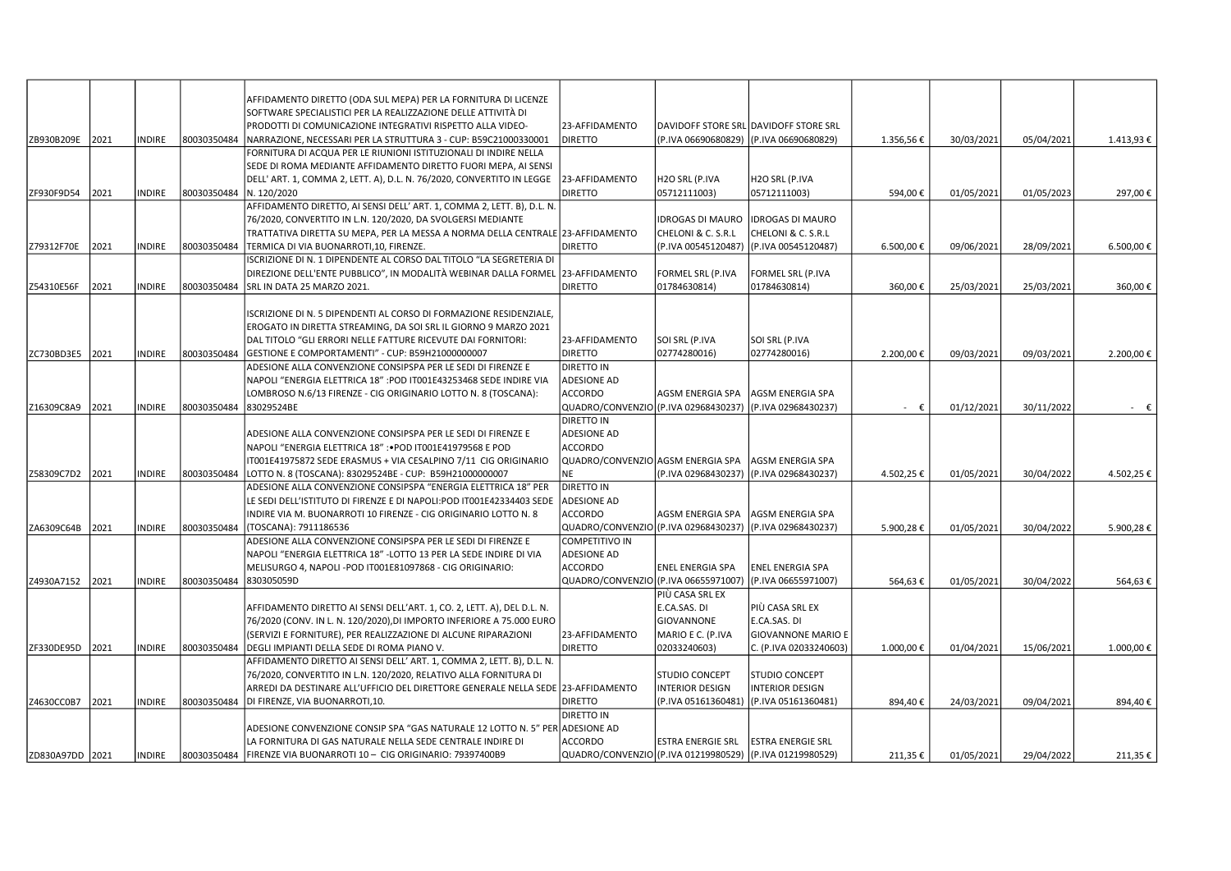| ZB930B209E      | 2021 | <b>NDIRE</b>  | 80030350484 | AFFIDAMENTO DIRETTO (ODA SUL MEPA) PER LA FORNITURA DI LICENZE<br>SOFTWARE SPECIALISTICI PER LA REALIZZAZIONE DELLE ATTIVITÀ DI<br>PRODOTTI DI COMUNICAZIONE INTEGRATIVI RISPETTO ALLA VIDEO-<br>NARRAZIONE, NECESSARI PER LA STRUTTURA 3 - CUP: B59C21000330001 | 23-AFFIDAMENTO<br><b>DIRETTO</b>     | (P.IVA 06690680829)                                      | DAVIDOFF STORE SRL DAVIDOFF STORE SRL<br>(P.IVA 06690680829) | 1.356,56€      | 30/03/2021 | 05/04/2021 | 1.413,93 €     |
|-----------------|------|---------------|-------------|------------------------------------------------------------------------------------------------------------------------------------------------------------------------------------------------------------------------------------------------------------------|--------------------------------------|----------------------------------------------------------|--------------------------------------------------------------|----------------|------------|------------|----------------|
|                 |      |               |             | FORNITURA DI ACQUA PER LE RIUNIONI ISTITUZIONALI DI INDIRE NELLA                                                                                                                                                                                                 |                                      |                                                          |                                                              |                |            |            |                |
|                 |      |               |             | SEDE DI ROMA MEDIANTE AFFIDAMENTO DIRETTO FUORI MEPA, AI SENSI                                                                                                                                                                                                   |                                      |                                                          |                                                              |                |            |            |                |
|                 |      |               |             | DELL' ART. 1, COMMA 2, LETT. A), D.L. N. 76/2020, CONVERTITO IN LEGGE                                                                                                                                                                                            | 23-AFFIDAMENTO                       | H2O SRL (P.IVA                                           | H2O SRL (P.IVA                                               |                |            |            |                |
| ZF930F9D54      | 2021 | INDIRE        | 80030350484 | N. 120/2020                                                                                                                                                                                                                                                      | <b>DIRETTO</b>                       | 05712111003)                                             | 05712111003)                                                 | 594,00€        | 01/05/2021 | 01/05/2023 | 297,00€        |
|                 |      |               |             | AFFIDAMENTO DIRETTO, AI SENSI DELL'ART. 1, COMMA 2, LETT. B), D.L. N.                                                                                                                                                                                            |                                      |                                                          |                                                              |                |            |            |                |
|                 |      |               |             | 76/2020, CONVERTITO IN L.N. 120/2020, DA SVOLGERSI MEDIANTE                                                                                                                                                                                                      |                                      | <b>IDROGAS DI MAURO</b>                                  | <b>IDROGAS DI MAURO</b>                                      |                |            |            |                |
|                 |      |               |             | TRATTATIVA DIRETTA SU MEPA, PER LA MESSA A NORMA DELLA CENTRALE 23-AFFIDAMENTO                                                                                                                                                                                   |                                      | CHELONI & C. S.R.L                                       | CHELONI & C. S.R.L                                           |                |            |            |                |
| Z79312F70E      | 2021 | NDIRE         | 80030350484 | TERMICA DI VIA BUONARROTI,10, FIRENZE.                                                                                                                                                                                                                           | <b>DIRETTO</b>                       | (P.IVA 00545120487)                                      | (P.IVA 00545120487)                                          | 6.500,00€      | 09/06/2021 | 28/09/2021 | 6.500,00€      |
|                 |      |               |             | ISCRIZIONE DI N. 1 DIPENDENTE AL CORSO DAL TITOLO "LA SEGRETERIA DI                                                                                                                                                                                              |                                      |                                                          |                                                              |                |            |            |                |
|                 |      |               |             | DIREZIONE DELL'ENTE PUBBLICO", IN MODALITÀ WEBINAR DALLA FORMEL 23-AFFIDAMENTO                                                                                                                                                                                   |                                      | FORMEL SRL (P.IVA                                        | FORMEL SRL (P.IVA                                            |                |            |            |                |
| Z54310E56F      | 2021 | INDIRE        | 80030350484 | SRL IN DATA 25 MARZO 2021.                                                                                                                                                                                                                                       | <b>DIRETTO</b>                       | 01784630814)                                             | 01784630814)                                                 | 360,00€        | 25/03/2021 | 25/03/2021 | 360,00€        |
| ZC730BD3E5 2021 |      | NDIRE         | 80030350484 | ISCRIZIONE DI N. 5 DIPENDENTI AL CORSO DI FORMAZIONE RESIDENZIALE,<br>EROGATO IN DIRETTA STREAMING, DA SOI SRL IL GIORNO 9 MARZO 2021<br>DAL TITOLO "GLI ERRORI NELLE FATTURE RICEVUTE DAI FORNITORI:<br>GESTIONE E COMPORTAMENTI" - CUP: B59H21000000007        | 23-AFFIDAMENTO<br><b>DIRETTO</b>     | SOI SRL (P.IVA<br>02774280016)                           | SOI SRL (P.IVA<br>02774280016)                               | 2.200,00€      | 09/03/2021 | 09/03/2021 | 2.200,00€      |
|                 |      |               |             | ADESIONE ALLA CONVENZIONE CONSIPSPA PER LE SEDI DI FIRENZE E                                                                                                                                                                                                     | DIRETTO IN                           |                                                          |                                                              |                |            |            |                |
|                 |      |               |             | NAPOLI "ENERGIA ELETTRICA 18" : POD IT001E43253468 SEDE INDIRE VIA                                                                                                                                                                                               | <b>ADESIONE AD</b>                   |                                                          |                                                              |                |            |            |                |
|                 |      |               |             | LOMBROSO N.6/13 FIRENZE - CIG ORIGINARIO LOTTO N. 8 (TOSCANA):                                                                                                                                                                                                   | <b>ACCORDO</b>                       | <b>AGSM ENERGIA SPA</b>                                  | AGSM ENERGIA SPA                                             |                |            |            |                |
| Z16309C8A9      | 2021 | <b>INDIRE</b> | 80030350484 | 83029524BE                                                                                                                                                                                                                                                       | QUADRO/CONVENZIO (P.IVA 02968430237) |                                                          | (P.IVA 02968430237)                                          | $ \varepsilon$ | 01/12/2021 | 30/11/2022 | $ \varepsilon$ |
|                 |      |               |             |                                                                                                                                                                                                                                                                  | <b>DIRETTO IN</b>                    |                                                          |                                                              |                |            |            |                |
|                 |      |               |             | ADESIONE ALLA CONVENZIONE CONSIPSPA PER LE SEDI DI FIRENZE E                                                                                                                                                                                                     | <b>ADESIONE AD</b>                   |                                                          |                                                              |                |            |            |                |
|                 |      |               |             | NAPOLI "ENERGIA ELETTRICA 18" : . POD IT001E41979568 E POD                                                                                                                                                                                                       | <b>ACCORDO</b>                       |                                                          |                                                              |                |            |            |                |
|                 |      |               |             | IT001E41975872 SEDE ERASMUS + VIA CESALPINO 7/11 CIG ORIGINARIO                                                                                                                                                                                                  | QUADRO/CONVENZIO AGSM ENERGIA SPA    |                                                          | AGSM ENERGIA SPA                                             |                |            |            |                |
| Z58309C7D2      | 2021 | <b>NDIRE</b>  | 80030350484 | LOTTO N. 8 (TOSCANA): 83029524BE - CUP: B59H21000000007                                                                                                                                                                                                          | <b>NE</b>                            | (P.IVA 02968430237)                                      | (P.IVA 02968430237)                                          | 4.502,25€      | 01/05/2021 | 30/04/2022 | 4.502,25€      |
|                 |      |               |             | ADESIONE ALLA CONVENZIONE CONSIPSPA "ENERGIA ELETTRICA 18" PER                                                                                                                                                                                                   | <b>DIRETTO IN</b>                    |                                                          |                                                              |                |            |            |                |
|                 |      |               |             | LE SEDI DELL'ISTITUTO DI FIRENZE E DI NAPOLI:POD IT001E42334403 SEDE                                                                                                                                                                                             | <b>ADESIONE AD</b>                   |                                                          |                                                              |                |            |            |                |
|                 |      |               |             | INDIRE VIA M. BUONARROTI 10 FIRENZE - CIG ORIGINARIO LOTTO N. 8                                                                                                                                                                                                  | <b>ACCORDO</b>                       | <b>AGSM ENERGIA SPA</b>                                  | AGSM ENERGIA SPA                                             |                |            |            |                |
| ZA6309C64B      | 2021 | INDIRE        | 80030350484 | (TOSCANA): 7911186536                                                                                                                                                                                                                                            | QUADRO/CONVENZIO (P.IVA 02968430237) |                                                          | (P.IVA 02968430237)                                          | 5.900,28€      | 01/05/2021 | 30/04/2022 | 5.900,28€      |
|                 |      |               |             | ADESIONE ALLA CONVENZIONE CONSIPSPA PER LE SEDI DI FIRENZE E                                                                                                                                                                                                     | <b>COMPETITIVO IN</b>                |                                                          |                                                              |                |            |            |                |
|                 |      |               |             | NAPOLI "ENERGIA ELETTRICA 18" -LOTTO 13 PER LA SEDE INDIRE DI VIA                                                                                                                                                                                                | <b>ADESIONE AD</b>                   |                                                          |                                                              |                |            |            |                |
|                 |      |               |             | MELISURGO 4, NAPOLI - POD IT001E81097868 - CIG ORIGINARIO:                                                                                                                                                                                                       | <b>ACCORDO</b>                       | <b>ENEL ENERGIA SPA</b>                                  | <b>ENEL ENERGIA SPA</b>                                      |                |            |            |                |
| Z4930A7152 2021 |      | NDIRE         | 80030350484 | 830305059D                                                                                                                                                                                                                                                       | QUADRO/CONVENZIO (P.IVA 06655971007) |                                                          | (P.IVA 06655971007)                                          | 564,63€        | 01/05/2021 | 30/04/2022 | 564,63€        |
|                 |      |               |             |                                                                                                                                                                                                                                                                  |                                      | PIÙ CASA SRL EX                                          |                                                              |                |            |            |                |
|                 |      |               |             | AFFIDAMENTO DIRETTO AI SENSI DELL'ART. 1, CO. 2, LETT. A), DEL D.L. N.                                                                                                                                                                                           |                                      | E.CA.SAS.DI                                              | PIÙ CASA SRL EX                                              |                |            |            |                |
|                 |      |               |             | 76/2020 (CONV. IN L. N. 120/2020), DI IMPORTO INFERIORE A 75.000 EURO                                                                                                                                                                                            |                                      | GIOVANNONE                                               | E.CA.SAS. DI                                                 |                |            |            |                |
|                 |      |               |             | (SERVIZI E FORNITURE), PER REALIZZAZIONE DI ALCUNE RIPARAZIONI                                                                                                                                                                                                   | 23-AFFIDAMENTO                       | MARIO E C. (P.IVA                                        | <b>GIOVANNONE MARIO E</b>                                    |                |            |            |                |
| ZF330DE95D      | 2021 | NDIRE         | 80030350484 | DEGLI IMPIANTI DELLA SEDE DI ROMA PIANO V.                                                                                                                                                                                                                       | <b>DIRETTO</b>                       | 02033240603)                                             | C. (P.IVA 02033240603)                                       | 1.000,00€      | 01/04/2021 | 15/06/2021 | 1.000,00€      |
|                 |      |               |             | AFFIDAMENTO DIRETTO AI SENSI DELL'ART. 1, COMMA 2, LETT. B), D.L. N.                                                                                                                                                                                             |                                      |                                                          |                                                              |                |            |            |                |
|                 |      |               |             | 76/2020, CONVERTITO IN L.N. 120/2020, RELATIVO ALLA FORNITURA DI                                                                                                                                                                                                 |                                      | <b>STUDIO CONCEPT</b>                                    | <b>STUDIO CONCEPT</b>                                        |                |            |            |                |
|                 |      |               |             | ARREDI DA DESTINARE ALL'UFFICIO DEL DIRETTORE GENERALE NELLA SEDE 23-AFFIDAMENTO                                                                                                                                                                                 |                                      | <b>INTERIOR DESIGN</b>                                   | INTERIOR DESIGN                                              |                |            |            |                |
| Z4630CC0B7      | 2021 | NDIRE         | 80030350484 | DI FIRENZE, VIA BUONARROTI,10.                                                                                                                                                                                                                                   | <b>DIRETTO</b><br><b>DIRETTO IN</b>  | (P.IVA 05161360481)                                      | (P.IVA 05161360481)                                          | 894,40€        | 24/03/2021 | 09/04/2021 | 894,40€        |
|                 |      |               |             | ADESIONE CONVENZIONE CONSIP SPA "GAS NATURALE 12 LOTTO N. 5" PER ADESIONE AD                                                                                                                                                                                     |                                      |                                                          |                                                              |                |            |            |                |
|                 |      |               |             | LA FORNITURA DI GAS NATURALE NELLA SEDE CENTRALE INDIRE DI                                                                                                                                                                                                       | <b>ACCORDO</b>                       | <b>ESTRA ENERGIE SRL</b>                                 | <b>ESTRA ENERGIE SRL</b>                                     |                |            |            |                |
| ZD830A97DD 2021 |      | <b>INDIRE</b> |             | 80030350484   FIRENZE VIA BUONARROTI 10 - CIG ORIGINARIO: 79397400B9                                                                                                                                                                                             |                                      | QUADRO/CONVENZIO (P.IVA 01219980529) (P.IVA 01219980529) |                                                              | 211,35€        | 01/05/2021 | 29/04/2022 | 211,35 €       |
|                 |      |               |             |                                                                                                                                                                                                                                                                  |                                      |                                                          |                                                              |                |            |            |                |